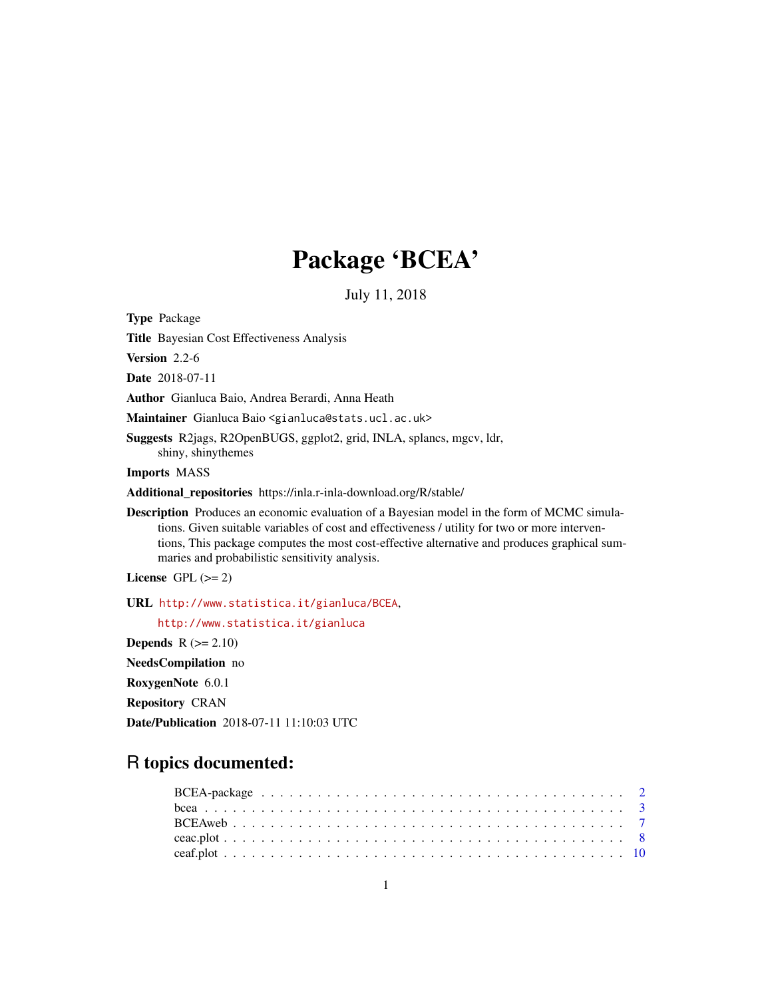## Package 'BCEA'

July 11, 2018

<span id="page-0-0"></span>Type Package

Title Bayesian Cost Effectiveness Analysis

Version 2.2-6

Date 2018-07-11

Author Gianluca Baio, Andrea Berardi, Anna Heath

Maintainer Gianluca Baio <gianluca@stats.ucl.ac.uk>

Suggests R2jags, R2OpenBUGS, ggplot2, grid, INLA, splancs, mgcv, ldr, shiny, shinythemes

Imports MASS

Additional\_repositories https://inla.r-inla-download.org/R/stable/

Description Produces an economic evaluation of a Bayesian model in the form of MCMC simulations. Given suitable variables of cost and effectiveness / utility for two or more interventions, This package computes the most cost-effective alternative and produces graphical summaries and probabilistic sensitivity analysis.

License GPL  $(>= 2)$ 

URL <http://www.statistica.it/gianluca/BCEA>,

<http://www.statistica.it/gianluca>

Depends  $R$  ( $>= 2.10$ )

NeedsCompilation no

RoxygenNote 6.0.1

Repository CRAN

Date/Publication 2018-07-11 11:10:03 UTC

## R topics documented: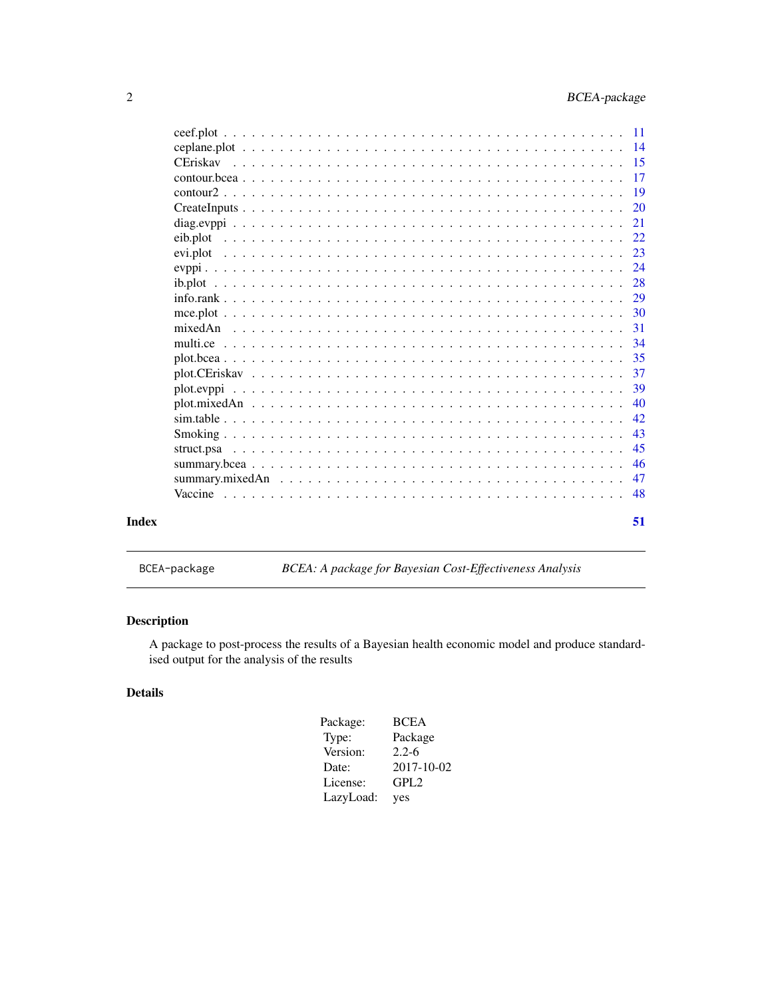<span id="page-1-0"></span>

|       |                                                                                                                                                                    | 17        |
|-------|--------------------------------------------------------------------------------------------------------------------------------------------------------------------|-----------|
|       |                                                                                                                                                                    | <b>19</b> |
|       |                                                                                                                                                                    | <b>20</b> |
|       |                                                                                                                                                                    | 21        |
|       |                                                                                                                                                                    |           |
|       |                                                                                                                                                                    | 22        |
|       |                                                                                                                                                                    | 23        |
|       |                                                                                                                                                                    | 24        |
|       |                                                                                                                                                                    | 28        |
|       |                                                                                                                                                                    | 29        |
|       |                                                                                                                                                                    | 30        |
|       |                                                                                                                                                                    | 31        |
|       |                                                                                                                                                                    | 34        |
|       | plot, bcea $\ldots$ , $\ldots$ , $\ldots$ , $\ldots$ , $\ldots$ , $\ldots$ , $\ldots$ , $\ldots$ , $\ldots$ , $\ldots$ , $\ldots$ , $\ldots$ , $\ldots$ , $\ldots$ | 35        |
|       |                                                                                                                                                                    | 37        |
|       |                                                                                                                                                                    | 39        |
|       |                                                                                                                                                                    | 40        |
|       |                                                                                                                                                                    | 42        |
|       |                                                                                                                                                                    | 43        |
|       |                                                                                                                                                                    | 45        |
|       |                                                                                                                                                                    | 46        |
|       |                                                                                                                                                                    | 47        |
|       |                                                                                                                                                                    | -48       |
| Index |                                                                                                                                                                    | 51        |

BCEA-package *BCEA: A package for Bayesian Cost-Effectiveness Analysis*

## Description

A package to post-process the results of a Bayesian health economic model and produce standardised output for the analysis of the results

## Details

| Package:  | <b>BCEA</b>      |
|-----------|------------------|
| Type:     | Package          |
| Version:  | $2.2 - 6$        |
| Date:     | 2017-10-02       |
| License:  | GPL <sub>2</sub> |
| LazyLoad: | yes              |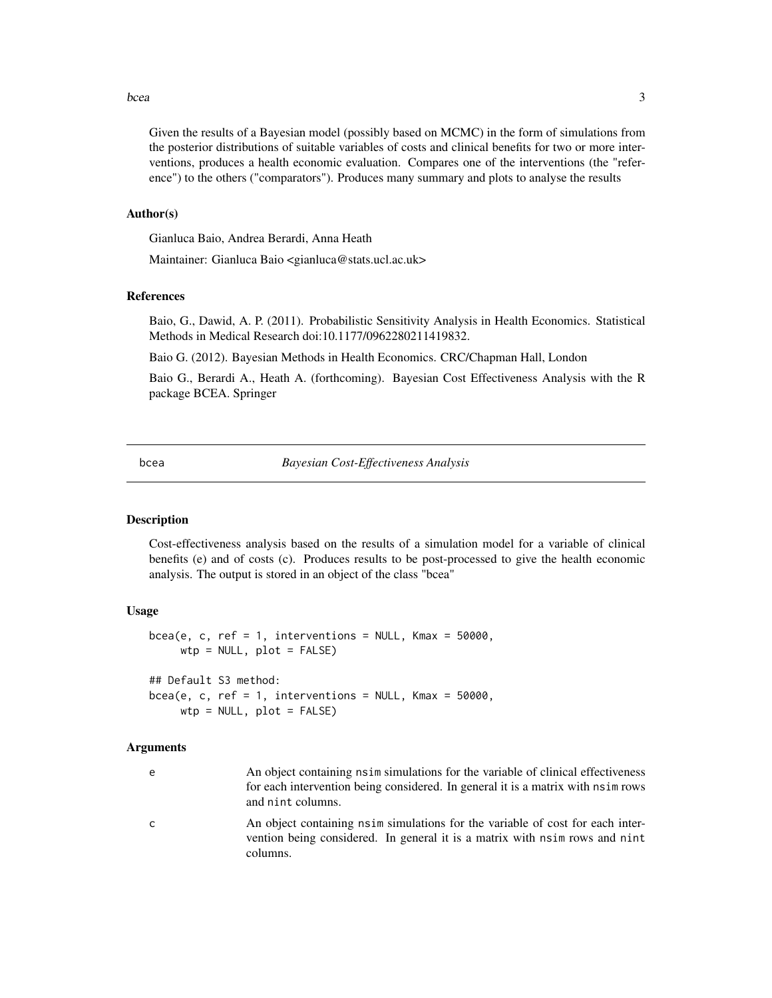#### <span id="page-2-0"></span>bcea 3

Given the results of a Bayesian model (possibly based on MCMC) in the form of simulations from the posterior distributions of suitable variables of costs and clinical benefits for two or more interventions, produces a health economic evaluation. Compares one of the interventions (the "reference") to the others ("comparators"). Produces many summary and plots to analyse the results

#### Author(s)

Gianluca Baio, Andrea Berardi, Anna Heath

Maintainer: Gianluca Baio <gianluca@stats.ucl.ac.uk>

## References

Baio, G., Dawid, A. P. (2011). Probabilistic Sensitivity Analysis in Health Economics. Statistical Methods in Medical Research doi:10.1177/0962280211419832.

Baio G. (2012). Bayesian Methods in Health Economics. CRC/Chapman Hall, London

Baio G., Berardi A., Heath A. (forthcoming). Bayesian Cost Effectiveness Analysis with the R package BCEA. Springer

<span id="page-2-1"></span>bcea *Bayesian Cost-Effectiveness Analysis*

## **Description**

Cost-effectiveness analysis based on the results of a simulation model for a variable of clinical benefits (e) and of costs (c). Produces results to be post-processed to give the health economic analysis. The output is stored in an object of the class "bcea"

#### Usage

```
bcea(e, c, ref = 1, interventions = NULL, Kmax = 50000,
     wtp = NULL, plot = FALSE)
## Default S3 method:
bcea(e, c, ref = 1, interventions = NULL, Kmax = 50000,wtp = NULL, plot = FALSE)
```
#### Arguments

- e An object containing nsim simulations for the variable of clinical effectiveness for each intervention being considered. In general it is a matrix with nsim rows and nint columns.
- c An object containing nsim simulations for the variable of cost for each intervention being considered. In general it is a matrix with nsim rows and nint columns.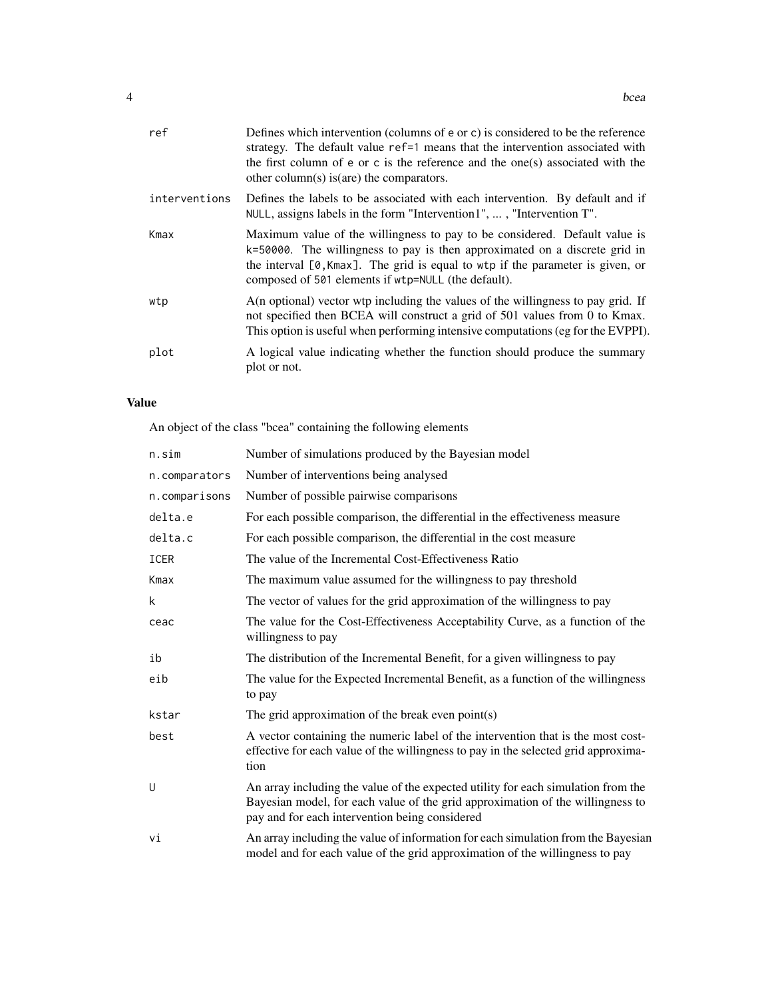| ref           | Defines which intervention (columns of e or c) is considered to be the reference<br>strategy. The default value ref=1 means that the intervention associated with<br>the first column of e or c is the reference and the one(s) associated with the<br>other column(s) is (are) the comparators.     |
|---------------|------------------------------------------------------------------------------------------------------------------------------------------------------------------------------------------------------------------------------------------------------------------------------------------------------|
| interventions | Defines the labels to be associated with each intervention. By default and if<br>NULL, assigns labels in the form "Intervention1", , "Intervention T".                                                                                                                                               |
| Kmax          | Maximum value of the willingness to pay to be considered. Default value is<br>k=50000. The willingness to pay is then approximated on a discrete grid in<br>the interval $[0, Kmax]$ . The grid is equal to wtp if the parameter is given, or<br>composed of 501 elements if wtp=NULL (the default). |
| wtp           | A(n optional) vector wtp including the values of the willingness to pay grid. If<br>not specified then BCEA will construct a grid of 501 values from 0 to Kmax.<br>This option is useful when performing intensive computations (eg for the EVPPI).                                                  |
| plot          | A logical value indicating whether the function should produce the summary<br>plot or not.                                                                                                                                                                                                           |

## Value

An object of the class "bcea" containing the following elements

| n.sim         | Number of simulations produced by the Bayesian model                                                                                                                                                                  |
|---------------|-----------------------------------------------------------------------------------------------------------------------------------------------------------------------------------------------------------------------|
| n.comparators | Number of interventions being analysed                                                                                                                                                                                |
| n.comparisons | Number of possible pairwise comparisons                                                                                                                                                                               |
| delta.e       | For each possible comparison, the differential in the effectiveness measure                                                                                                                                           |
| delta.c       | For each possible comparison, the differential in the cost measure                                                                                                                                                    |
| <b>ICER</b>   | The value of the Incremental Cost-Effectiveness Ratio                                                                                                                                                                 |
| Kmax          | The maximum value assumed for the willingness to pay threshold                                                                                                                                                        |
| k             | The vector of values for the grid approximation of the willingness to pay                                                                                                                                             |
| ceac          | The value for the Cost-Effectiveness Acceptability Curve, as a function of the<br>willingness to pay                                                                                                                  |
| ib            | The distribution of the Incremental Benefit, for a given willingness to pay                                                                                                                                           |
| eib           | The value for the Expected Incremental Benefit, as a function of the willingness<br>to pay                                                                                                                            |
| kstar         | The grid approximation of the break even point(s)                                                                                                                                                                     |
| best          | A vector containing the numeric label of the intervention that is the most cost-<br>effective for each value of the willingness to pay in the selected grid approxima-<br>tion                                        |
| U             | An array including the value of the expected utility for each simulation from the<br>Bayesian model, for each value of the grid approximation of the willingness to<br>pay and for each intervention being considered |
| vi            | An array including the value of information for each simulation from the Bayesian<br>model and for each value of the grid approximation of the willingness to pay                                                     |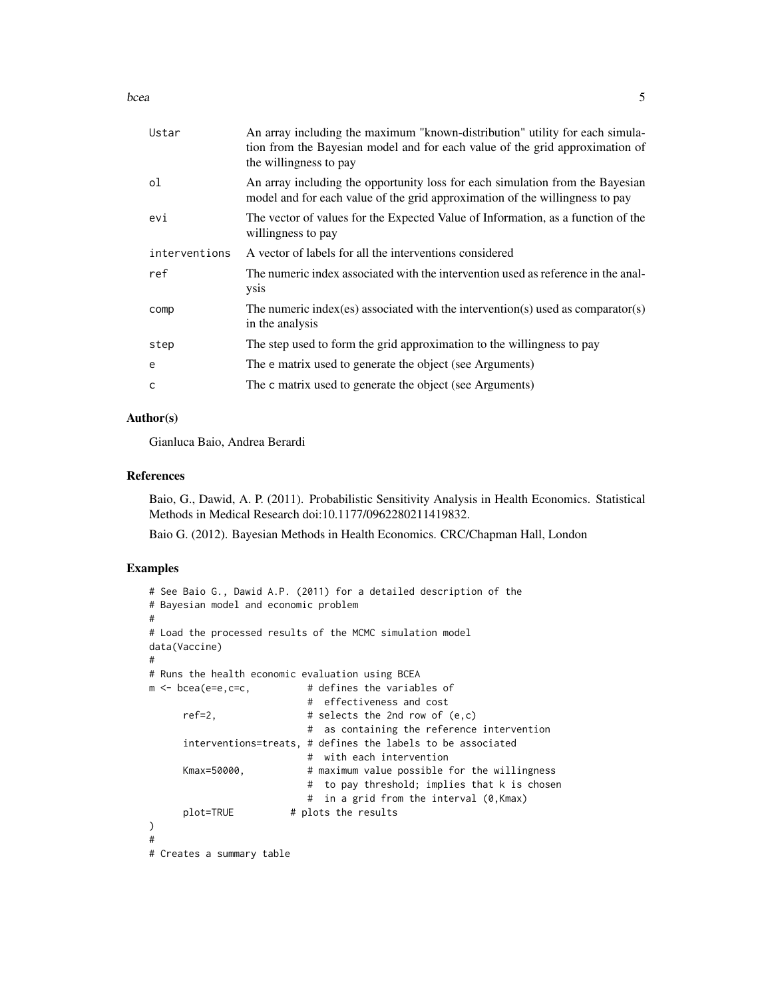bcea 55 and 55 and 55 and 55 and 55 and 55 and 55 and 55 and 55 and 55 and 55 and 55 and 55 and 55 and 55 and 55 and 55 and 55 and 55 and 55 and 55 and 55 and 55 and 55 and 55 and 55 and 55 and 55 and 55 and 55 and 55 and

| An array including the maximum "known-distribution" utility for each simula-<br>tion from the Bayesian model and for each value of the grid approximation of<br>the willingness to pay |
|----------------------------------------------------------------------------------------------------------------------------------------------------------------------------------------|
| An array including the opportunity loss for each simulation from the Bayesian<br>model and for each value of the grid approximation of the willingness to pay                          |
| The vector of values for the Expected Value of Information, as a function of the<br>willingness to pay                                                                                 |
| A vector of labels for all the interventions considered                                                                                                                                |
| The numeric index associated with the intervention used as reference in the anal-<br><b>ysis</b>                                                                                       |
| The numeric index (es) associated with the intervention(s) used as comparator(s)                                                                                                       |
| in the analysis                                                                                                                                                                        |
| The step used to form the grid approximation to the willingness to pay                                                                                                                 |
| The e matrix used to generate the object (see Arguments)                                                                                                                               |
|                                                                                                                                                                                        |

#### Author(s)

Gianluca Baio, Andrea Berardi

#### References

Baio, G., Dawid, A. P. (2011). Probabilistic Sensitivity Analysis in Health Economics. Statistical Methods in Medical Research doi:10.1177/0962280211419832.

Baio G. (2012). Bayesian Methods in Health Economics. CRC/Chapman Hall, London

## Examples

```
# See Baio G., Dawid A.P. (2011) for a detailed description of the
# Bayesian model and economic problem
#
# Load the processed results of the MCMC simulation model
data(Vaccine)
#
# Runs the health economic evaluation using BCEA
m \leq - bcea(e=e,c=c, \qquad \qquad # defines the variables of
                           # effectiveness and cost
     ref=2, # selects the 2nd row of <math>(e, c)</math># as containing the reference intervention
     interventions=treats, # defines the labels to be associated
                           # with each intervention
     Kmax=50000, # maximum value possible for the willingness
                           # to pay threshold; implies that k is chosen
                           # in a grid from the interval (0,Kmax)
     plot=TRUE # plots the results
)
#
# Creates a summary table
```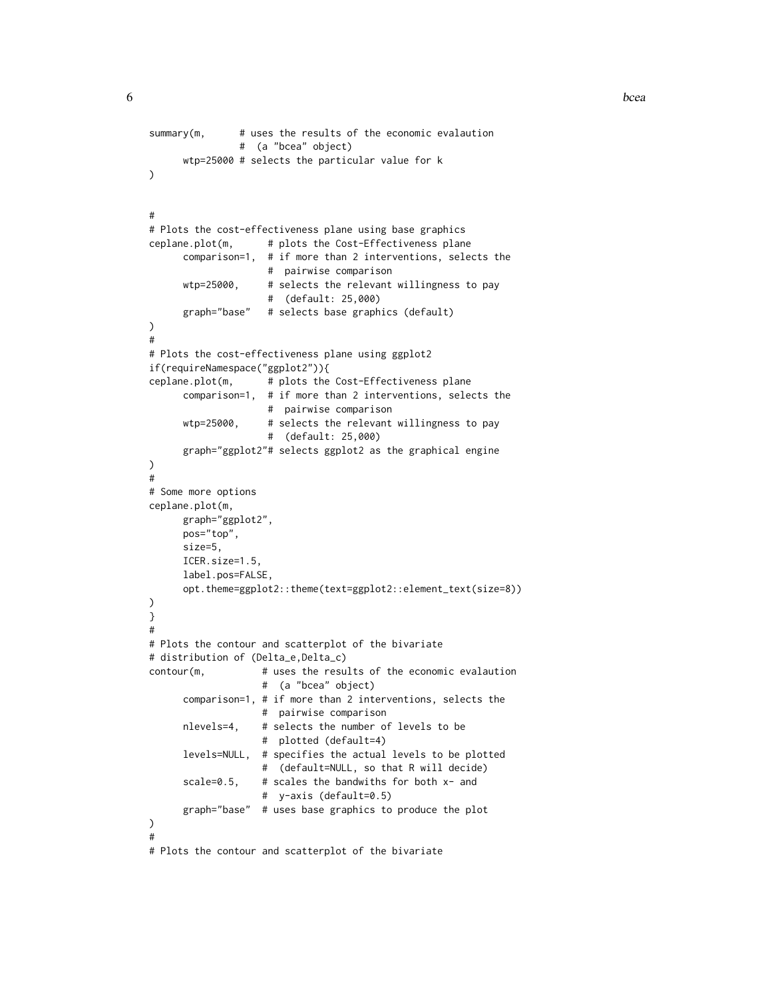```
summary(m, # uses the results of the economic evalaution
                # (a "bcea" object)
     wtp=25000 # selects the particular value for k
)
#
# Plots the cost-effectiveness plane using base graphics
ceplane.plot(m, # plots the Cost-Effectiveness plane
     comparison=1, # if more than 2 interventions, selects the
                     # pairwise comparison
     wtp=25000, # selects the relevant willingness to pay
                    # (default: 25,000)
      graph="base" # selects base graphics (default)
)
#
# Plots the cost-effectiveness plane using ggplot2
if(requireNamespace("ggplot2")){
ceplane.plot(m, # plots the Cost-Effectiveness plane
     comparison=1, # if more than 2 interventions, selects the
                    # pairwise comparison
     wtp=25000, # selects the relevant willingness to pay
                    # (default: 25,000)
      graph="ggplot2"# selects ggplot2 as the graphical engine
)
#
# Some more options
ceplane.plot(m,
     graph="ggplot2",
     pos="top",
     size=5,
     ICER.size=1.5,
     label.pos=FALSE,
      opt.theme=ggplot2::theme(text=ggplot2::element_text(size=8))
)
}
#
# Plots the contour and scatterplot of the bivariate
# distribution of (Delta_e,Delta_c)
contour(m, # uses the results of the economic evalaution
                    # (a "bcea" object)
      comparison=1, # if more than 2 interventions, selects the
                    # pairwise comparison
     nlevels=4, # selects the number of levels to be
                    # plotted (default=4)
      levels=NULL, # specifies the actual levels to be plotted
                    # (default=NULL, so that R will decide)
      scale=0.5, \# scales the bandwiths for both x- and
                    # y-axis (default=0.5)
      graph="base" # uses base graphics to produce the plot
\mathcal{L}#
# Plots the contour and scatterplot of the bivariate
```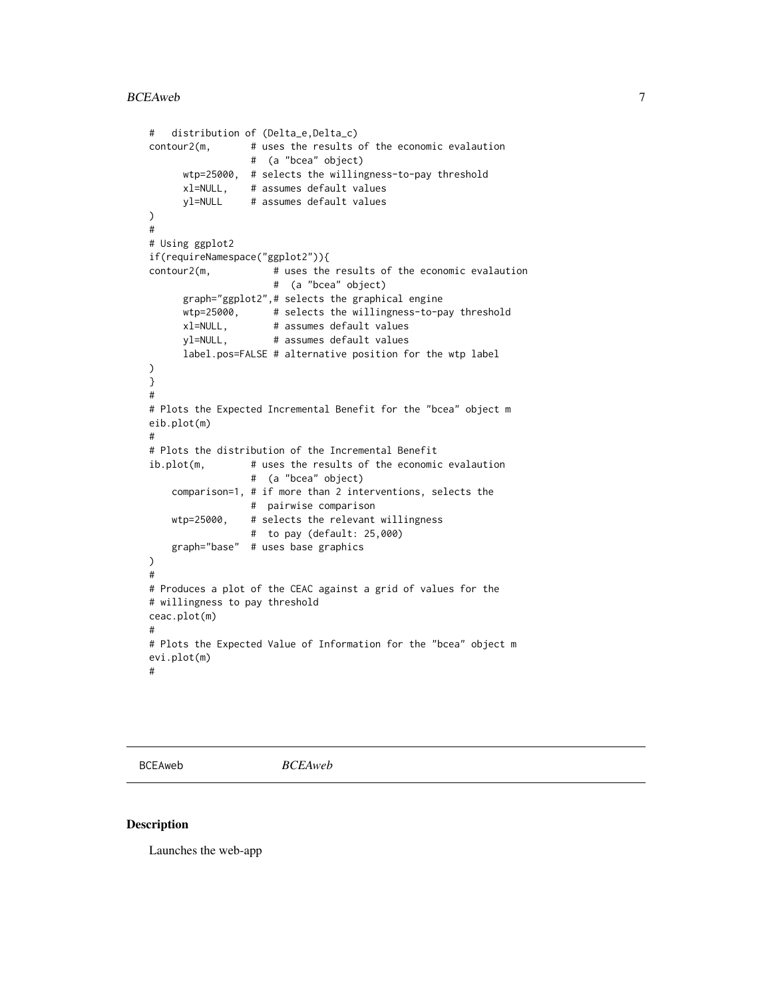```
# distribution of (Delta_e,Delta_c)
contour2(m, # uses the results of the economic evalaution
                 # (a "bcea" object)
     wtp=25000, # selects the willingness-to-pay threshold
     xl=NULL, # assumes default values
     yl=NULL # assumes default values
)
#
# Using ggplot2
if(requireNamespace("ggplot2")){
contour2(m, \# uses the results of the economic evalaution
                     # (a "bcea" object)
     graph="ggplot2",# selects the graphical engine
     wtp=25000, # selects the willingness-to-pay threshold
     xl=NULL, # assumes default values
     yl=NULL, # assumes default values
     label.pos=FALSE # alternative position for the wtp label
)
}
#
# Plots the Expected Incremental Benefit for the "bcea" object m
eib.plot(m)
#
# Plots the distribution of the Incremental Benefit
ib.plot(m, # uses the results of the economic evalaution
                 # (a "bcea" object)
    comparison=1, # if more than 2 interventions, selects the
                 # pairwise comparison
   wtp=25000, # selects the relevant willingness
                 # to pay (default: 25,000)
    graph="base" # uses base graphics
)
#
# Produces a plot of the CEAC against a grid of values for the
# willingness to pay threshold
ceac.plot(m)
#
# Plots the Expected Value of Information for the "bcea" object m
evi.plot(m)
#
```
BCEAweb *BCEAweb*

#### Description

Launches the web-app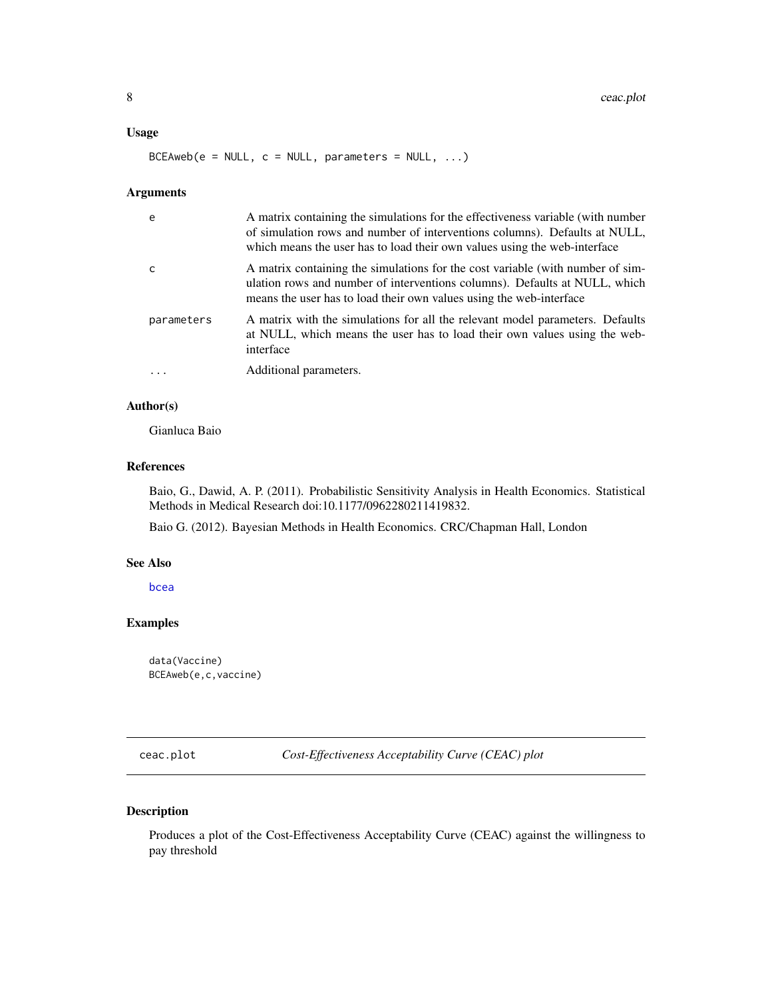#### <span id="page-7-0"></span>Usage

 $BCEAweb(e = NULL, c = NULL, parameters = NULL, ...)$ 

#### Arguments

| e          | A matrix containing the simulations for the effectiveness variable (with number<br>of simulation rows and number of interventions columns). Defaults at NULL,<br>which means the user has to load their own values using the web-interface |
|------------|--------------------------------------------------------------------------------------------------------------------------------------------------------------------------------------------------------------------------------------------|
| C          | A matrix containing the simulations for the cost variable (with number of sim-<br>ulation rows and number of interventions columns). Defaults at NULL, which<br>means the user has to load their own values using the web-interface        |
| parameters | A matrix with the simulations for all the relevant model parameters. Defaults<br>at NULL, which means the user has to load their own values using the web-<br>interface                                                                    |
|            | Additional parameters.                                                                                                                                                                                                                     |

## Author(s)

Gianluca Baio

#### References

Baio, G., Dawid, A. P. (2011). Probabilistic Sensitivity Analysis in Health Economics. Statistical Methods in Medical Research doi:10.1177/0962280211419832.

Baio G. (2012). Bayesian Methods in Health Economics. CRC/Chapman Hall, London

### See Also

[bcea](#page-2-1)

## Examples

data(Vaccine) BCEAweb(e,c,vaccine)

<span id="page-7-1"></span>ceac.plot *Cost-Effectiveness Acceptability Curve (CEAC) plot*

## Description

Produces a plot of the Cost-Effectiveness Acceptability Curve (CEAC) against the willingness to pay threshold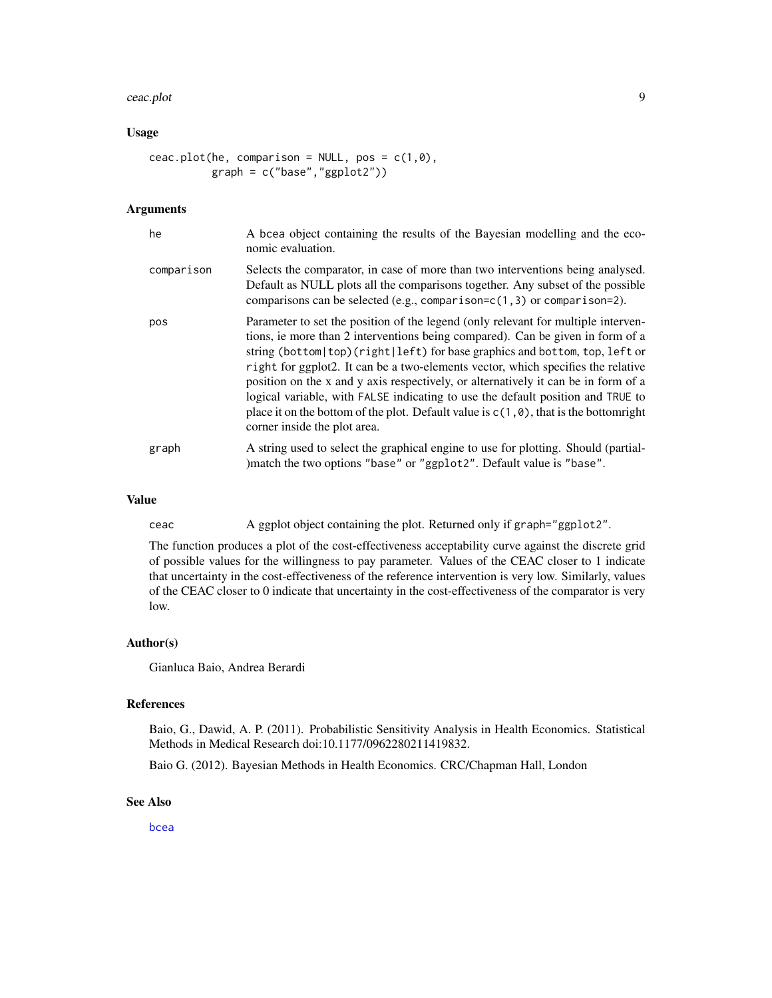#### ceac.plot 9

## Usage

```
ceac.plot(he, comparison = NULL, pos = c(1,0),
          graph = c("base","ggplot2"))
```
## **Arguments**

| he         | A bcea object containing the results of the Bayesian modelling and the eco-<br>nomic evaluation.                                                                                                                                                                                                                                                                                                                                                                                                                                                                                                                                                 |
|------------|--------------------------------------------------------------------------------------------------------------------------------------------------------------------------------------------------------------------------------------------------------------------------------------------------------------------------------------------------------------------------------------------------------------------------------------------------------------------------------------------------------------------------------------------------------------------------------------------------------------------------------------------------|
| comparison | Selects the comparator, in case of more than two interventions being analysed.<br>Default as NULL plots all the comparisons together. Any subset of the possible<br>comparisons can be selected (e.g., comparison= $c(1, 3)$ or comparison=2).                                                                                                                                                                                                                                                                                                                                                                                                   |
| pos        | Parameter to set the position of the legend (only relevant for multiple interven-<br>tions, ie more than 2 interventions being compared). Can be given in form of a<br>string (bottom top)(right left) for base graphics and bottom, top, left or<br>right for ggplot2. It can be a two-elements vector, which specifies the relative<br>position on the x and y axis respectively, or alternatively it can be in form of a<br>logical variable, with FALSE indicating to use the default position and TRUE to<br>place it on the bottom of the plot. Default value is $c(1, \theta)$ , that is the bottom right<br>corner inside the plot area. |
| graph      | A string used to select the graphical engine to use for plotting. Should (partial-<br>)match the two options "base" or "ggplot2". Default value is "base".                                                                                                                                                                                                                                                                                                                                                                                                                                                                                       |

### Value

ceac A ggplot object containing the plot. Returned only if graph="ggplot2".

The function produces a plot of the cost-effectiveness acceptability curve against the discrete grid of possible values for the willingness to pay parameter. Values of the CEAC closer to 1 indicate that uncertainty in the cost-effectiveness of the reference intervention is very low. Similarly, values of the CEAC closer to 0 indicate that uncertainty in the cost-effectiveness of the comparator is very low.

## Author(s)

Gianluca Baio, Andrea Berardi

#### References

Baio, G., Dawid, A. P. (2011). Probabilistic Sensitivity Analysis in Health Economics. Statistical Methods in Medical Research doi:10.1177/0962280211419832.

Baio G. (2012). Bayesian Methods in Health Economics. CRC/Chapman Hall, London

#### See Also

[bcea](#page-2-1)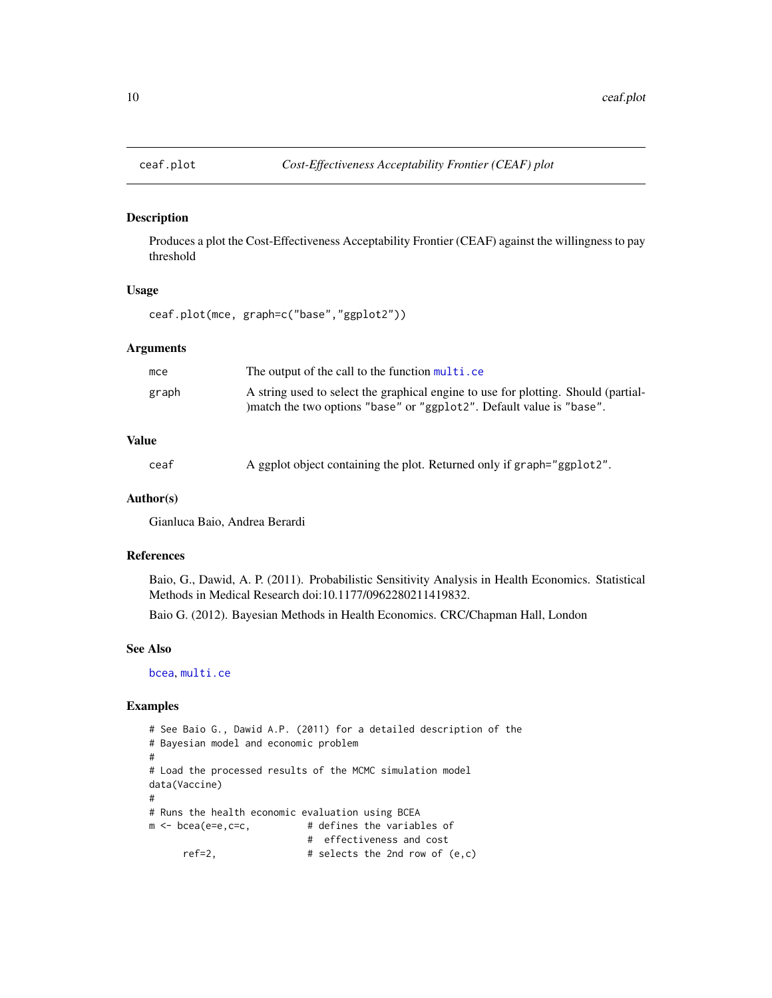<span id="page-9-1"></span><span id="page-9-0"></span>

#### Description

Produces a plot the Cost-Effectiveness Acceptability Frontier (CEAF) against the willingness to pay threshold

## Usage

ceaf.plot(mce, graph=c("base","ggplot2"))

#### **Arguments**

| mce   | The output of the call to the function multi.ce                                                                                                             |
|-------|-------------------------------------------------------------------------------------------------------------------------------------------------------------|
| graph | A string used to select the graphical engine to use for plotting. Should (partial-<br>) match the two options "base" or "ggplot2". Default value is "base". |

## Value

```
ceaf A ggplot object containing the plot. Returned only if graph="ggplot2".
```
#### Author(s)

Gianluca Baio, Andrea Berardi

#### References

Baio, G., Dawid, A. P. (2011). Probabilistic Sensitivity Analysis in Health Economics. Statistical Methods in Medical Research doi:10.1177/0962280211419832.

Baio G. (2012). Bayesian Methods in Health Economics. CRC/Chapman Hall, London

#### See Also

[bcea](#page-2-1), [multi.ce](#page-33-1)

## Examples

```
# See Baio G., Dawid A.P. (2011) for a detailed description of the
# Bayesian model and economic problem
#
# Load the processed results of the MCMC simulation model
data(Vaccine)
#
# Runs the health economic evaluation using BCEA
m <- bcea(e=e,c=c, \qquad # defines the variables of
                          # effectiveness and cost
     ref=2, # selects the 2nd row of (e,c)
```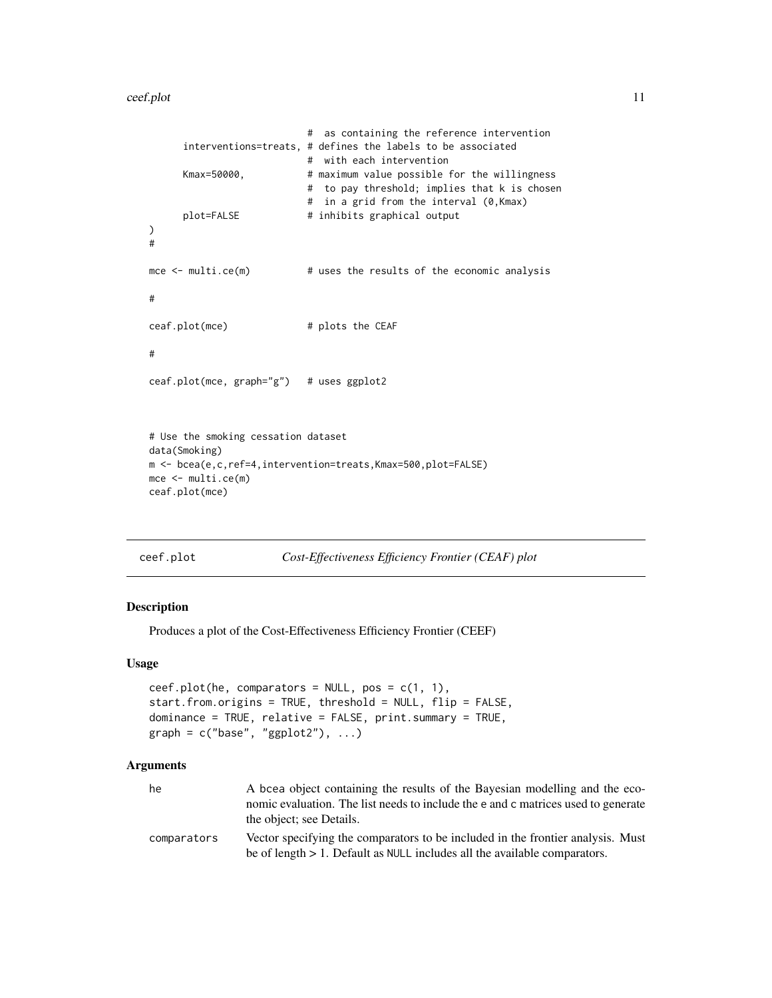#### <span id="page-10-0"></span>ceef.plot 11

```
# as containing the reference intervention
     interventions=treats, # defines the labels to be associated
                          # with each intervention
     Kmax=50000, # maximum value possible for the willingness
                          # to pay threshold; implies that k is chosen
                          # in a grid from the interval (0,Kmax)
     plot=FALSE # inhibits graphical output
)
#
mce <- multi.ce(m) # uses the results of the economic analysis
#
ceaf.plot(mce) # plots the CEAF
#
ceaf.plot(mce, graph="g") # uses ggplot2
# Use the smoking cessation dataset
data(Smoking)
m <- bcea(e,c,ref=4,intervention=treats,Kmax=500,plot=FALSE)
mce <- multi.ce(m)
ceaf.plot(mce)
```

```
ceef.plot Cost-Effectiveness Efficiency Frontier (CEAF) plot
```
#### Description

Produces a plot of the Cost-Effectiveness Efficiency Frontier (CEEF)

## Usage

```
ceef.plot(he, comparators = NULL, pos = c(1, 1),
start.from.origins = TRUE, threshold = NULL, flip = FALSE,
dominance = TRUE, relative = FALSE, print.summary = TRUE,
graph = c("base", "ggplot2"), ...)
```
#### Arguments

| he          | A bcea object containing the results of the Bayesian modelling and the eco-<br>nomic evaluation. The list needs to include the e and c matrices used to generate<br>the object; see Details. |
|-------------|----------------------------------------------------------------------------------------------------------------------------------------------------------------------------------------------|
| comparators | Vector specifying the comparators to be included in the frontier analysis. Must<br>be of length $> 1$ . Default as NULL includes all the available comparators.                              |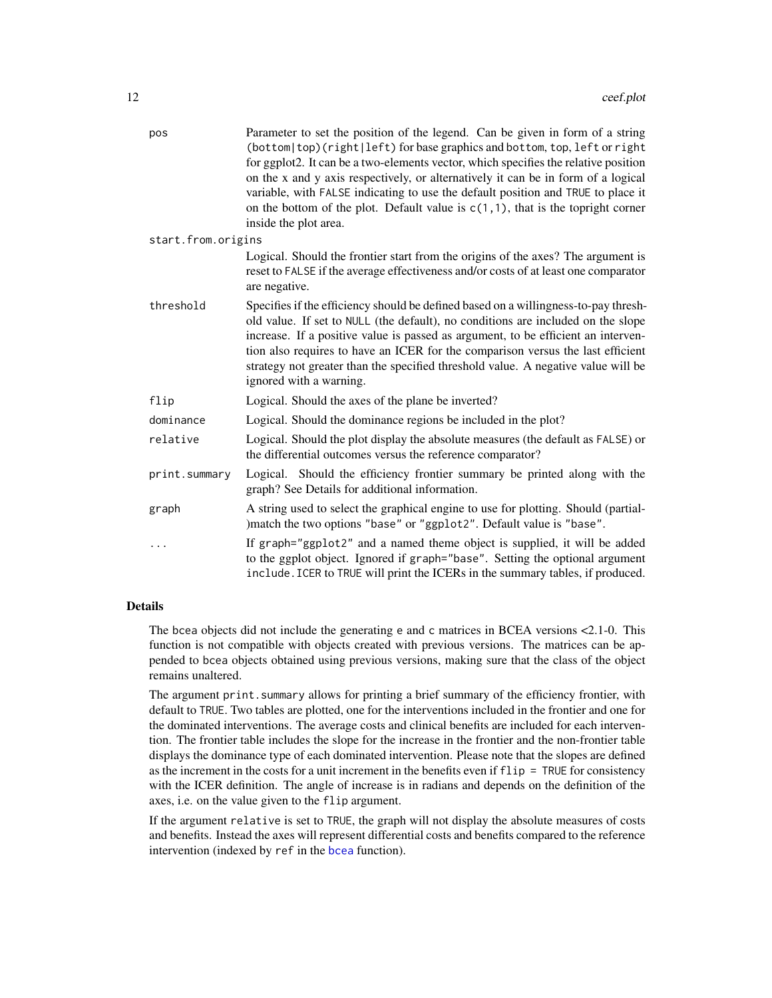<span id="page-11-0"></span>

| pos                | Parameter to set the position of the legend. Can be given in form of a string<br>(bottom top)(right left) for base graphics and bottom, top, left or right<br>for ggplot2. It can be a two-elements vector, which specifies the relative position<br>on the x and y axis respectively, or alternatively it can be in form of a logical<br>variable, with FALSE indicating to use the default position and TRUE to place it<br>on the bottom of the plot. Default value is $c(1,1)$ , that is the topright corner<br>inside the plot area. |
|--------------------|-------------------------------------------------------------------------------------------------------------------------------------------------------------------------------------------------------------------------------------------------------------------------------------------------------------------------------------------------------------------------------------------------------------------------------------------------------------------------------------------------------------------------------------------|
| start.from.origins |                                                                                                                                                                                                                                                                                                                                                                                                                                                                                                                                           |
|                    | Logical. Should the frontier start from the origins of the axes? The argument is<br>reset to FALSE if the average effectiveness and/or costs of at least one comparator<br>are negative.                                                                                                                                                                                                                                                                                                                                                  |
| threshold          | Specifies if the efficiency should be defined based on a willingness-to-pay thresh-<br>old value. If set to NULL (the default), no conditions are included on the slope<br>increase. If a positive value is passed as argument, to be efficient an interven-<br>tion also requires to have an ICER for the comparison versus the last efficient<br>strategy not greater than the specified threshold value. A negative value will be<br>ignored with a warning.                                                                           |
| flip               | Logical. Should the axes of the plane be inverted?                                                                                                                                                                                                                                                                                                                                                                                                                                                                                        |
| dominance          | Logical. Should the dominance regions be included in the plot?                                                                                                                                                                                                                                                                                                                                                                                                                                                                            |
| relative           | Logical. Should the plot display the absolute measures (the default as FALSE) or<br>the differential outcomes versus the reference comparator?                                                                                                                                                                                                                                                                                                                                                                                            |
| print.summary      | Logical. Should the efficiency frontier summary be printed along with the<br>graph? See Details for additional information.                                                                                                                                                                                                                                                                                                                                                                                                               |
| graph              | A string used to select the graphical engine to use for plotting. Should (partial-<br>)match the two options "base" or "ggplot2". Default value is "base".                                                                                                                                                                                                                                                                                                                                                                                |
|                    | If graph="ggplot2" and a named theme object is supplied, it will be added<br>to the ggplot object. Ignored if graph="base". Setting the optional argument<br>include. ICER to TRUE will print the ICERs in the summary tables, if produced.                                                                                                                                                                                                                                                                                               |
|                    |                                                                                                                                                                                                                                                                                                                                                                                                                                                                                                                                           |

#### Details

The bcea objects did not include the generating e and c matrices in BCEA versions <2.1-0. This function is not compatible with objects created with previous versions. The matrices can be appended to bcea objects obtained using previous versions, making sure that the class of the object remains unaltered.

The argument print. summary allows for printing a brief summary of the efficiency frontier, with default to TRUE. Two tables are plotted, one for the interventions included in the frontier and one for the dominated interventions. The average costs and clinical benefits are included for each intervention. The frontier table includes the slope for the increase in the frontier and the non-frontier table displays the dominance type of each dominated intervention. Please note that the slopes are defined as the increment in the costs for a unit increment in the benefits even if flip = TRUE for consistency with the ICER definition. The angle of increase is in radians and depends on the definition of the axes, i.e. on the value given to the flip argument.

If the argument relative is set to TRUE, the graph will not display the absolute measures of costs and benefits. Instead the axes will represent differential costs and benefits compared to the reference intervention (indexed by ref in the [bcea](#page-2-1) function).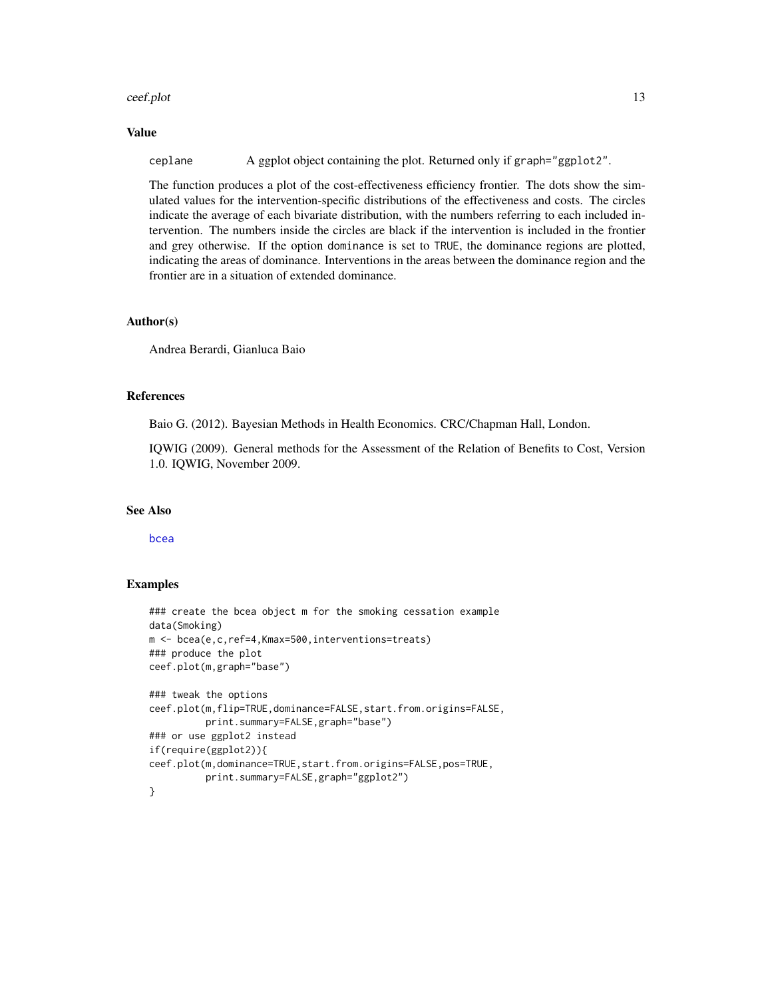#### <span id="page-12-0"></span>ceef.plot 13

## Value

ceplane A ggplot object containing the plot. Returned only if graph="ggplot2".

The function produces a plot of the cost-effectiveness efficiency frontier. The dots show the simulated values for the intervention-specific distributions of the effectiveness and costs. The circles indicate the average of each bivariate distribution, with the numbers referring to each included intervention. The numbers inside the circles are black if the intervention is included in the frontier and grey otherwise. If the option dominance is set to TRUE, the dominance regions are plotted, indicating the areas of dominance. Interventions in the areas between the dominance region and the frontier are in a situation of extended dominance.

#### Author(s)

Andrea Berardi, Gianluca Baio

#### References

Baio G. (2012). Bayesian Methods in Health Economics. CRC/Chapman Hall, London.

IQWIG (2009). General methods for the Assessment of the Relation of Benefits to Cost, Version 1.0. IQWIG, November 2009.

#### See Also

[bcea](#page-2-1)

#### Examples

```
### create the bcea object m for the smoking cessation example
data(Smoking)
m <- bcea(e,c,ref=4,Kmax=500,interventions=treats)
### produce the plot
ceef.plot(m,graph="base")
### tweak the options
ceef.plot(m,flip=TRUE,dominance=FALSE,start.from.origins=FALSE,
         print.summary=FALSE,graph="base")
### or use ggplot2 instead
if(require(ggplot2)){
ceef.plot(m,dominance=TRUE,start.from.origins=FALSE,pos=TRUE,
          print.summary=FALSE,graph="ggplot2")
}
```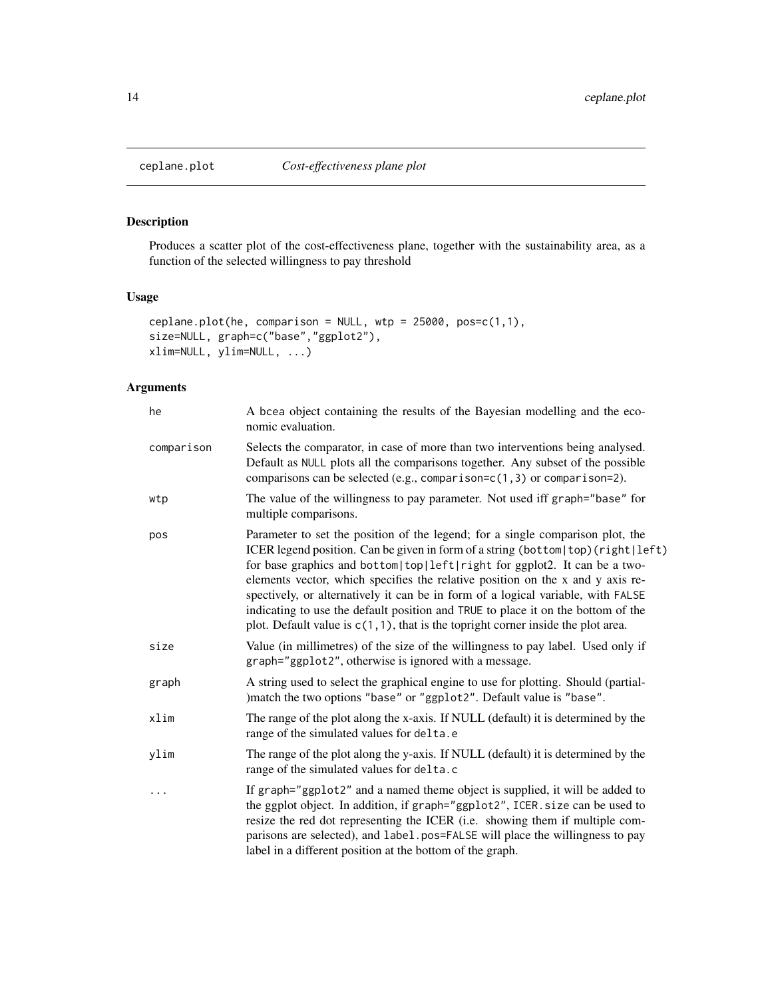<span id="page-13-1"></span><span id="page-13-0"></span>

## Description

Produces a scatter plot of the cost-effectiveness plane, together with the sustainability area, as a function of the selected willingness to pay threshold

## Usage

```
ceplane.plot(he, comparison = NULL, wtp = 25000, pos=c(1,1),
size=NULL, graph=c("base","ggplot2"),
xlim=NULL, ylim=NULL, ...)
```
## Arguments

| he         | A bcea object containing the results of the Bayesian modelling and the eco-<br>nomic evaluation.                                                                                                                                                                                                                                                                                                                                                                                                                                                                                                 |
|------------|--------------------------------------------------------------------------------------------------------------------------------------------------------------------------------------------------------------------------------------------------------------------------------------------------------------------------------------------------------------------------------------------------------------------------------------------------------------------------------------------------------------------------------------------------------------------------------------------------|
| comparison | Selects the comparator, in case of more than two interventions being analysed.<br>Default as NULL plots all the comparisons together. Any subset of the possible<br>comparisons can be selected (e.g., comparison= $c(1,3)$ or comparison=2).                                                                                                                                                                                                                                                                                                                                                    |
| wtp        | The value of the willingness to pay parameter. Not used iff graph="base" for<br>multiple comparisons.                                                                                                                                                                                                                                                                                                                                                                                                                                                                                            |
| pos        | Parameter to set the position of the legend; for a single comparison plot, the<br>ICER legend position. Can be given in form of a string (bottom top)(right left)<br>for base graphics and bottom top left right for ggplot2. It can be a two-<br>elements vector, which specifies the relative position on the x and y axis re-<br>spectively, or alternatively it can be in form of a logical variable, with FALSE<br>indicating to use the default position and TRUE to place it on the bottom of the<br>plot. Default value is $c(1, 1)$ , that is the topright corner inside the plot area. |
| size       | Value (in millimetres) of the size of the willingness to pay label. Used only if<br>graph="ggplot2", otherwise is ignored with a message.                                                                                                                                                                                                                                                                                                                                                                                                                                                        |
| graph      | A string used to select the graphical engine to use for plotting. Should (partial-<br>)match the two options "base" or "ggplot2". Default value is "base".                                                                                                                                                                                                                                                                                                                                                                                                                                       |
| xlim       | The range of the plot along the x-axis. If NULL (default) it is determined by the<br>range of the simulated values for delta.e                                                                                                                                                                                                                                                                                                                                                                                                                                                                   |
| ylim       | The range of the plot along the y-axis. If NULL (default) it is determined by the<br>range of the simulated values for delta.c                                                                                                                                                                                                                                                                                                                                                                                                                                                                   |
| .          | If graph="ggplot2" and a named theme object is supplied, it will be added to<br>the ggplot object. In addition, if graph="ggplot2", ICER. size can be used to<br>resize the red dot representing the ICER (i.e. showing them if multiple com-<br>parisons are selected), and label.pos=FALSE will place the willingness to pay<br>label in a different position at the bottom of the graph.                                                                                                                                                                                                      |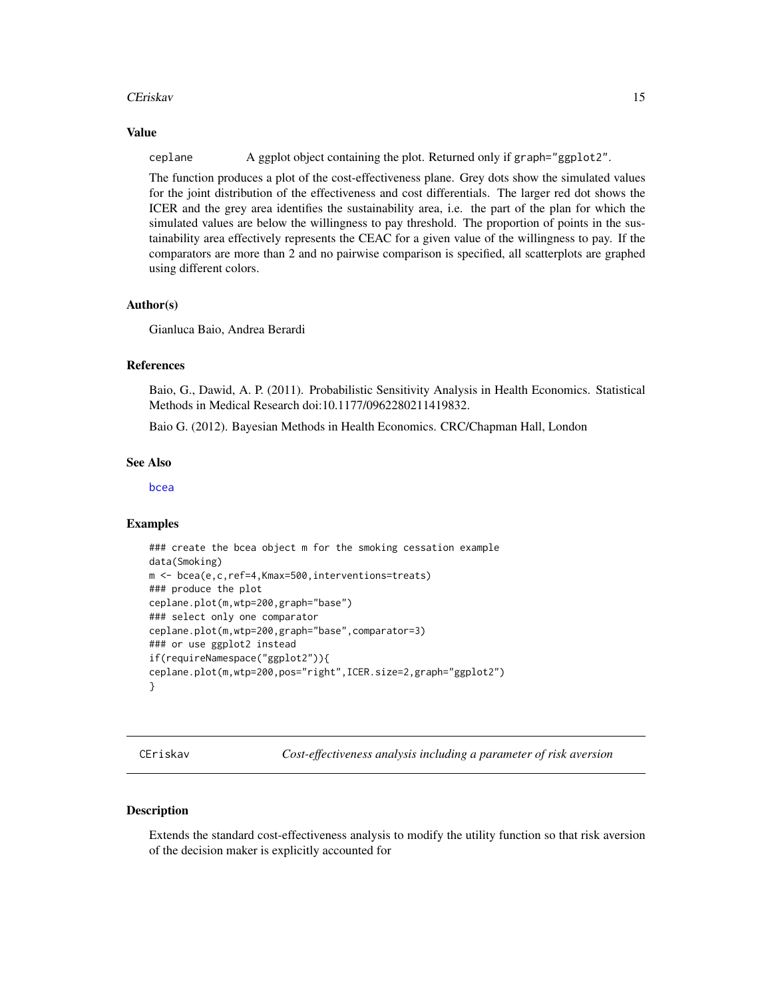#### <span id="page-14-0"></span>CEriskav 15

#### Value

ceplane A ggplot object containing the plot. Returned only if graph="ggplot2".

The function produces a plot of the cost-effectiveness plane. Grey dots show the simulated values for the joint distribution of the effectiveness and cost differentials. The larger red dot shows the ICER and the grey area identifies the sustainability area, i.e. the part of the plan for which the simulated values are below the willingness to pay threshold. The proportion of points in the sustainability area effectively represents the CEAC for a given value of the willingness to pay. If the comparators are more than 2 and no pairwise comparison is specified, all scatterplots are graphed using different colors.

#### Author(s)

Gianluca Baio, Andrea Berardi

#### References

Baio, G., Dawid, A. P. (2011). Probabilistic Sensitivity Analysis in Health Economics. Statistical Methods in Medical Research doi:10.1177/0962280211419832.

Baio G. (2012). Bayesian Methods in Health Economics. CRC/Chapman Hall, London

#### See Also

[bcea](#page-2-1)

#### Examples

```
### create the bcea object m for the smoking cessation example
data(Smoking)
m <- bcea(e,c,ref=4,Kmax=500,interventions=treats)
### produce the plot
ceplane.plot(m,wtp=200,graph="base")
### select only one comparator
ceplane.plot(m,wtp=200,graph="base",comparator=3)
### or use ggplot2 instead
if(requireNamespace("ggplot2")){
ceplane.plot(m,wtp=200,pos="right",ICER.size=2,graph="ggplot2")
}
```
<span id="page-14-1"></span>CEriskav *Cost-effectiveness analysis including a parameter of risk aversion*

#### Description

Extends the standard cost-effectiveness analysis to modify the utility function so that risk aversion of the decision maker is explicitly accounted for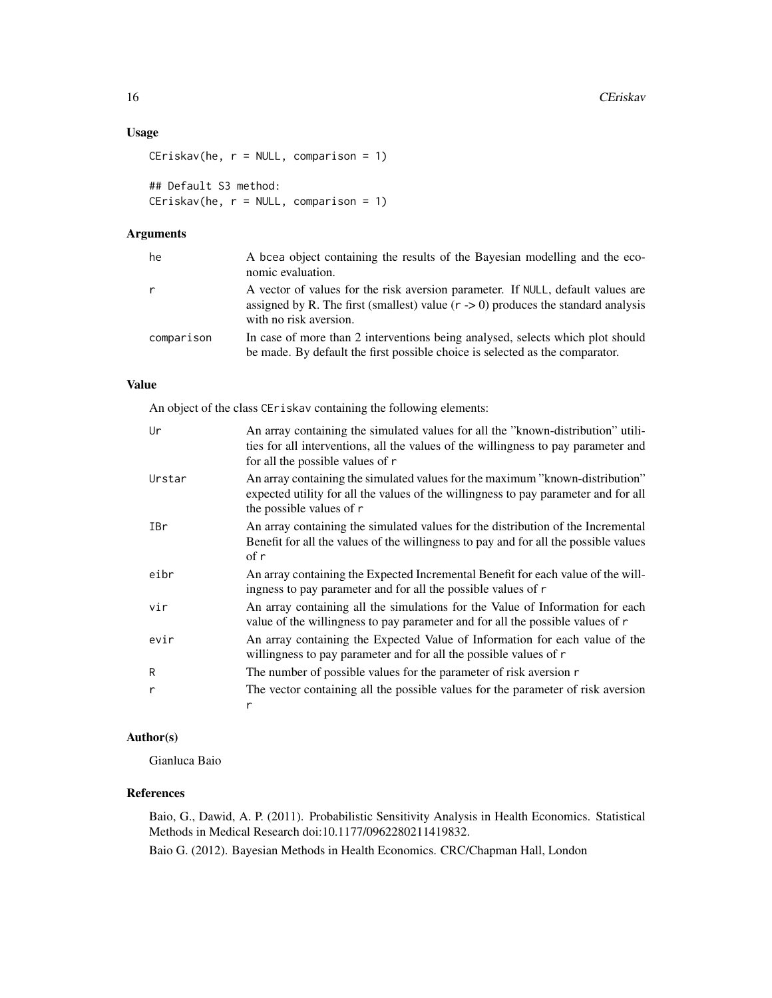## Usage

```
CEriskav(he, r = NULL, comparison = 1)
```
## Default S3 method: CEriskav(he, r = NULL, comparison = 1)

## Arguments

| he         | A bcea object containing the results of the Bayesian modelling and the eco-<br>nomic evaluation.                                                                                                          |
|------------|-----------------------------------------------------------------------------------------------------------------------------------------------------------------------------------------------------------|
|            | A vector of values for the risk aversion parameter. If NULL, default values are<br>assigned by R. The first (smallest) value $(r \rightarrow 0)$ produces the standard analysis<br>with no risk aversion. |
| comparison | In case of more than 2 interventions being analysed, selects which plot should<br>be made. By default the first possible choice is selected as the comparator.                                            |

## Value

An object of the class CEriskav containing the following elements:

| Ur     | An array containing the simulated values for all the "known-distribution" utili-<br>ties for all interventions, all the values of the willingness to pay parameter and<br>for all the possible values of r |
|--------|------------------------------------------------------------------------------------------------------------------------------------------------------------------------------------------------------------|
| Urstar | An array containing the simulated values for the maximum "known-distribution"<br>expected utility for all the values of the willingness to pay parameter and for all<br>the possible values of r           |
| IBr    | An array containing the simulated values for the distribution of the Incremental<br>Benefit for all the values of the willingness to pay and for all the possible values<br>of r                           |
| eibr   | An array containing the Expected Incremental Benefit for each value of the will-<br>ingness to pay parameter and for all the possible values of r                                                          |
| vir    | An array containing all the simulations for the Value of Information for each<br>value of the willingness to pay parameter and for all the possible values of r                                            |
| evir   | An array containing the Expected Value of Information for each value of the<br>willingness to pay parameter and for all the possible values of r                                                           |
| R      | The number of possible values for the parameter of risk aversion r                                                                                                                                         |
| r      | The vector containing all the possible values for the parameter of risk aversion<br>r                                                                                                                      |

## Author(s)

Gianluca Baio

## References

Baio, G., Dawid, A. P. (2011). Probabilistic Sensitivity Analysis in Health Economics. Statistical Methods in Medical Research doi:10.1177/0962280211419832.

Baio G. (2012). Bayesian Methods in Health Economics. CRC/Chapman Hall, London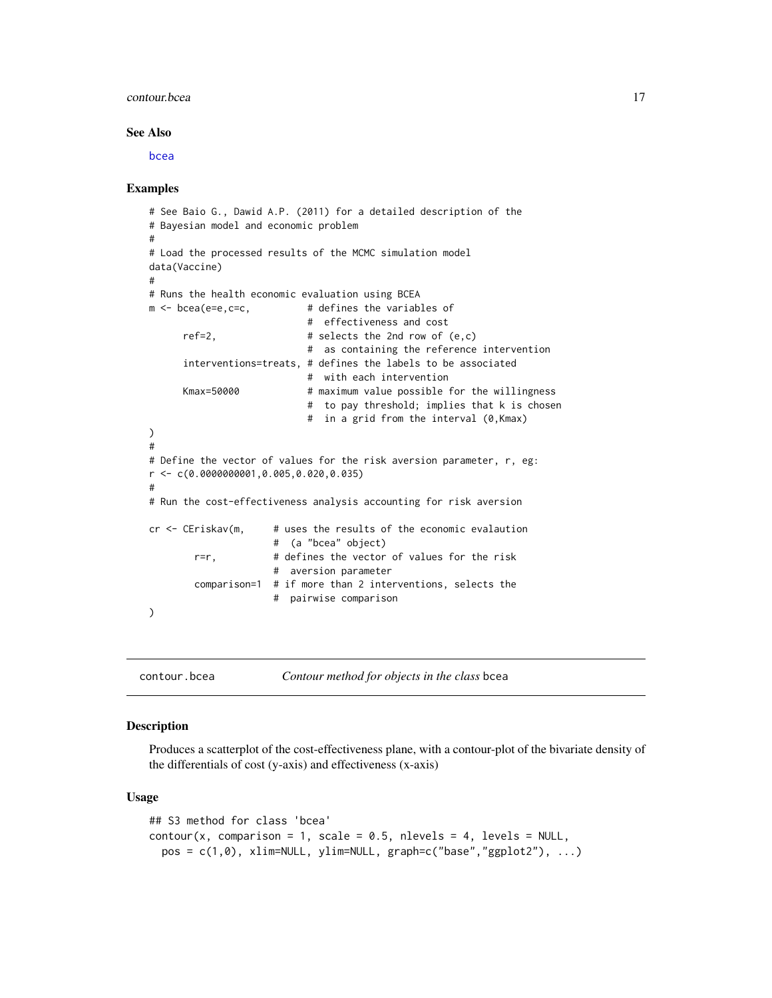#### <span id="page-16-0"></span>contour.bcea  $17$

#### See Also

[bcea](#page-2-1)

#### Examples

```
# See Baio G., Dawid A.P. (2011) for a detailed description of the
# Bayesian model and economic problem
#
# Load the processed results of the MCMC simulation model
data(Vaccine)
#
# Runs the health economic evaluation using BCEA
m <- bcea(e=e,c=c, # defines the variables of
                           # effectiveness and cost
     ref=2, \# selects the 2nd row of (e, c)# as containing the reference intervention
     interventions=treats, # defines the labels to be associated
                          # with each intervention
     Kmax=50000 # maximum value possible for the willingness
                           # to pay threshold; implies that k is chosen
                           # in a grid from the interval (0,Kmax)
)
#
# Define the vector of values for the risk aversion parameter, r, eg:
r <- c(0.0000000001,0.005,0.020,0.035)
#
# Run the cost-effectiveness analysis accounting for risk aversion
cr <- CEriskav(m, # uses the results of the economic evalaution
                     # (a "bcea" object)
       r=r, # defines the vector of values for the risk
                     # aversion parameter
       comparison=1 # if more than 2 interventions, selects the
                     # pairwise comparison
)
```
<span id="page-16-1"></span>contour.bcea *Contour method for objects in the class* bcea

#### **Description**

Produces a scatterplot of the cost-effectiveness plane, with a contour-plot of the bivariate density of the differentials of cost (y-axis) and effectiveness (x-axis)

#### Usage

```
## S3 method for class 'bcea'
contour(x, comparison = 1, scale = 0.5, nlevels = 4, levels = NULL,pos = c(1,0), xlim=NULL, ylim=NULL, graph=c("base", "ggplot2"), ...)
```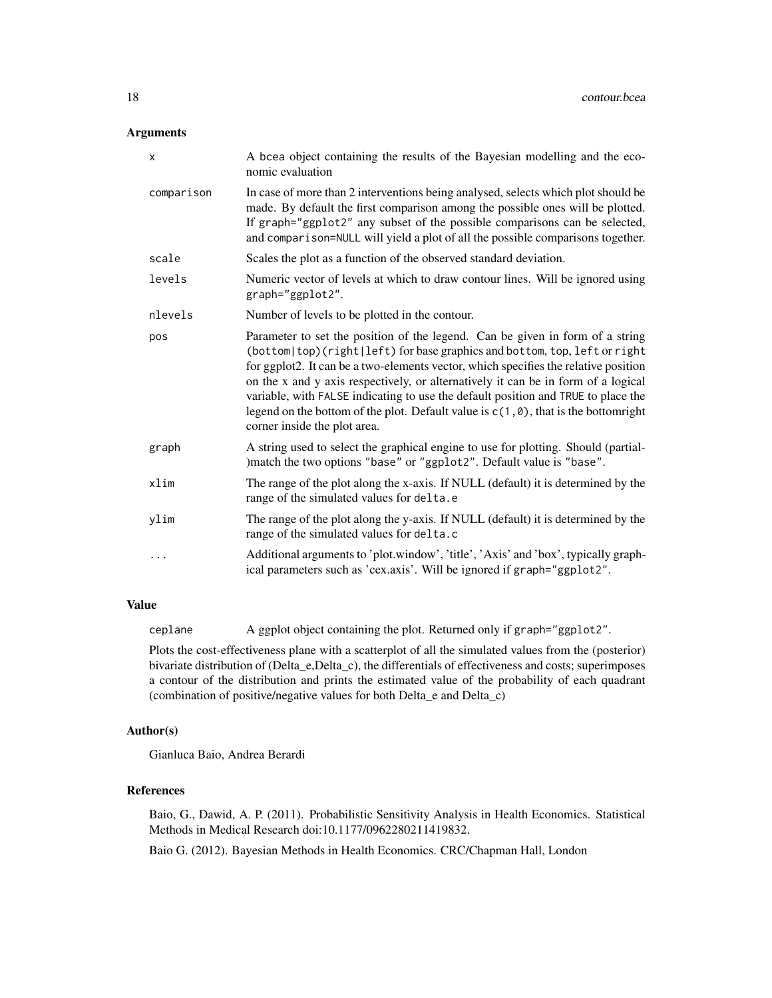#### Arguments

| X          | A bcea object containing the results of the Bayesian modelling and the eco-<br>nomic evaluation                                                                                                                                                                                                                                                                                                                                                                                                                                                             |
|------------|-------------------------------------------------------------------------------------------------------------------------------------------------------------------------------------------------------------------------------------------------------------------------------------------------------------------------------------------------------------------------------------------------------------------------------------------------------------------------------------------------------------------------------------------------------------|
| comparison | In case of more than 2 interventions being analysed, selects which plot should be<br>made. By default the first comparison among the possible ones will be plotted.<br>If graph="ggplot2" any subset of the possible comparisons can be selected,<br>and comparison=NULL will yield a plot of all the possible comparisons together.                                                                                                                                                                                                                        |
| scale      | Scales the plot as a function of the observed standard deviation.                                                                                                                                                                                                                                                                                                                                                                                                                                                                                           |
| levels     | Numeric vector of levels at which to draw contour lines. Will be ignored using<br>graph="ggplot2".                                                                                                                                                                                                                                                                                                                                                                                                                                                          |
| nlevels    | Number of levels to be plotted in the contour.                                                                                                                                                                                                                                                                                                                                                                                                                                                                                                              |
| pos        | Parameter to set the position of the legend. Can be given in form of a string<br>(bottom top)(right left) for base graphics and bottom, top, left or right<br>for ggplot2. It can be a two-elements vector, which specifies the relative position<br>on the x and y axis respectively, or alternatively it can be in form of a logical<br>variable, with FALSE indicating to use the default position and TRUE to place the<br>legend on the bottom of the plot. Default value is $c(1, \theta)$ , that is the bottom right<br>corner inside the plot area. |
| graph      | A string used to select the graphical engine to use for plotting. Should (partial-<br>)match the two options "base" or "ggplot2". Default value is "base".                                                                                                                                                                                                                                                                                                                                                                                                  |
| xlim       | The range of the plot along the x-axis. If NULL (default) it is determined by the<br>range of the simulated values for delta.e                                                                                                                                                                                                                                                                                                                                                                                                                              |
| ylim       | The range of the plot along the y-axis. If NULL (default) it is determined by the<br>range of the simulated values for delta.c                                                                                                                                                                                                                                                                                                                                                                                                                              |
| $\cdots$   | Additional arguments to 'plot.window', 'title', 'Axis' and 'box', typically graph-<br>ical parameters such as 'cex.axis'. Will be ignored if graph="ggplot2".                                                                                                                                                                                                                                                                                                                                                                                               |

#### Value

ceplane A ggplot object containing the plot. Returned only if graph="ggplot2".

Plots the cost-effectiveness plane with a scatterplot of all the simulated values from the (posterior) bivariate distribution of (Delta\_e,Delta\_c), the differentials of effectiveness and costs; superimposes a contour of the distribution and prints the estimated value of the probability of each quadrant (combination of positive/negative values for both Delta\_e and Delta\_c)

#### Author(s)

Gianluca Baio, Andrea Berardi

#### References

Baio, G., Dawid, A. P. (2011). Probabilistic Sensitivity Analysis in Health Economics. Statistical Methods in Medical Research doi:10.1177/0962280211419832.

Baio G. (2012). Bayesian Methods in Health Economics. CRC/Chapman Hall, London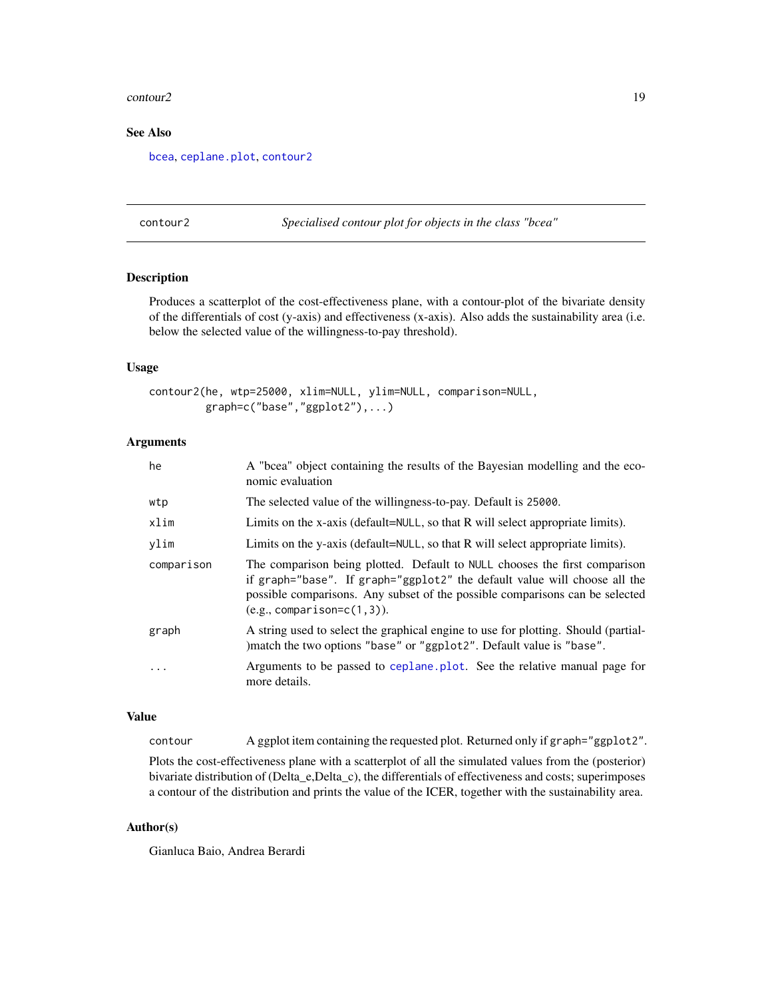#### <span id="page-18-0"></span>contour 2 and 2 and 2 and 2 and 2 and 2 and 2 and 2 and 2 and 2 and 2 and 2 and 2 and 2 and 2 and 2 and 2 and 2 and 2 and 2 and 2 and 2 and 2 and 2 and 2 and 2 and 2 and 2 and 2 and 2 and 2 and 2 and 2 and 2 and 2 and 2 an

## See Also

[bcea](#page-2-1), [ceplane.plot](#page-13-1), [contour2](#page-18-1)

<span id="page-18-1"></span>contour2 *Specialised contour plot for objects in the class "bcea"*

## Description

Produces a scatterplot of the cost-effectiveness plane, with a contour-plot of the bivariate density of the differentials of cost (y-axis) and effectiveness (x-axis). Also adds the sustainability area (i.e. below the selected value of the willingness-to-pay threshold).

#### Usage

```
contour2(he, wtp=25000, xlim=NULL, ylim=NULL, comparison=NULL,
         graph=c("base","ggplot2"),...)
```
#### Arguments

| he         | A "bcea" object containing the results of the Bayesian modelling and the eco-<br>nomic evaluation                                                                                                                                                                       |
|------------|-------------------------------------------------------------------------------------------------------------------------------------------------------------------------------------------------------------------------------------------------------------------------|
| wtp        | The selected value of the willingness-to-pay. Default is 25000.                                                                                                                                                                                                         |
| xlim       | Limits on the x-axis (default= $NULL$ , so that R will select appropriate limits).                                                                                                                                                                                      |
| ylim       | Limits on the y-axis (default=NULL, so that R will select appropriate limits).                                                                                                                                                                                          |
| comparison | The comparison being plotted. Default to NULL chooses the first comparison<br>if graph="base". If graph="ggplot2" the default value will choose all the<br>possible comparisons. Any subset of the possible comparisons can be selected<br>$(e.g., comparison=c(1,3)).$ |
| graph      | A string used to select the graphical engine to use for plotting. Should (partial-<br>) match the two options "base" or "ggplot2". Default value is "base".                                                                                                             |
| .          | Arguments to be passed to ceplane. plot. See the relative manual page for<br>more details.                                                                                                                                                                              |

#### Value

contour A ggplot item containing the requested plot. Returned only if graph="ggplot2".

Plots the cost-effectiveness plane with a scatterplot of all the simulated values from the (posterior) bivariate distribution of (Delta\_e,Delta\_c), the differentials of effectiveness and costs; superimposes a contour of the distribution and prints the value of the ICER, together with the sustainability area.

#### Author(s)

Gianluca Baio, Andrea Berardi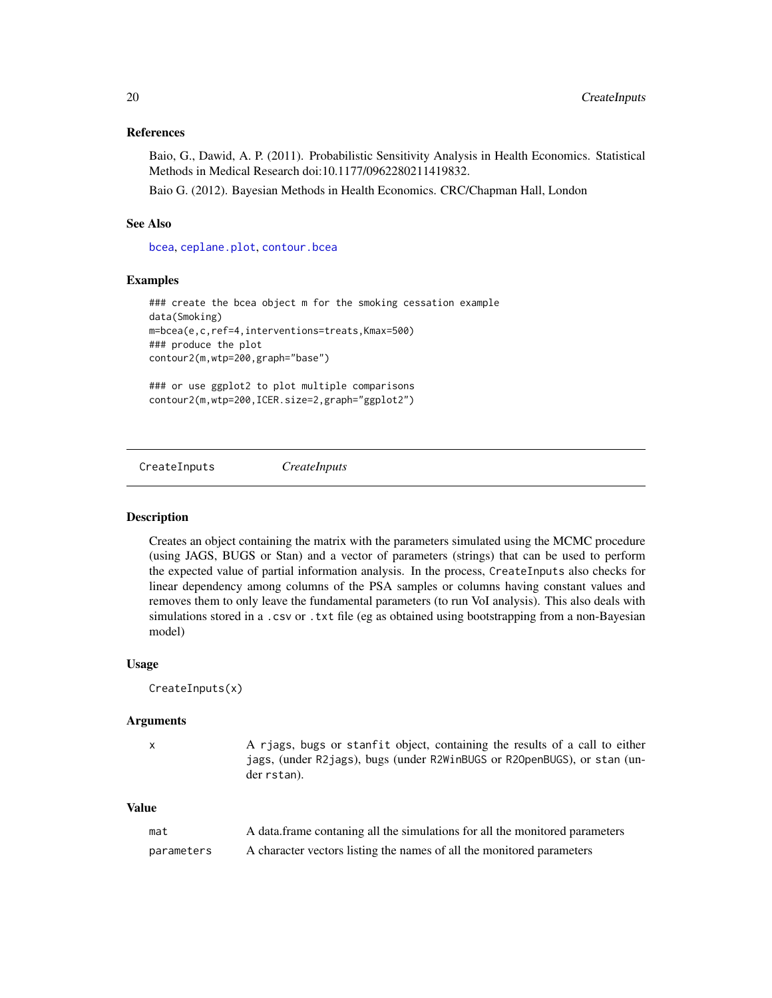### <span id="page-19-0"></span>References

Baio, G., Dawid, A. P. (2011). Probabilistic Sensitivity Analysis in Health Economics. Statistical Methods in Medical Research doi:10.1177/0962280211419832.

Baio G. (2012). Bayesian Methods in Health Economics. CRC/Chapman Hall, London

## See Also

[bcea](#page-2-1), [ceplane.plot](#page-13-1), [contour.bcea](#page-16-1)

#### Examples

```
### create the bcea object m for the smoking cessation example
data(Smoking)
m=bcea(e,c,ref=4,interventions=treats,Kmax=500)
### produce the plot
contour2(m,wtp=200,graph="base")
### or use ggplot2 to plot multiple comparisons
```
contour2(m,wtp=200,ICER.size=2,graph="ggplot2")

CreateInputs *CreateInputs*

#### Description

Creates an object containing the matrix with the parameters simulated using the MCMC procedure (using JAGS, BUGS or Stan) and a vector of parameters (strings) that can be used to perform the expected value of partial information analysis. In the process, CreateInputs also checks for linear dependency among columns of the PSA samples or columns having constant values and removes them to only leave the fundamental parameters (to run VoI analysis). This also deals with simulations stored in a .csv or .txt file (eg as obtained using bootstrapping from a non-Bayesian model)

#### Usage

```
CreateInputs(x)
```
#### Arguments

x A rjags, bugs or stanfit object, containing the results of a call to either jags, (under R2jags), bugs (under R2WinBUGS or R2OpenBUGS), or stan (under rstan).

#### Value

| mat        | A data frame contaning all the simulations for all the monitored parameters |
|------------|-----------------------------------------------------------------------------|
| parameters | A character vectors listing the names of all the monitored parameters       |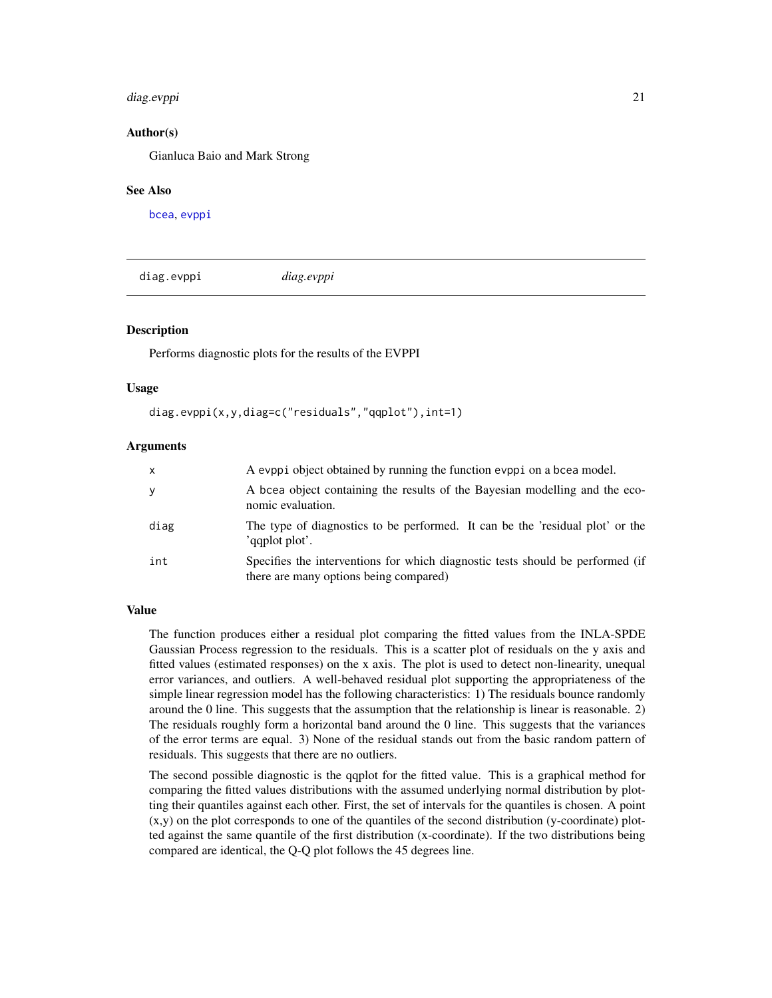#### <span id="page-20-0"></span>diag.evppi 21

### Author(s)

Gianluca Baio and Mark Strong

#### See Also

[bcea](#page-2-1), [evppi](#page-23-1)

diag.evppi *diag.evppi*

#### **Description**

Performs diagnostic plots for the results of the EVPPI

#### Usage

diag.evppi(x,y,diag=c("residuals","qqplot"),int=1)

#### Arguments

| $\mathsf{x}$ | A evppi object obtained by running the function evppi on a bcea model.                                                   |
|--------------|--------------------------------------------------------------------------------------------------------------------------|
| y            | A bcea object containing the results of the Bayesian modelling and the eco-<br>nomic evaluation.                         |
| diag         | The type of diagnostics to be performed. It can be the 'residual plot' or the<br>'aaplot plot'.                          |
| int          | Specifies the interventions for which diagnostic tests should be performed (if<br>there are many options being compared) |

## Value

The function produces either a residual plot comparing the fitted values from the INLA-SPDE Gaussian Process regression to the residuals. This is a scatter plot of residuals on the y axis and fitted values (estimated responses) on the x axis. The plot is used to detect non-linearity, unequal error variances, and outliers. A well-behaved residual plot supporting the appropriateness of the simple linear regression model has the following characteristics: 1) The residuals bounce randomly around the 0 line. This suggests that the assumption that the relationship is linear is reasonable. 2) The residuals roughly form a horizontal band around the 0 line. This suggests that the variances of the error terms are equal. 3) None of the residual stands out from the basic random pattern of residuals. This suggests that there are no outliers.

The second possible diagnostic is the qqplot for the fitted value. This is a graphical method for comparing the fitted values distributions with the assumed underlying normal distribution by plotting their quantiles against each other. First, the set of intervals for the quantiles is chosen. A point (x,y) on the plot corresponds to one of the quantiles of the second distribution (y-coordinate) plotted against the same quantile of the first distribution (x-coordinate). If the two distributions being compared are identical, the Q-Q plot follows the 45 degrees line.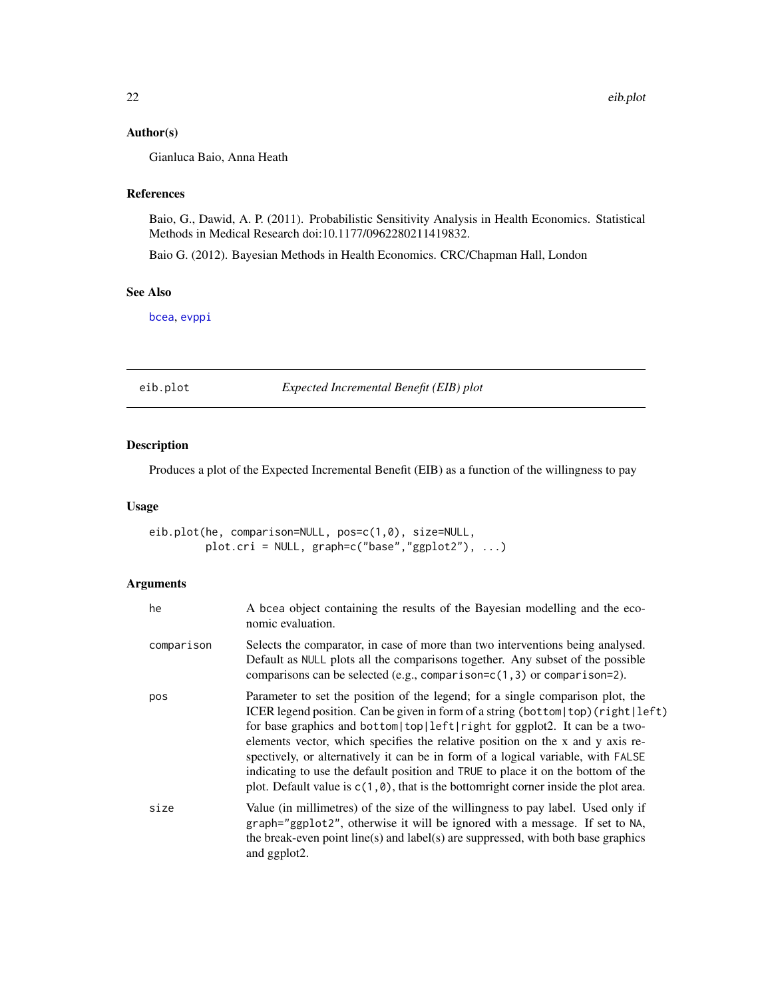## <span id="page-21-0"></span>Author(s)

Gianluca Baio, Anna Heath

## References

Baio, G., Dawid, A. P. (2011). Probabilistic Sensitivity Analysis in Health Economics. Statistical Methods in Medical Research doi:10.1177/0962280211419832.

Baio G. (2012). Bayesian Methods in Health Economics. CRC/Chapman Hall, London

#### See Also

[bcea](#page-2-1), [evppi](#page-23-1)

<span id="page-21-1"></span>eib.plot *Expected Incremental Benefit (EIB) plot*

## Description

Produces a plot of the Expected Incremental Benefit (EIB) as a function of the willingness to pay

#### Usage

eib.plot(he, comparison=NULL, pos=c(1,0), size=NULL, plot.cri = NULL, graph=c("base","ggplot2"), ...)

## Arguments

| he         | A bcea object containing the results of the Bayesian modelling and the eco-<br>nomic evaluation.                                                                                                                                                                                                                                                                                                                                                                                                                                                                                                                    |
|------------|---------------------------------------------------------------------------------------------------------------------------------------------------------------------------------------------------------------------------------------------------------------------------------------------------------------------------------------------------------------------------------------------------------------------------------------------------------------------------------------------------------------------------------------------------------------------------------------------------------------------|
| comparison | Selects the comparator, in case of more than two interventions being analysed.<br>Default as NULL plots all the comparisons together. Any subset of the possible<br>comparisons can be selected (e.g., comparison= $c(1, 3)$ or comparison=2).                                                                                                                                                                                                                                                                                                                                                                      |
| pos        | Parameter to set the position of the legend; for a single comparison plot, the<br>ICER legend position. Can be given in form of a string (bottom   top) (right   left)<br>for base graphics and bottom   top   left   right for ggplot2. It can be a two-<br>elements vector, which specifies the relative position on the x and y axis re-<br>spectively, or alternatively it can be in form of a logical variable, with FALSE<br>indicating to use the default position and TRUE to place it on the bottom of the<br>plot. Default value is $c(1, \theta)$ , that is the bottomright corner inside the plot area. |
| size       | Value (in millimetres) of the size of the willingness to pay label. Used only if<br>graph="ggplot2", otherwise it will be ignored with a message. If set to NA,<br>the break-even point line(s) and label(s) are suppressed, with both base graphics<br>and ggplot2.                                                                                                                                                                                                                                                                                                                                                |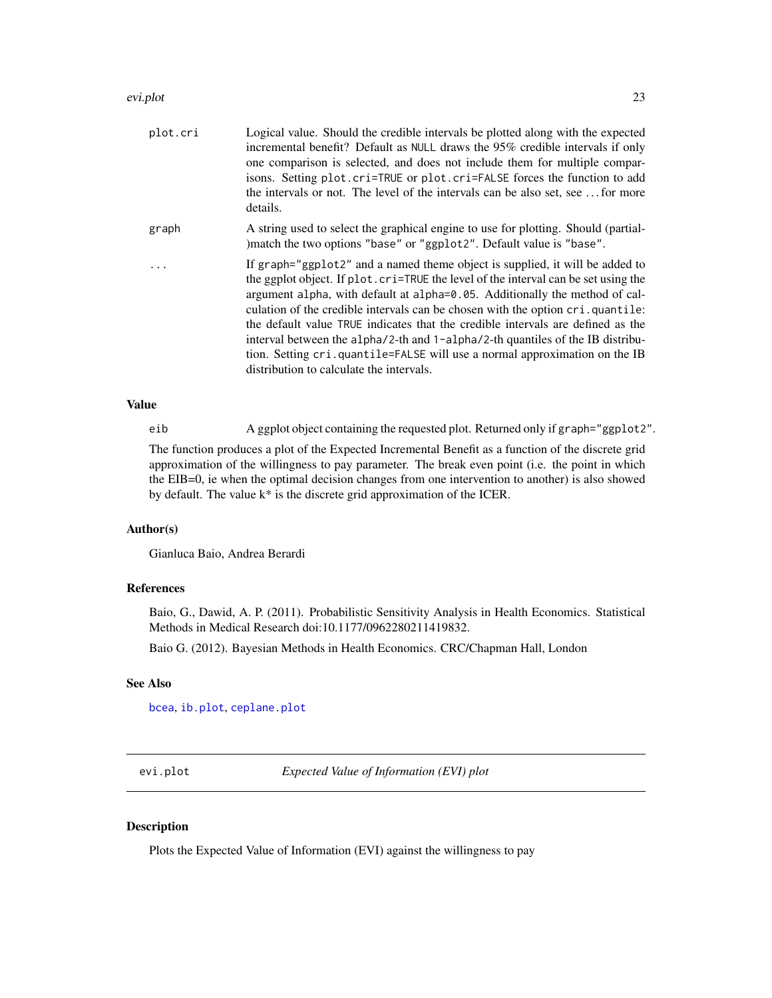#### <span id="page-22-0"></span>evi.plot 23

| plot.cri | Logical value. Should the credible intervals be plotted along with the expected<br>incremental benefit? Default as NULL draws the 95% credible intervals if only<br>one comparison is selected, and does not include them for multiple compar-<br>isons. Setting plot.cri=TRUE or plot.cri=FALSE forces the function to add<br>the intervals or not. The level of the intervals can be also set, see  for more<br>details.                                                                                                                                                                                                          |
|----------|-------------------------------------------------------------------------------------------------------------------------------------------------------------------------------------------------------------------------------------------------------------------------------------------------------------------------------------------------------------------------------------------------------------------------------------------------------------------------------------------------------------------------------------------------------------------------------------------------------------------------------------|
| graph    | A string used to select the graphical engine to use for plotting. Should (partial-<br>)match the two options "base" or "ggplot2". Default value is "base".                                                                                                                                                                                                                                                                                                                                                                                                                                                                          |
|          | If graph="ggplot2" and a named theme object is supplied, it will be added to<br>the ggplot object. If plot, cri=TRUE the level of the interval can be set using the<br>argument alpha, with default at alpha=0.05. Additionally the method of cal-<br>culation of the credible intervals can be chosen with the option cri.quantile:<br>the default value TRUE indicates that the credible intervals are defined as the<br>interval between the alpha/2-th and 1-alpha/2-th quantiles of the IB distribu-<br>tion. Setting cri.quantile=FALSE will use a normal approximation on the IB<br>distribution to calculate the intervals. |

## Value

eib A ggplot object containing the requested plot. Returned only if graph="ggplot2".

The function produces a plot of the Expected Incremental Benefit as a function of the discrete grid approximation of the willingness to pay parameter. The break even point (i.e. the point in which the EIB=0, ie when the optimal decision changes from one intervention to another) is also showed by default. The value k\* is the discrete grid approximation of the ICER.

### Author(s)

Gianluca Baio, Andrea Berardi

#### References

Baio, G., Dawid, A. P. (2011). Probabilistic Sensitivity Analysis in Health Economics. Statistical Methods in Medical Research doi:10.1177/0962280211419832.

Baio G. (2012). Bayesian Methods in Health Economics. CRC/Chapman Hall, London

## See Also

[bcea](#page-2-1), [ib.plot](#page-27-1), [ceplane.plot](#page-13-1)

<span id="page-22-1"></span>evi.plot *Expected Value of Information (EVI) plot*

## Description

Plots the Expected Value of Information (EVI) against the willingness to pay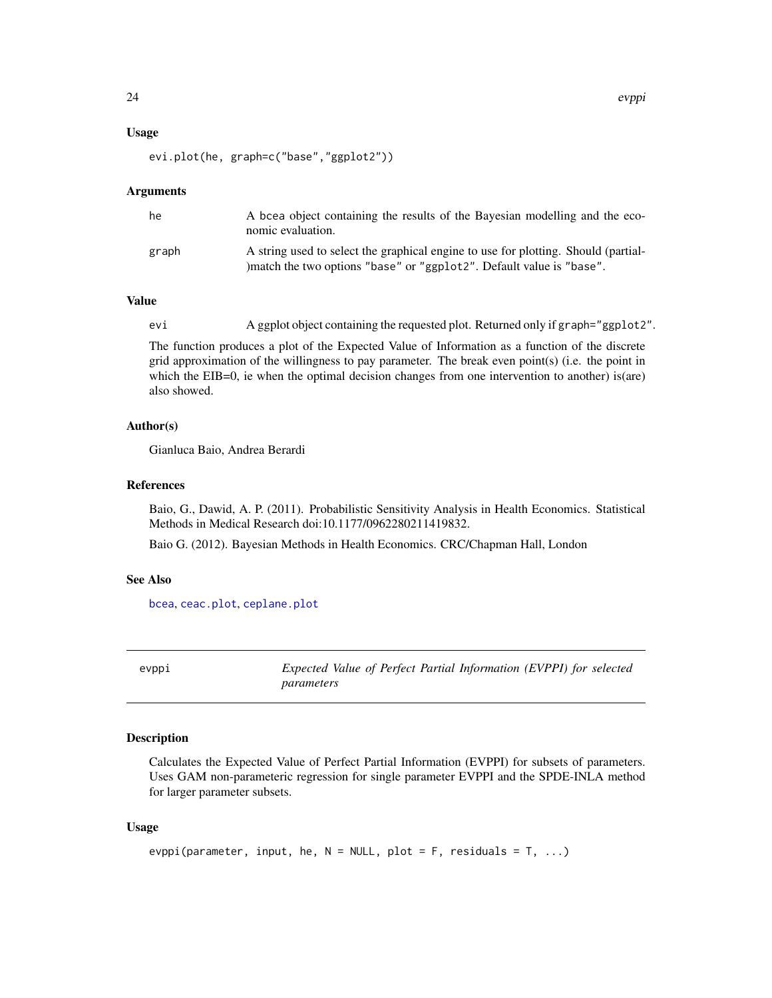#### <span id="page-23-0"></span>Usage

```
evi.plot(he, graph=c("base","ggplot2"))
```
#### Arguments

| he    | A bcea object containing the results of the Bayesian modelling and the eco-<br>nomic evaluation.                                                            |
|-------|-------------------------------------------------------------------------------------------------------------------------------------------------------------|
| graph | A string used to select the graphical engine to use for plotting. Should (partial-<br>) match the two options "base" or "ggplot2". Default value is "base". |

## Value

evi A ggplot object containing the requested plot. Returned only if graph="ggplot2".

The function produces a plot of the Expected Value of Information as a function of the discrete grid approximation of the willingness to pay parameter. The break even point(s) (i.e. the point in which the EIB=0, ie when the optimal decision changes from one intervention to another) is(are) also showed.

#### Author(s)

Gianluca Baio, Andrea Berardi

#### References

Baio, G., Dawid, A. P. (2011). Probabilistic Sensitivity Analysis in Health Economics. Statistical Methods in Medical Research doi:10.1177/0962280211419832.

Baio G. (2012). Bayesian Methods in Health Economics. CRC/Chapman Hall, London

#### See Also

[bcea](#page-2-1), [ceac.plot](#page-7-1), [ceplane.plot](#page-13-1)

<span id="page-23-1"></span>evppi *Expected Value of Perfect Partial Information (EVPPI) for selected parameters*

#### Description

Calculates the Expected Value of Perfect Partial Information (EVPPI) for subsets of parameters. Uses GAM non-parameteric regression for single parameter EVPPI and the SPDE-INLA method for larger parameter subsets.

#### Usage

```
evppi(parameter, input, he, N = NULL, plot = F, residuals = T, ...)
```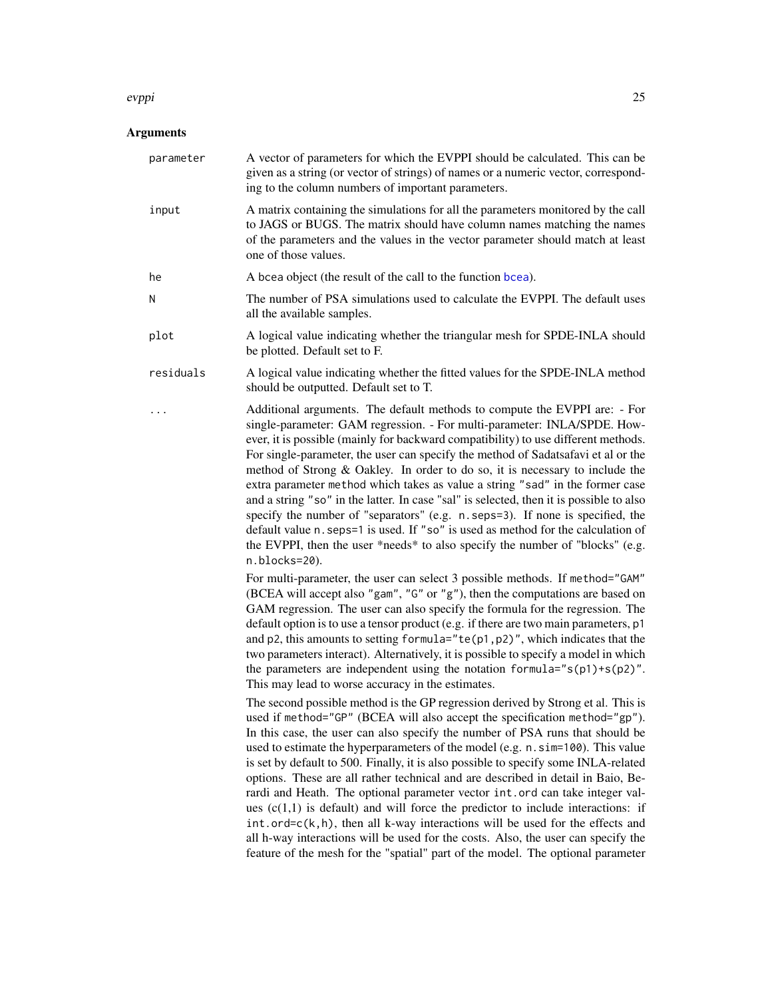#### <span id="page-24-0"></span>evppi 25

## Arguments

| parameter | A vector of parameters for which the EVPPI should be calculated. This can be<br>given as a string (or vector of strings) of names or a numeric vector, correspond-<br>ing to the column numbers of important parameters.                                                                                                                                                                                                                                                                                                                                                                                                                                                                                                                                                                                                                                                                                                                                                                                                                                                                                                                                                                                                                                                                                                                                                                                                                                                                                                                                                                                    |
|-----------|-------------------------------------------------------------------------------------------------------------------------------------------------------------------------------------------------------------------------------------------------------------------------------------------------------------------------------------------------------------------------------------------------------------------------------------------------------------------------------------------------------------------------------------------------------------------------------------------------------------------------------------------------------------------------------------------------------------------------------------------------------------------------------------------------------------------------------------------------------------------------------------------------------------------------------------------------------------------------------------------------------------------------------------------------------------------------------------------------------------------------------------------------------------------------------------------------------------------------------------------------------------------------------------------------------------------------------------------------------------------------------------------------------------------------------------------------------------------------------------------------------------------------------------------------------------------------------------------------------------|
| input     | A matrix containing the simulations for all the parameters monitored by the call<br>to JAGS or BUGS. The matrix should have column names matching the names<br>of the parameters and the values in the vector parameter should match at least<br>one of those values.                                                                                                                                                                                                                                                                                                                                                                                                                                                                                                                                                                                                                                                                                                                                                                                                                                                                                                                                                                                                                                                                                                                                                                                                                                                                                                                                       |
| he        | A bcea object (the result of the call to the function bcea).                                                                                                                                                                                                                                                                                                                                                                                                                                                                                                                                                                                                                                                                                                                                                                                                                                                                                                                                                                                                                                                                                                                                                                                                                                                                                                                                                                                                                                                                                                                                                |
| N         | The number of PSA simulations used to calculate the EVPPI. The default uses<br>all the available samples.                                                                                                                                                                                                                                                                                                                                                                                                                                                                                                                                                                                                                                                                                                                                                                                                                                                                                                                                                                                                                                                                                                                                                                                                                                                                                                                                                                                                                                                                                                   |
| plot      | A logical value indicating whether the triangular mesh for SPDE-INLA should<br>be plotted. Default set to F.                                                                                                                                                                                                                                                                                                                                                                                                                                                                                                                                                                                                                                                                                                                                                                                                                                                                                                                                                                                                                                                                                                                                                                                                                                                                                                                                                                                                                                                                                                |
| residuals | A logical value indicating whether the fitted values for the SPDE-INLA method<br>should be outputted. Default set to T.                                                                                                                                                                                                                                                                                                                                                                                                                                                                                                                                                                                                                                                                                                                                                                                                                                                                                                                                                                                                                                                                                                                                                                                                                                                                                                                                                                                                                                                                                     |
|           | Additional arguments. The default methods to compute the EVPPI are: - For<br>single-parameter: GAM regression. - For multi-parameter: INLA/SPDE. How-<br>ever, it is possible (mainly for backward compatibility) to use different methods.<br>For single-parameter, the user can specify the method of Sadatsafavi et al or the<br>method of Strong & Oakley. In order to do so, it is necessary to include the<br>extra parameter method which takes as value a string "sad" in the former case<br>and a string "so" in the latter. In case "sal" is selected, then it is possible to also<br>specify the number of "separators" (e.g. n. seps=3). If none is specified, the<br>default value n. seps=1 is used. If "so" is used as method for the calculation of<br>the EVPPI, then the user *needs* to also specify the number of "blocks" (e.g.<br>n.blocks=20).                                                                                                                                                                                                                                                                                                                                                                                                                                                                                                                                                                                                                                                                                                                                       |
|           | For multi-parameter, the user can select 3 possible methods. If method="GAM"<br>(BCEA will accept also "gam", "G" or "g"), then the computations are based on<br>GAM regression. The user can also specify the formula for the regression. The<br>default option is to use a tensor product (e.g. if there are two main parameters, p1<br>and p2, this amounts to setting formula=" $te(p1, p2)$ ", which indicates that the<br>two parameters interact). Alternatively, it is possible to specify a model in which<br>the parameters are independent using the notation formula=" $s(p1)+s(p2)$ ".<br>This may lead to worse accuracy in the estimates.<br>The second possible method is the GP regression derived by Strong et al. This is<br>used if method="GP" (BCEA will also accept the specification method="gp").<br>In this case, the user can also specify the number of PSA runs that should be<br>used to estimate the hyperparameters of the model (e.g. n. sim=100). This value<br>is set by default to 500. Finally, it is also possible to specify some INLA-related<br>options. These are all rather technical and are described in detail in Baio, Be-<br>rardi and Heath. The optional parameter vector int.ord can take integer val-<br>ues $(c(1,1))$ is default) and will force the predictor to include interactions: if<br>$int.ord=c(k,h)$ , then all k-way interactions will be used for the effects and<br>all h-way interactions will be used for the costs. Also, the user can specify the<br>feature of the mesh for the "spatial" part of the model. The optional parameter |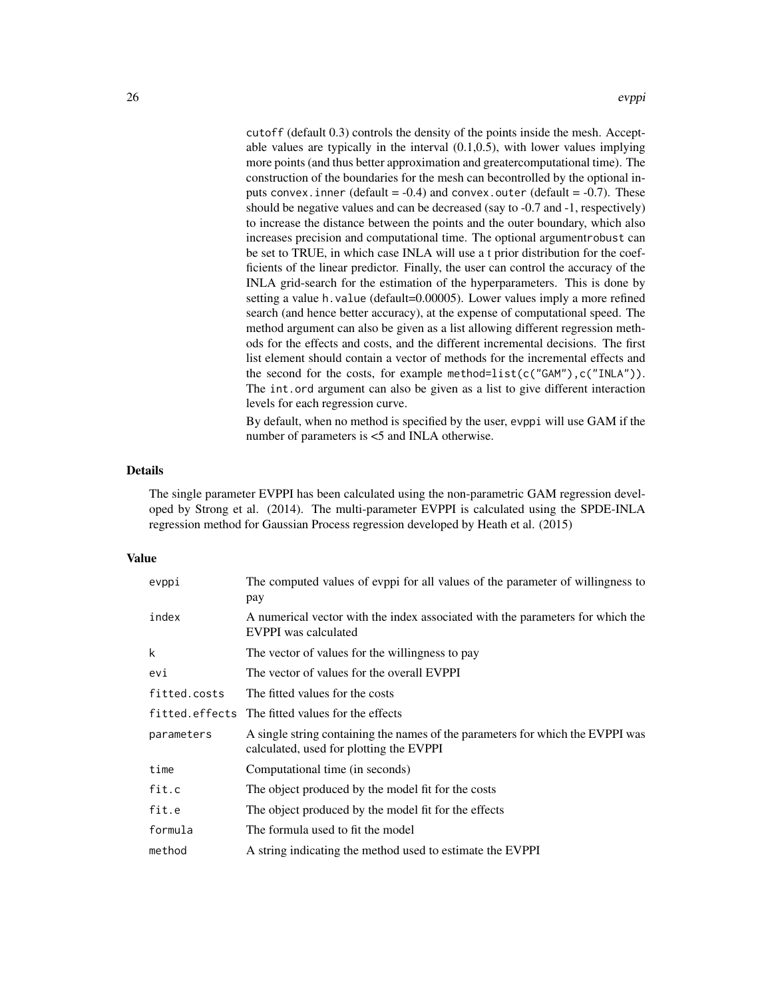cutoff (default 0.3) controls the density of the points inside the mesh. Acceptable values are typically in the interval (0.1,0.5), with lower values implying more points (and thus better approximation and greatercomputational time). The construction of the boundaries for the mesh can becontrolled by the optional inputs convex. inner (default =  $-0.4$ ) and convex. outer (default =  $-0.7$ ). These should be negative values and can be decreased (say to -0.7 and -1, respectively) to increase the distance between the points and the outer boundary, which also increases precision and computational time. The optional argumentrobust can be set to TRUE, in which case INLA will use a t prior distribution for the coefficients of the linear predictor. Finally, the user can control the accuracy of the INLA grid-search for the estimation of the hyperparameters. This is done by setting a value h.value (default=0.00005). Lower values imply a more refined search (and hence better accuracy), at the expense of computational speed. The method argument can also be given as a list allowing different regression methods for the effects and costs, and the different incremental decisions. The first list element should contain a vector of methods for the incremental effects and the second for the costs, for example method=list(c("GAM"),c("INLA")). The int.ord argument can also be given as a list to give different interaction levels for each regression curve.

By default, when no method is specified by the user, evppi will use GAM if the number of parameters is <5 and INLA otherwise.

## Details

The single parameter EVPPI has been calculated using the non-parametric GAM regression developed by Strong et al. (2014). The multi-parameter EVPPI is calculated using the SPDE-INLA regression method for Gaussian Process regression developed by Heath et al. (2015)

#### Value

| evppi        | The computed values of evppi for all values of the parameter of willingness to<br>pay                                     |
|--------------|---------------------------------------------------------------------------------------------------------------------------|
| index        | A numerical vector with the index associated with the parameters for which the<br><b>EVPPI</b> was calculated             |
| k            | The vector of values for the willingness to pay                                                                           |
| evi          | The vector of values for the overall EVPPI                                                                                |
| fitted.costs | The fitted values for the costs                                                                                           |
|              | fitted.effects The fitted values for the effects                                                                          |
| parameters   | A single string containing the names of the parameters for which the EVPPI was<br>calculated, used for plotting the EVPPI |
| time         | Computational time (in seconds)                                                                                           |
| fit.c        | The object produced by the model fit for the costs                                                                        |
| fit.e        | The object produced by the model fit for the effects                                                                      |
| formula      | The formula used to fit the model                                                                                         |
| method       | A string indicating the method used to estimate the EVPPI                                                                 |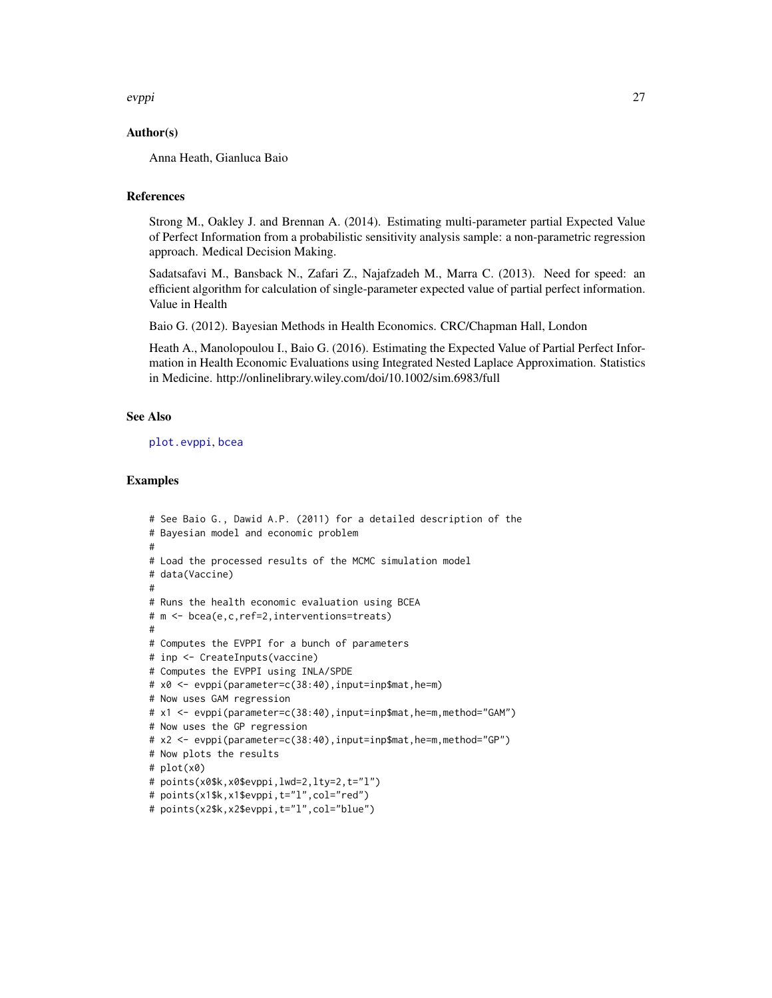<span id="page-26-0"></span>evppi 27

## Author(s)

Anna Heath, Gianluca Baio

## References

Strong M., Oakley J. and Brennan A. (2014). Estimating multi-parameter partial Expected Value of Perfect Information from a probabilistic sensitivity analysis sample: a non-parametric regression approach. Medical Decision Making.

Sadatsafavi M., Bansback N., Zafari Z., Najafzadeh M., Marra C. (2013). Need for speed: an efficient algorithm for calculation of single-parameter expected value of partial perfect information. Value in Health

Baio G. (2012). Bayesian Methods in Health Economics. CRC/Chapman Hall, London

Heath A., Manolopoulou I., Baio G. (2016). Estimating the Expected Value of Partial Perfect Information in Health Economic Evaluations using Integrated Nested Laplace Approximation. Statistics in Medicine. http://onlinelibrary.wiley.com/doi/10.1002/sim.6983/full

## See Also

[plot.evppi](#page-38-1), [bcea](#page-2-1)

#### Examples

```
# See Baio G., Dawid A.P. (2011) for a detailed description of the
# Bayesian model and economic problem
#
# Load the processed results of the MCMC simulation model
# data(Vaccine)
#
# Runs the health economic evaluation using BCEA
# m <- bcea(e,c,ref=2,interventions=treats)
#
# Computes the EVPPI for a bunch of parameters
# inp <- CreateInputs(vaccine)
# Computes the EVPPI using INLA/SPDE
# x0 <- evppi(parameter=c(38:40),input=inp$mat,he=m)
# Now uses GAM regression
# x1 <- evppi(parameter=c(38:40),input=inp$mat,he=m,method="GAM")
# Now uses the GP regression
# x2 <- evppi(parameter=c(38:40),input=inp$mat,he=m,method="GP")
# Now plots the results
# plot(x0)
# points(x0$k,x0$evppi,lwd=2,lty=2,t="l")
# points(x1$k,x1$evppi,t="l",col="red")
# points(x2$k,x2$evppi,t="l",col="blue")
```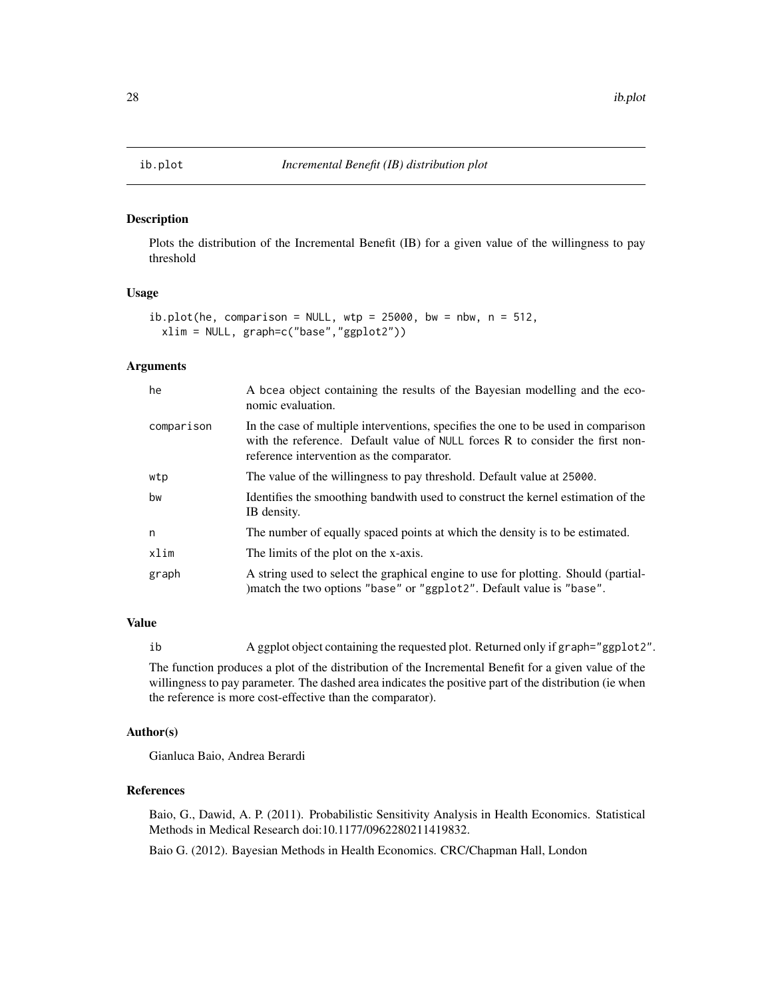<span id="page-27-1"></span><span id="page-27-0"></span>

#### Description

Plots the distribution of the Incremental Benefit (IB) for a given value of the willingness to pay threshold

#### Usage

```
ib.plot(he, comparison = NULL, wp = 25000, bw = nbw, n = 512,xlim = NULL, graph=c("base","ggplot2"))
```
## Arguments

| he         | A bcea object containing the results of the Bayesian modelling and the eco-<br>nomic evaluation.                                                                                                                |
|------------|-----------------------------------------------------------------------------------------------------------------------------------------------------------------------------------------------------------------|
| comparison | In the case of multiple interventions, specifies the one to be used in comparison<br>with the reference. Default value of NULL forces R to consider the first non-<br>reference intervention as the comparator. |
| wtp        | The value of the willingness to pay threshold. Default value at 25000.                                                                                                                                          |
| bw         | Identifies the smoothing bandwith used to construct the kernel estimation of the<br>IB density.                                                                                                                 |
| n          | The number of equally spaced points at which the density is to be estimated.                                                                                                                                    |
| xlim       | The limits of the plot on the x-axis.                                                                                                                                                                           |
| graph      | A string used to select the graphical engine to use for plotting. Should (partial-<br>)match the two options "base" or "ggplot2". Default value is "base".                                                      |

## Value

ib A ggplot object containing the requested plot. Returned only if graph="ggplot2".

The function produces a plot of the distribution of the Incremental Benefit for a given value of the willingness to pay parameter. The dashed area indicates the positive part of the distribution (ie when the reference is more cost-effective than the comparator).

#### Author(s)

Gianluca Baio, Andrea Berardi

#### References

Baio, G., Dawid, A. P. (2011). Probabilistic Sensitivity Analysis in Health Economics. Statistical Methods in Medical Research doi:10.1177/0962280211419832.

Baio G. (2012). Bayesian Methods in Health Economics. CRC/Chapman Hall, London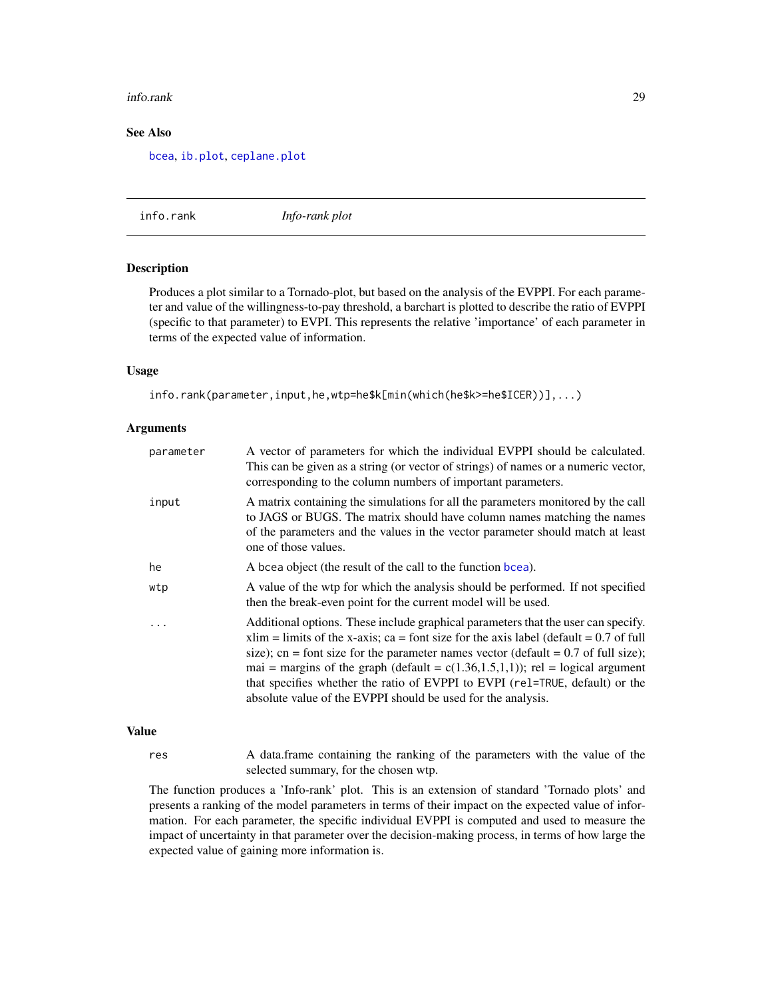#### <span id="page-28-0"></span>info.rank 29

## See Also

[bcea](#page-2-1), [ib.plot](#page-27-1), [ceplane.plot](#page-13-1)

info.rank *Info-rank plot*

## Description

Produces a plot similar to a Tornado-plot, but based on the analysis of the EVPPI. For each parameter and value of the willingness-to-pay threshold, a barchart is plotted to describe the ratio of EVPPI (specific to that parameter) to EVPI. This represents the relative 'importance' of each parameter in terms of the expected value of information.

#### Usage

info.rank(parameter,input,he,wtp=he\$k[min(which(he\$k>=he\$ICER))],...)

#### Arguments

| parameter | A vector of parameters for which the individual EVPPI should be calculated.<br>This can be given as a string (or vector of strings) of names or a numeric vector,<br>corresponding to the column numbers of important parameters.                                                                                                                                                                                                                                                                            |
|-----------|--------------------------------------------------------------------------------------------------------------------------------------------------------------------------------------------------------------------------------------------------------------------------------------------------------------------------------------------------------------------------------------------------------------------------------------------------------------------------------------------------------------|
| input     | A matrix containing the simulations for all the parameters monitored by the call<br>to JAGS or BUGS. The matrix should have column names matching the names<br>of the parameters and the values in the vector parameter should match at least<br>one of those values.                                                                                                                                                                                                                                        |
| he        | A bcea object (the result of the call to the function bcea).                                                                                                                                                                                                                                                                                                                                                                                                                                                 |
| wtp       | A value of the wtp for which the analysis should be performed. If not specified<br>then the break-even point for the current model will be used.                                                                                                                                                                                                                                                                                                                                                             |
|           | Additional options. These include graphical parameters that the user can specify.<br>$xlim$ = limits of the x-axis; ca = font size for the axis label (default = 0.7 of full<br>size); cn = font size for the parameter names vector (default = $0.7$ of full size);<br>mai = margins of the graph (default = $c(1.36, 1.5, 1, 1)$ ); rel = logical argument<br>that specifies whether the ratio of EVPPI to EVPI (rel=TRUE, default) or the<br>absolute value of the EVPPI should be used for the analysis. |

#### Value

res A data.frame containing the ranking of the parameters with the value of the selected summary, for the chosen wtp.

The function produces a 'Info-rank' plot. This is an extension of standard 'Tornado plots' and presents a ranking of the model parameters in terms of their impact on the expected value of information. For each parameter, the specific individual EVPPI is computed and used to measure the impact of uncertainty in that parameter over the decision-making process, in terms of how large the expected value of gaining more information is.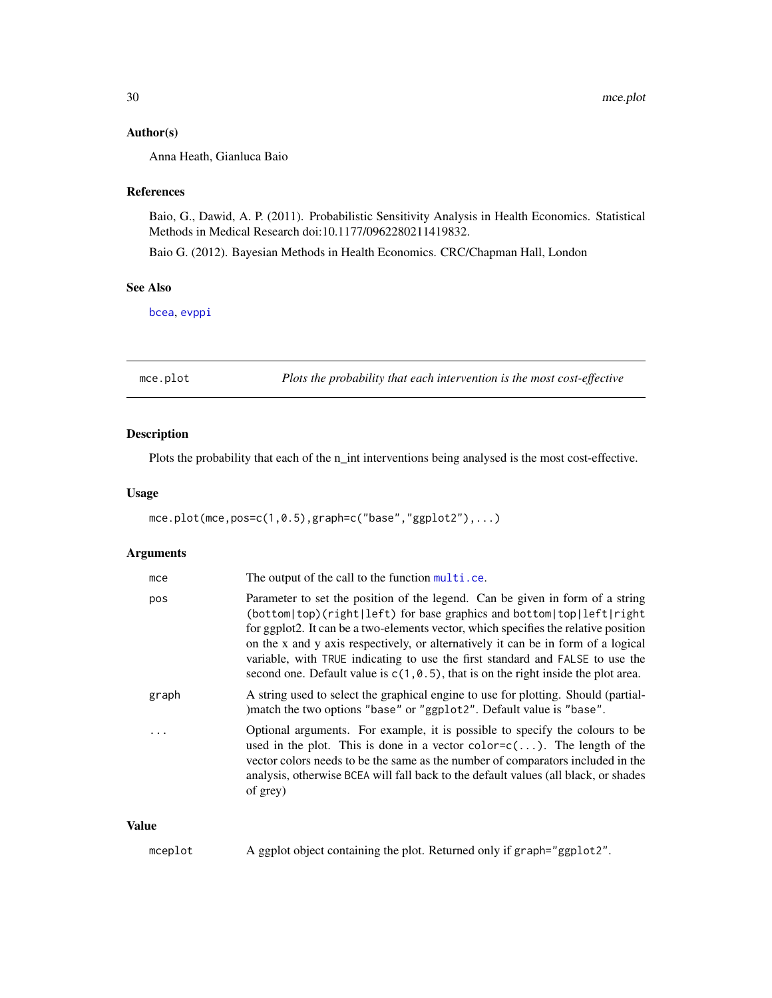#### <span id="page-29-0"></span>Author(s)

Anna Heath, Gianluca Baio

#### References

Baio, G., Dawid, A. P. (2011). Probabilistic Sensitivity Analysis in Health Economics. Statistical Methods in Medical Research doi:10.1177/0962280211419832.

Baio G. (2012). Bayesian Methods in Health Economics. CRC/Chapman Hall, London

## See Also

[bcea](#page-2-1), [evppi](#page-23-1)

<span id="page-29-1"></span>mce.plot *Plots the probability that each intervention is the most cost-effective*

## Description

Plots the probability that each of the n\_int interventions being analysed is the most cost-effective.

## Usage

mce.plot(mce,pos=c(1,0.5),graph=c("base","ggplot2"),...)

## Arguments

| mce   | The output of the call to the function multi.ce.                                                                                                                                                                                                                                                                                                                                                                                                                                                            |
|-------|-------------------------------------------------------------------------------------------------------------------------------------------------------------------------------------------------------------------------------------------------------------------------------------------------------------------------------------------------------------------------------------------------------------------------------------------------------------------------------------------------------------|
| pos   | Parameter to set the position of the legend. Can be given in form of a string<br>(bottom top)(right left) for base graphics and bottom top left right<br>for ggplot2. It can be a two-elements vector, which specifies the relative position<br>on the x and y axis respectively, or alternatively it can be in form of a logical<br>variable, with TRUE indicating to use the first standard and FALSE to use the<br>second one. Default value is $c(1, 0.5)$ , that is on the right inside the plot area. |
| graph | A string used to select the graphical engine to use for plotting. Should (partial-<br>) match the two options "base" or "ggplot2". Default value is "base".                                                                                                                                                                                                                                                                                                                                                 |
|       | Optional arguments. For example, it is possible to specify the colours to be<br>used in the plot. This is done in a vector $color=c()$ . The length of the<br>vector colors needs to be the same as the number of comparators included in the<br>analysis, otherwise BCEA will fall back to the default values (all black, or shades<br>of grey)                                                                                                                                                            |

## Value

mceplot A ggplot object containing the plot. Returned only if graph="ggplot2".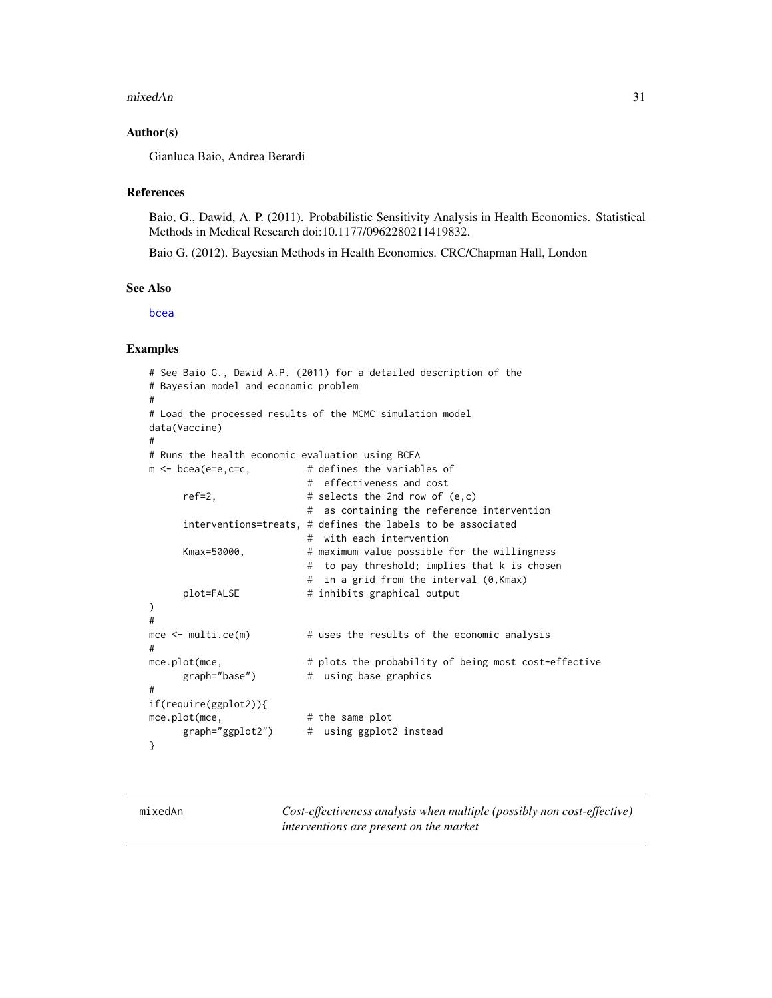#### <span id="page-30-0"></span>mixedAn 31

## Author(s)

Gianluca Baio, Andrea Berardi

#### References

Baio, G., Dawid, A. P. (2011). Probabilistic Sensitivity Analysis in Health Economics. Statistical Methods in Medical Research doi:10.1177/0962280211419832.

Baio G. (2012). Bayesian Methods in Health Economics. CRC/Chapman Hall, London

## See Also

[bcea](#page-2-1)

#### Examples

```
# See Baio G., Dawid A.P. (2011) for a detailed description of the
# Bayesian model and economic problem
#
# Load the processed results of the MCMC simulation model
data(Vaccine)
#
# Runs the health economic evaluation using BCEA
m \leq - bcea(e=e,c=c, \qquad \qquad # defines the variables of
                          # effectiveness and cost
     ref=2, \# selects the 2nd row of (e, c)# as containing the reference intervention
     interventions=treats, # defines the labels to be associated
                          # with each intervention
     Kmax=50000, # maximum value possible for the willingness
                          # to pay threshold; implies that k is chosen
                          # in a grid from the interval (0,Kmax)
     plot=FALSE # inhibits graphical output
)
#
mce \le multi.ce(m) \qquad # uses the results of the economic analysis
#
mce.plot(mce, \qquad # plots the probability of being most cost-effective
     graph="base") # using base graphics
#
if(require(ggplot2)){
mce.plot(mce, # the same plot
     graph="ggplot2") # using ggplot2 instead
}
```
<span id="page-30-1"></span>

mixedAn *Cost-effectiveness analysis when multiple (possibly non cost-effective) interventions are present on the market*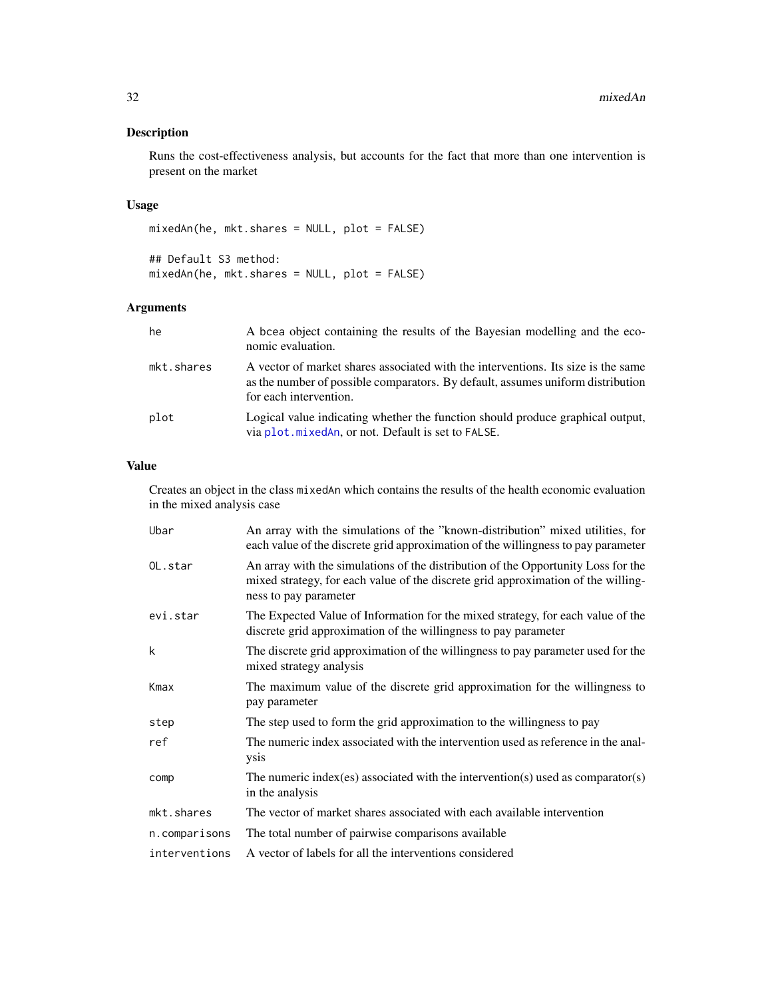## <span id="page-31-0"></span>Description

Runs the cost-effectiveness analysis, but accounts for the fact that more than one intervention is present on the market

## Usage

mixedAn(he, mkt.shares = NULL, plot = FALSE)

## Default S3 method: mixedAn(he, mkt.shares = NULL, plot = FALSE)

## Arguments

| he         | A bcea object containing the results of the Bayesian modelling and the eco-<br>nomic evaluation.                                                                                               |
|------------|------------------------------------------------------------------------------------------------------------------------------------------------------------------------------------------------|
| mkt.shares | A vector of market shares associated with the interventions. Its size is the same<br>as the number of possible comparators. By default, assumes uniform distribution<br>for each intervention. |
| plot       | Logical value indicating whether the function should produce graphical output,<br>via plot. mixedAn, or not. Default is set to FALSE.                                                          |

## Value

Creates an object in the class mixedAn which contains the results of the health economic evaluation in the mixed analysis case

| Ubar          | An array with the simulations of the "known-distribution" mixed utilities, for<br>each value of the discrete grid approximation of the willingness to pay parameter                             |
|---------------|-------------------------------------------------------------------------------------------------------------------------------------------------------------------------------------------------|
| OL.star       | An array with the simulations of the distribution of the Opportunity Loss for the<br>mixed strategy, for each value of the discrete grid approximation of the willing-<br>ness to pay parameter |
| evi.star      | The Expected Value of Information for the mixed strategy, for each value of the<br>discrete grid approximation of the willingness to pay parameter                                              |
| k             | The discrete grid approximation of the willingness to pay parameter used for the<br>mixed strategy analysis                                                                                     |
| Kmax          | The maximum value of the discrete grid approximation for the willingness to<br>pay parameter                                                                                                    |
| step          | The step used to form the grid approximation to the willingness to pay                                                                                                                          |
| ref           | The numeric index associated with the intervention used as reference in the anal-<br>ysis                                                                                                       |
| comp          | The numeric index (es) associated with the intervention (s) used as comparator $(s)$<br>in the analysis                                                                                         |
| mkt.shares    | The vector of market shares associated with each available intervention                                                                                                                         |
| n.comparisons | The total number of pairwise comparisons available                                                                                                                                              |
| interventions | A vector of labels for all the interventions considered                                                                                                                                         |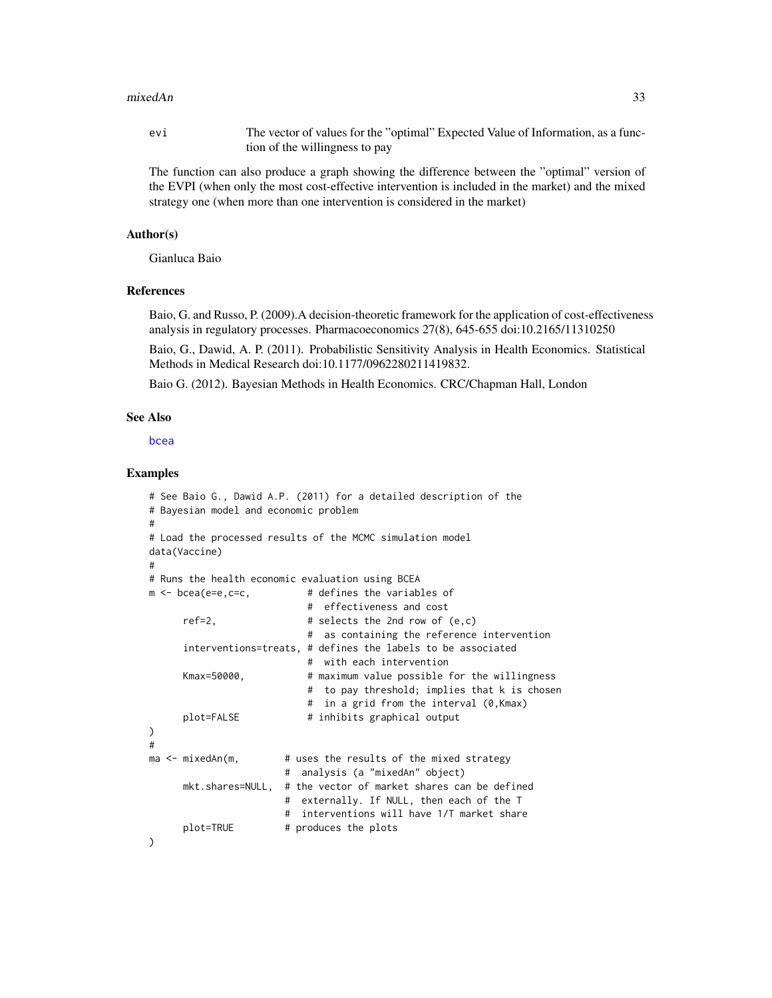#### <span id="page-32-0"></span>mixedAn 33

evi The vector of values for the "optimal" Expected Value of Information, as a function of the willingness to pay

The function can also produce a graph showing the difference between the "optimal" version of the EVPI (when only the most cost-effective intervention is included in the market) and the mixed strategy one (when more than one intervention is considered in the market)

#### Author(s)

Gianluca Baio

## References

Baio, G. and Russo, P. (2009).A decision-theoretic framework for the application of cost-effectiveness analysis in regulatory processes. Pharmacoeconomics 27(8), 645-655 doi:10.2165/11310250

Baio, G., Dawid, A. P. (2011). Probabilistic Sensitivity Analysis in Health Economics. Statistical Methods in Medical Research doi:10.1177/0962280211419832.

Baio G. (2012). Bayesian Methods in Health Economics. CRC/Chapman Hall, London

#### See Also

[bcea](#page-2-1)

#### Examples

```
# See Baio G., Dawid A.P. (2011) for a detailed description of the
# Bayesian model and economic problem
#
# Load the processed results of the MCMC simulation model
data(Vaccine)
#
# Runs the health economic evaluation using BCEA
m \leq - bcea(e=e,c=c, \qquad \qquad # defines the variables of
                           # effectiveness and cost
     ref=2, # selects the 2nd row of <math>(e,c)</math># as containing the reference intervention
     interventions=treats, # defines the labels to be associated
                           # with each intervention
     Kmax=50000, # maximum value possible for the willingness
                           # to pay threshold; implies that k is chosen
                           # in a grid from the interval (0,Kmax)
     plot=FALSE # inhibits graphical output
\lambda#
ma <- mixedAn(m, # uses the results of the mixed strategy
                       # analysis (a "mixedAn" object)
     mkt.shares=NULL, # the vector of market shares can be defined
                       # externally. If NULL, then each of the T
                       # interventions will have 1/T market share
     plot=TRUE # produces the plots
)
```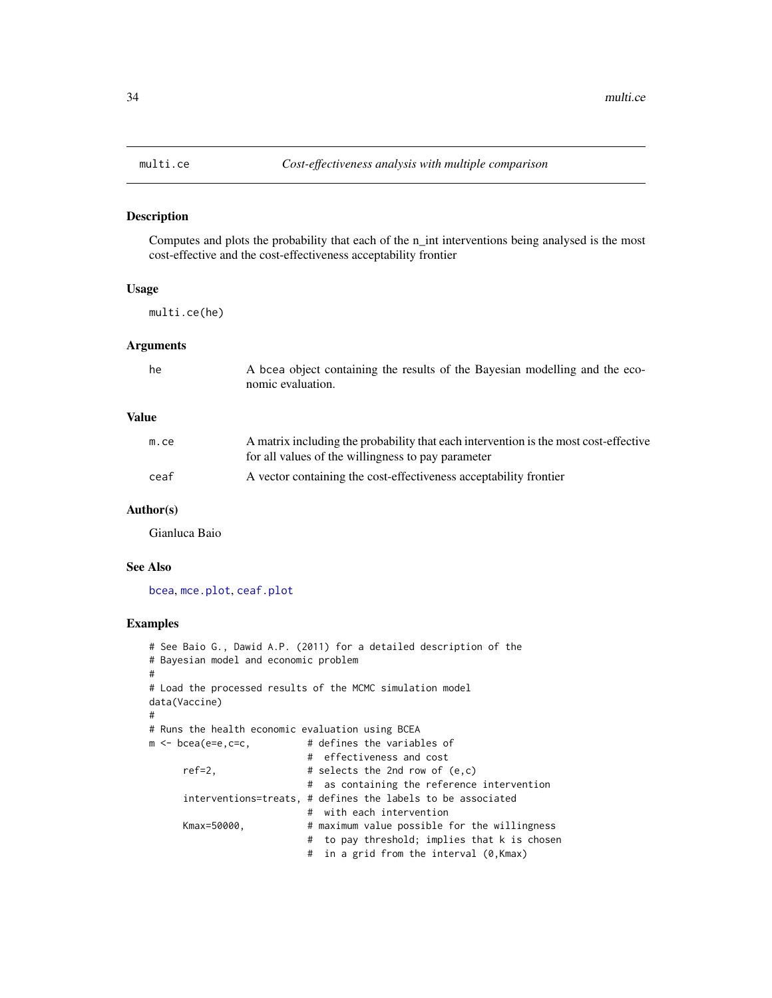## Description

Computes and plots the probability that each of the n\_int interventions being analysed is the most cost-effective and the cost-effectiveness acceptability frontier

#### Usage

multi.ce(he)

## Arguments

| he | A bcea object containing the results of the Bayesian modelling and the eco- |
|----|-----------------------------------------------------------------------------|
|    | nomic evaluation.                                                           |

## Value

| m.ce | A matrix including the probability that each intervention is the most cost-effective<br>for all values of the willingness to pay parameter |
|------|--------------------------------------------------------------------------------------------------------------------------------------------|
| ceaf | A vector containing the cost-effectiveness acceptability frontier                                                                          |

#### Author(s)

Gianluca Baio

## See Also

[bcea](#page-2-1), [mce.plot](#page-29-1), [ceaf.plot](#page-9-1)

#### Examples

```
# See Baio G., Dawid A.P. (2011) for a detailed description of the
# Bayesian model and economic problem
#
# Load the processed results of the MCMC simulation model
data(Vaccine)
#
# Runs the health economic evaluation using BCEA
m <- bcea(e=e,c=c, \qquad # defines the variables of
                           # effectiveness and cost
     ref=2, # selects the 2nd row of <math>(e, c)</math># as containing the reference intervention
     interventions=treats, # defines the labels to be associated
                           # with each intervention
     Kmax=50000, # maximum value possible for the willingness
                           # to pay threshold; implies that k is chosen
                           # in a grid from the interval (0,Kmax)
```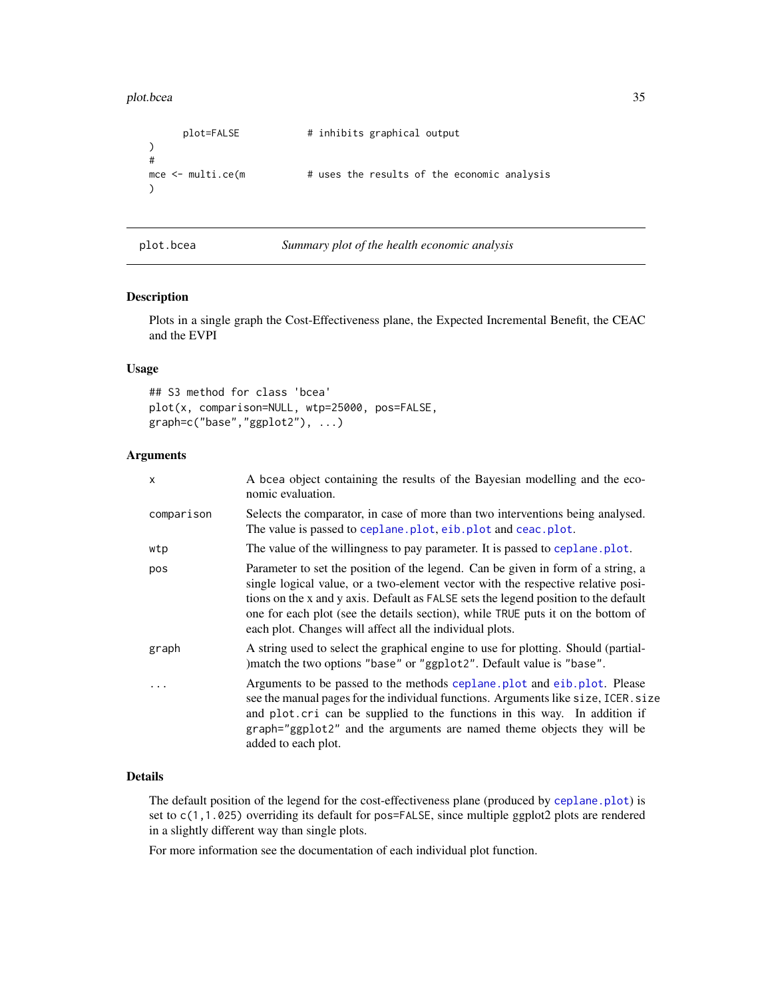<span id="page-34-0"></span>plot.bcea 35

```
plot=FALSE # inhibits graphical output
)
#
mce \le multi.ce(m \qquad # uses the results of the economic analysis
)
```
plot.bcea *Summary plot of the health economic analysis*

| Summary plot of the health economic analysis |  |  |  |  |
|----------------------------------------------|--|--|--|--|
|                                              |  |  |  |  |

#### Description

Plots in a single graph the Cost-Effectiveness plane, the Expected Incremental Benefit, the CEAC and the EVPI

## Usage

```
## S3 method for class 'bcea'
plot(x, comparison=NULL, wtp=25000, pos=FALSE,
graph=c("base","ggplot2"), ...)
```
#### Arguments

| x          | A bcea object containing the results of the Bayesian modelling and the eco-<br>nomic evaluation.                                                                                                                                                                                                                                                                                                            |
|------------|-------------------------------------------------------------------------------------------------------------------------------------------------------------------------------------------------------------------------------------------------------------------------------------------------------------------------------------------------------------------------------------------------------------|
| comparison | Selects the comparator, in case of more than two interventions being analysed.<br>The value is passed to ceplane. plot, eib. plot and ceac. plot.                                                                                                                                                                                                                                                           |
| wtp        | The value of the willingness to pay parameter. It is passed to ceplane.plot.                                                                                                                                                                                                                                                                                                                                |
| pos        | Parameter to set the position of the legend. Can be given in form of a string, a<br>single logical value, or a two-element vector with the respective relative posi-<br>tions on the x and y axis. Default as FALSE sets the legend position to the default<br>one for each plot (see the details section), while TRUE puts it on the bottom of<br>each plot. Changes will affect all the individual plots. |
| graph      | A string used to select the graphical engine to use for plotting. Should (partial-<br>)match the two options "base" or "ggplot2". Default value is "base".                                                                                                                                                                                                                                                  |
| $\ddots$   | Arguments to be passed to the methods ceplane. plot and eib. plot. Please<br>see the manual pages for the individual functions. Arguments like size, ICER. size<br>and plot. cri can be supplied to the functions in this way. In addition if<br>graph="ggplot2" and the arguments are named theme objects they will be<br>added to each plot.                                                              |

## Details

The default position of the legend for the cost-effectiveness plane (produced by [ceplane.plot](#page-13-1)) is set to c(1,1.025) overriding its default for pos=FALSE, since multiple ggplot2 plots are rendered in a slightly different way than single plots.

For more information see the documentation of each individual plot function.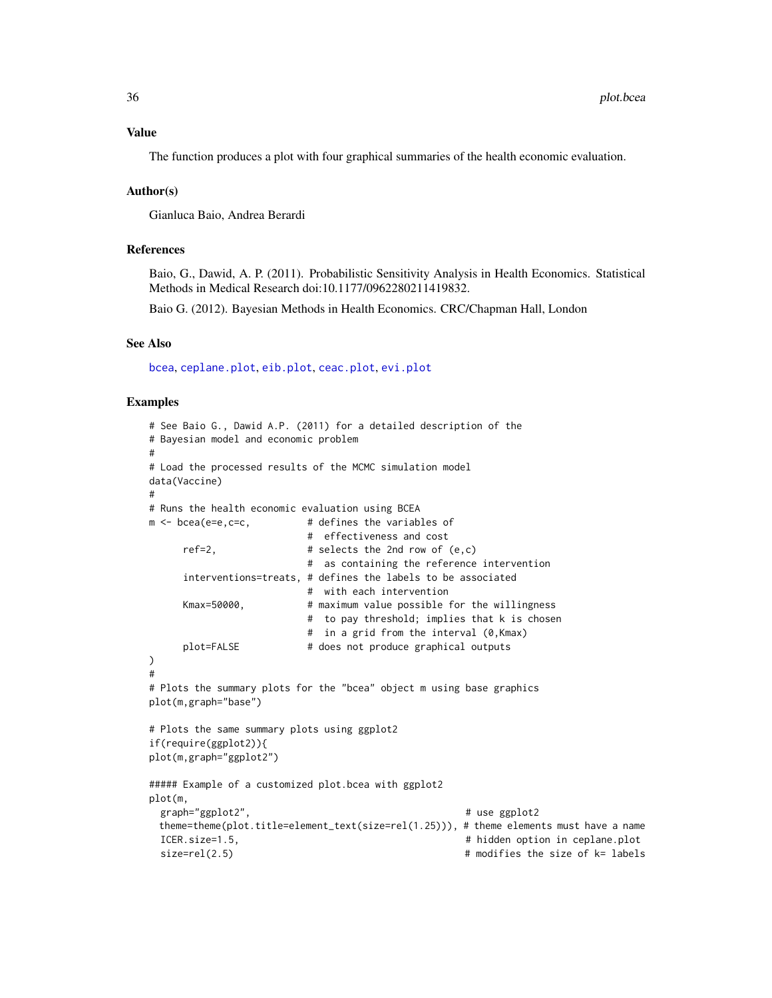#### <span id="page-35-0"></span>Value

The function produces a plot with four graphical summaries of the health economic evaluation.

### Author(s)

Gianluca Baio, Andrea Berardi

## References

Baio, G., Dawid, A. P. (2011). Probabilistic Sensitivity Analysis in Health Economics. Statistical Methods in Medical Research doi:10.1177/0962280211419832.

Baio G. (2012). Bayesian Methods in Health Economics. CRC/Chapman Hall, London

#### See Also

[bcea](#page-2-1), [ceplane.plot](#page-13-1), [eib.plot](#page-21-1), [ceac.plot](#page-7-1), [evi.plot](#page-22-1)

## Examples

```
# See Baio G., Dawid A.P. (2011) for a detailed description of the
# Bayesian model and economic problem
#
# Load the processed results of the MCMC simulation model
data(Vaccine)
#
# Runs the health economic evaluation using BCEA
m <- bcea(e=e,c=c, \qquad # defines the variables of
                         # effectiveness and cost
     ref=2, # selects the 2nd row of <math>(e, c)</math># as containing the reference intervention
     interventions=treats, # defines the labels to be associated
                         # with each intervention
     Kmax=50000, # maximum value possible for the willingness
                         # to pay threshold; implies that k is chosen
                         # in a grid from the interval (0,Kmax)
     plot=FALSE # does not produce graphical outputs
)
#
# Plots the summary plots for the "bcea" object m using base graphics
plot(m,graph="base")
# Plots the same summary plots using ggplot2
if(require(ggplot2)){
plot(m,graph="ggplot2")
##### Example of a customized plot.bcea with ggplot2
plot(m,
 graph="ggplot2", \qquad \qquad # use ggplot2
 theme=theme(plot.title=element_text(size=rel(1.25))), # theme elements must have a name
 ICER.size=1.5, # hidden option in ceplane.plot
 size=rel(2.5) \qquad # modifies the size of k= labels
```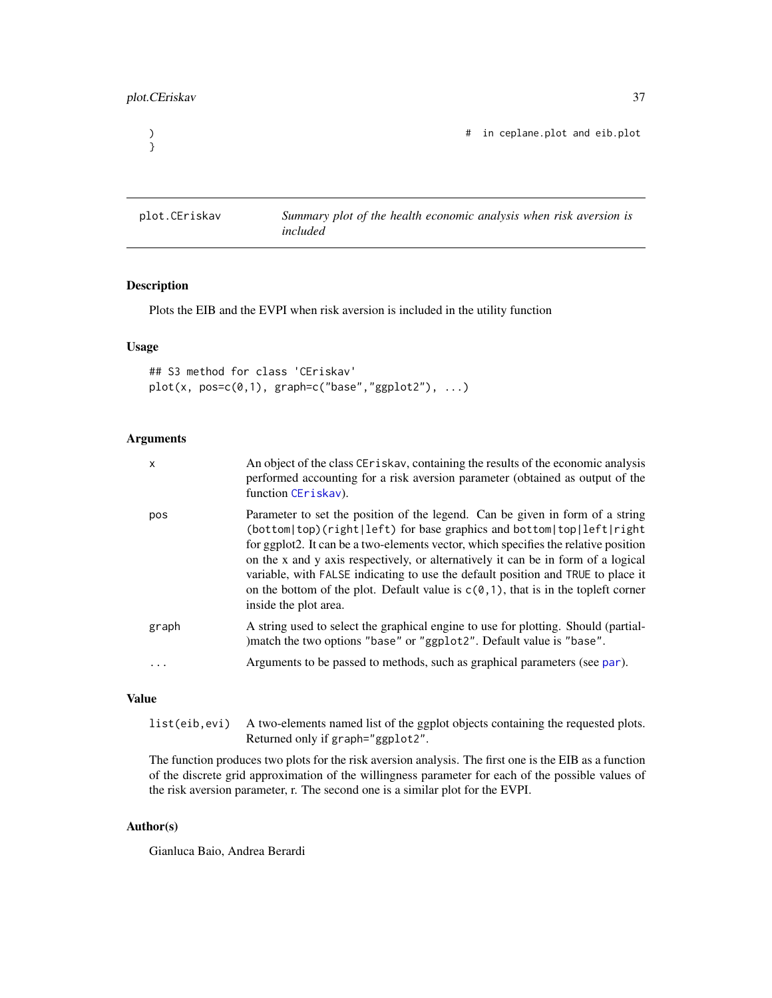```
}
```
) # in ceplane.plot and eib.plot

plot.CEriskav *Summary plot of the health economic analysis when risk aversion is included*

## Description

Plots the EIB and the EVPI when risk aversion is included in the utility function

## Usage

```
## S3 method for class 'CEriskav'
plot(x, pos=c(0,1), graph=c("base", "ggplot2"), ...)
```
## Arguments

| $\boldsymbol{\mathsf{x}}$ | An object of the class CE riskay, containing the results of the economic analysis<br>performed accounting for a risk aversion parameter (obtained as output of the<br>function CEriskav).                                                                                                                                                                                                                                                                                                                                              |
|---------------------------|----------------------------------------------------------------------------------------------------------------------------------------------------------------------------------------------------------------------------------------------------------------------------------------------------------------------------------------------------------------------------------------------------------------------------------------------------------------------------------------------------------------------------------------|
| pos                       | Parameter to set the position of the legend. Can be given in form of a string<br>(bottom top)(right left) for base graphics and bottom top left right<br>for ggplot2. It can be a two-elements vector, which specifies the relative position<br>on the x and y axis respectively, or alternatively it can be in form of a logical<br>variable, with FALSE indicating to use the default position and TRUE to place it<br>on the bottom of the plot. Default value is $c(0,1)$ , that is in the topleft corner<br>inside the plot area. |
| graph                     | A string used to select the graphical engine to use for plotting. Should (partial-<br>)match the two options "base" or "ggplot2". Default value is "base".                                                                                                                                                                                                                                                                                                                                                                             |
|                           | Arguments to be passed to methods, such as graphical parameters (see par).                                                                                                                                                                                                                                                                                                                                                                                                                                                             |

## Value

| list (eib, evi) A two-elements named list of the ggplot objects containing the requested plots. |
|-------------------------------------------------------------------------------------------------|
| Returned only if graph="ggplot2".                                                               |

The function produces two plots for the risk aversion analysis. The first one is the EIB as a function of the discrete grid approximation of the willingness parameter for each of the possible values of the risk aversion parameter, r. The second one is a similar plot for the EVPI.

## Author(s)

Gianluca Baio, Andrea Berardi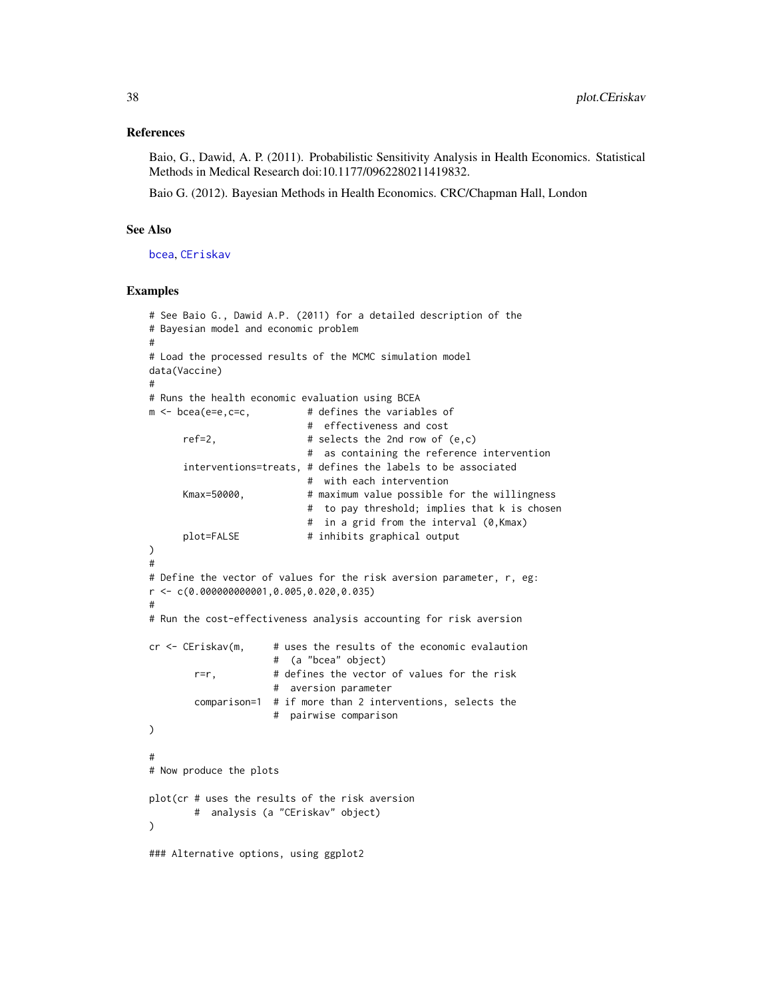#### <span id="page-37-0"></span>References

Baio, G., Dawid, A. P. (2011). Probabilistic Sensitivity Analysis in Health Economics. Statistical Methods in Medical Research doi:10.1177/0962280211419832.

Baio G. (2012). Bayesian Methods in Health Economics. CRC/Chapman Hall, London

#### See Also

[bcea](#page-2-1), [CEriskav](#page-14-1)

#### Examples

```
# See Baio G., Dawid A.P. (2011) for a detailed description of the
# Bayesian model and economic problem
#
# Load the processed results of the MCMC simulation model
data(Vaccine)
#
# Runs the health economic evaluation using BCEA
m \leq - bcea(e=e,c=c, \qquad \qquad # defines the variables of
                           # effectiveness and cost
     ref=2, # selects the 2nd row of <math>(e, c)</math># as containing the reference intervention
     interventions=treats, # defines the labels to be associated
                           # with each intervention
     Kmax=50000, # maximum value possible for the willingness
                           # to pay threshold; implies that k is chosen
                           # in a grid from the interval (0,Kmax)
     plot=FALSE # inhibits graphical output
)
#
# Define the vector of values for the risk aversion parameter, r, eg:
r <- c(0.000000000001,0.005,0.020,0.035)
#
# Run the cost-effectiveness analysis accounting for risk aversion
cr < - CEriskav(m, \# uses the results of the economic evalaution
                     # (a "bcea" object)
       r=r, # defines the vector of values for the risk
                     # aversion parameter
       comparison=1 # if more than 2 interventions, selects the
                     # pairwise comparison
)
#
# Now produce the plots
plot(cr # uses the results of the risk aversion
       # analysis (a "CEriskav" object)
)
### Alternative options, using ggplot2
```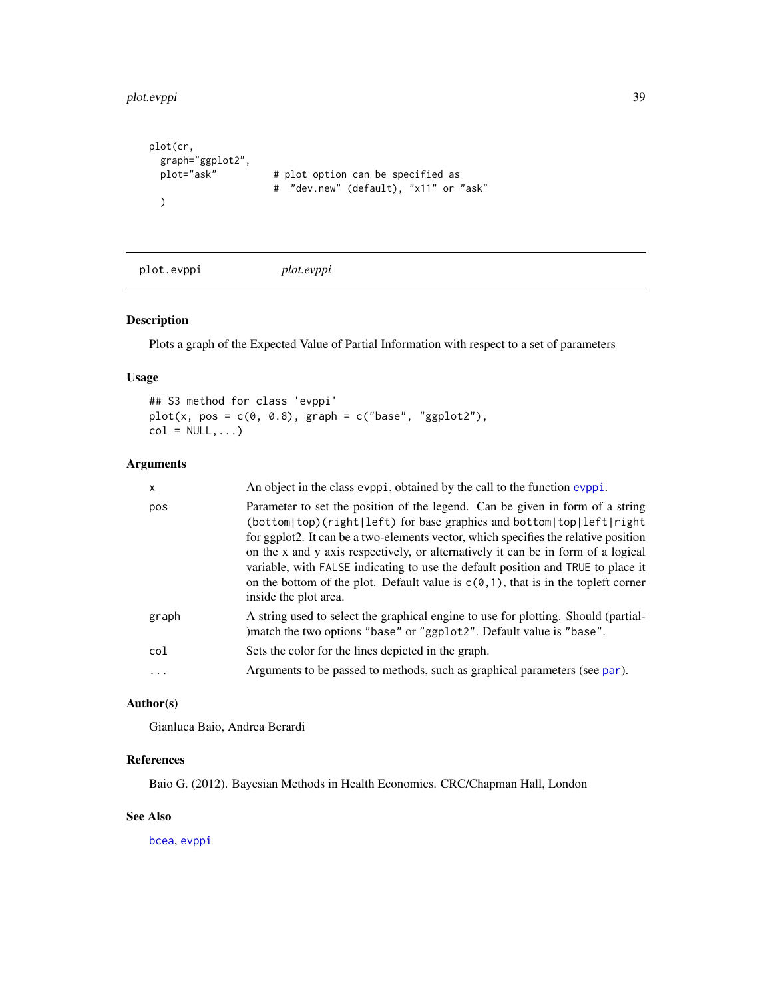```
plot.evppi 39
```

```
plot(cr,
  graph="ggplot2",<br>plot="ask"
                         # plot option can be specified as
                         # "dev.new" (default), "x11" or "ask"
  )
```

```
plot.evppi plot.evppi
```
## Description

Plots a graph of the Expected Value of Partial Information with respect to a set of parameters

## Usage

## S3 method for class 'evppi'  $plot(x, pos = c(0, 0.8), graph = c("base", "ggplot2"),$  $col = NULL, ...$ 

## Arguments

| X        | An object in the class evppi, obtained by the call to the function evppi.                                                                                                                                                                                                                                                                                                                                                                                                                                                              |
|----------|----------------------------------------------------------------------------------------------------------------------------------------------------------------------------------------------------------------------------------------------------------------------------------------------------------------------------------------------------------------------------------------------------------------------------------------------------------------------------------------------------------------------------------------|
| pos      | Parameter to set the position of the legend. Can be given in form of a string<br>(bottom top)(right left) for base graphics and bottom top left right<br>for ggplot2. It can be a two-elements vector, which specifies the relative position<br>on the x and y axis respectively, or alternatively it can be in form of a logical<br>variable, with FALSE indicating to use the default position and TRUE to place it<br>on the bottom of the plot. Default value is $c(0,1)$ , that is in the topleft corner<br>inside the plot area. |
| graph    | A string used to select the graphical engine to use for plotting. Should (partial-<br>) match the two options "base" or "ggplot2". Default value is "base".                                                                                                                                                                                                                                                                                                                                                                            |
| col      | Sets the color for the lines depicted in the graph.                                                                                                                                                                                                                                                                                                                                                                                                                                                                                    |
| $\ddots$ | Arguments to be passed to methods, such as graphical parameters (see par).                                                                                                                                                                                                                                                                                                                                                                                                                                                             |
|          |                                                                                                                                                                                                                                                                                                                                                                                                                                                                                                                                        |

## Author(s)

Gianluca Baio, Andrea Berardi

## References

Baio G. (2012). Bayesian Methods in Health Economics. CRC/Chapman Hall, London

## See Also

[bcea](#page-2-1), [evppi](#page-23-1)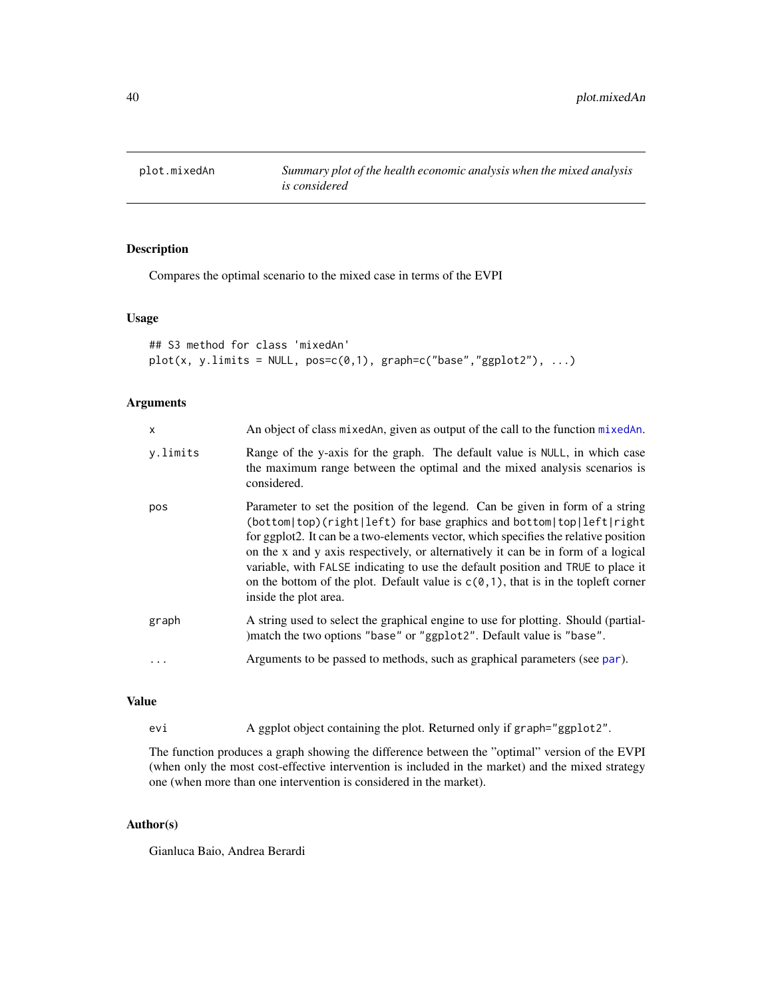<span id="page-39-1"></span><span id="page-39-0"></span>

## Description

Compares the optimal scenario to the mixed case in terms of the EVPI

## Usage

```
## S3 method for class 'mixedAn'
plot(x, y.linalg = NULL, pos = c(0, 1), graph = c("base", "ggplot2"), ...)
```
## Arguments

| $\mathsf{x}$ | An object of class mixed An, given as output of the call to the function mixed An.                                                                                                                                                                                                                                                                                                                                                                                                                                                     |
|--------------|----------------------------------------------------------------------------------------------------------------------------------------------------------------------------------------------------------------------------------------------------------------------------------------------------------------------------------------------------------------------------------------------------------------------------------------------------------------------------------------------------------------------------------------|
| y.limits     | Range of the y-axis for the graph. The default value is NULL, in which case<br>the maximum range between the optimal and the mixed analysis scenarios is<br>considered.                                                                                                                                                                                                                                                                                                                                                                |
| pos          | Parameter to set the position of the legend. Can be given in form of a string<br>(bottom top)(right left) for base graphics and bottom top left right<br>for ggplot2. It can be a two-elements vector, which specifies the relative position<br>on the x and y axis respectively, or alternatively it can be in form of a logical<br>variable, with FALSE indicating to use the default position and TRUE to place it<br>on the bottom of the plot. Default value is $c(0,1)$ , that is in the topleft corner<br>inside the plot area. |
| graph        | A string used to select the graphical engine to use for plotting. Should (partial-<br>)match the two options "base" or "ggplot2". Default value is "base".                                                                                                                                                                                                                                                                                                                                                                             |
|              | Arguments to be passed to methods, such as graphical parameters (see par).                                                                                                                                                                                                                                                                                                                                                                                                                                                             |

## Value

evi A ggplot object containing the plot. Returned only if graph="ggplot2".

The function produces a graph showing the difference between the "optimal" version of the EVPI (when only the most cost-effective intervention is included in the market) and the mixed strategy one (when more than one intervention is considered in the market).

## Author(s)

Gianluca Baio, Andrea Berardi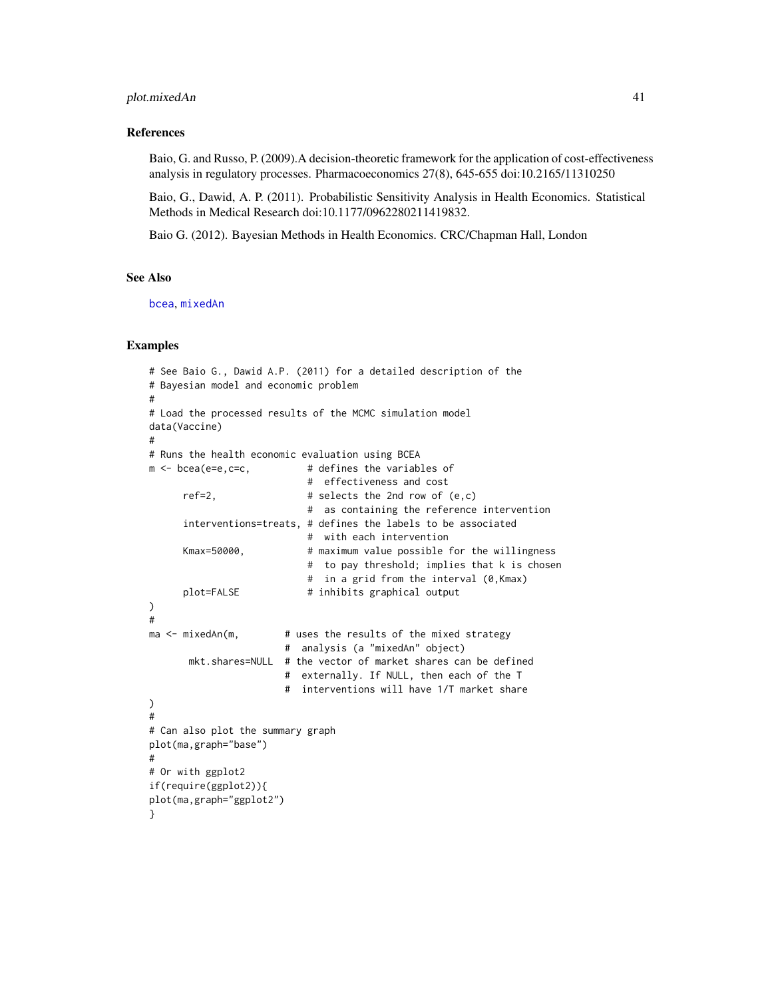## <span id="page-40-0"></span>plot.mixedAn 41

#### References

Baio, G. and Russo, P. (2009).A decision-theoretic framework for the application of cost-effectiveness analysis in regulatory processes. Pharmacoeconomics 27(8), 645-655 doi:10.2165/11310250

Baio, G., Dawid, A. P. (2011). Probabilistic Sensitivity Analysis in Health Economics. Statistical Methods in Medical Research doi:10.1177/0962280211419832.

Baio G. (2012). Bayesian Methods in Health Economics. CRC/Chapman Hall, London

## See Also

[bcea](#page-2-1), [mixedAn](#page-30-1)

#### Examples

```
# See Baio G., Dawid A.P. (2011) for a detailed description of the
# Bayesian model and economic problem
#
# Load the processed results of the MCMC simulation model
data(Vaccine)
#
# Runs the health economic evaluation using BCEA
m <- bcea(e=e,c=c, \qquad # defines the variables of
                          # effectiveness and cost
     ref=2, \# selects the 2nd row of (e, c)# as containing the reference intervention
     interventions=treats, # defines the labels to be associated
                           # with each intervention
     Kmax=50000, # maximum value possible for the willingness
                           # to pay threshold; implies that k is chosen
                          # in a grid from the interval (0,Kmax)
     plot=FALSE # inhibits graphical output
)
#
ma < - mixedAn(m, # uses the results of the mixed strategy
                       # analysis (a "mixedAn" object)
      mkt.shares=NULL # the vector of market shares can be defined
                       # externally. If NULL, then each of the T
                       # interventions will have 1/T market share
)
#
# Can also plot the summary graph
plot(ma,graph="base")
#
# Or with ggplot2
if(require(ggplot2)){
plot(ma,graph="ggplot2")
}
```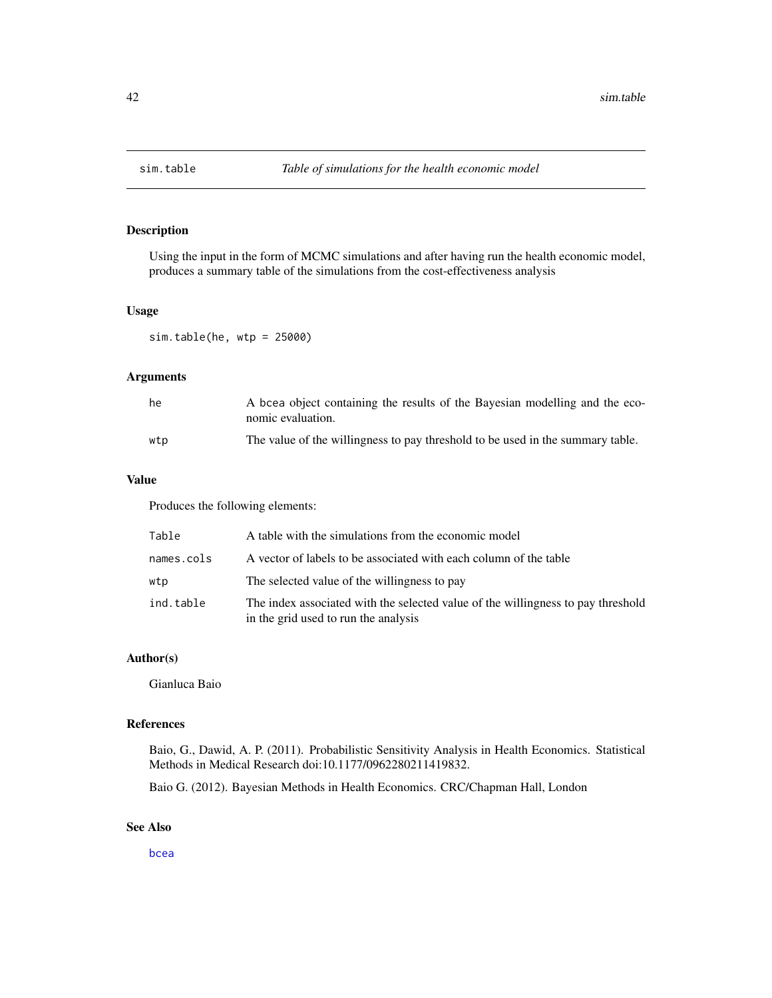<span id="page-41-0"></span>

## Description

Using the input in the form of MCMC simulations and after having run the health economic model, produces a summary table of the simulations from the cost-effectiveness analysis

#### Usage

sim.table(he, wtp = 25000)

## Arguments

| he  | A bcea object containing the results of the Bayesian modelling and the eco-<br>nomic evaluation. |
|-----|--------------------------------------------------------------------------------------------------|
| wtp | The value of the willingness to pay threshold to be used in the summary table.                   |

## Value

Produces the following elements:

| Table      | A table with the simulations from the economic model                                                                     |
|------------|--------------------------------------------------------------------------------------------------------------------------|
| names.cols | A vector of labels to be associated with each column of the table                                                        |
| wtp        | The selected value of the willingness to pay                                                                             |
| ind.table  | The index associated with the selected value of the willingness to pay threshold<br>in the grid used to run the analysis |

#### Author(s)

Gianluca Baio

#### References

Baio, G., Dawid, A. P. (2011). Probabilistic Sensitivity Analysis in Health Economics. Statistical Methods in Medical Research doi:10.1177/0962280211419832.

Baio G. (2012). Bayesian Methods in Health Economics. CRC/Chapman Hall, London

## See Also

[bcea](#page-2-1)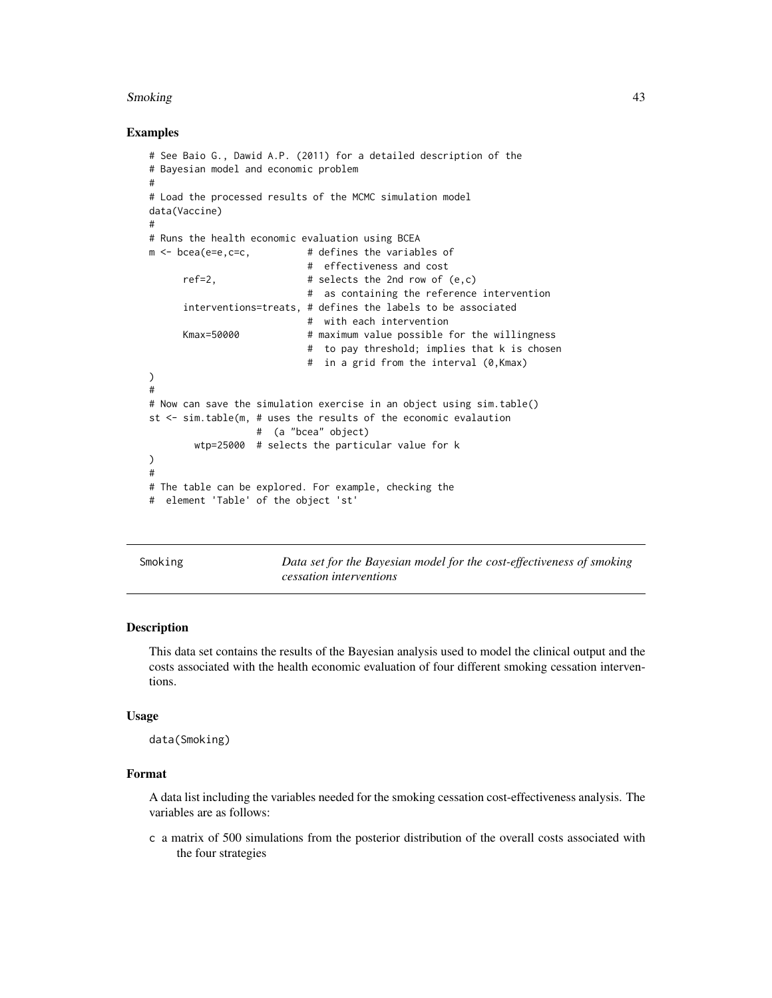#### <span id="page-42-0"></span>Smoking the contract of the contract of the contract of the contract of the contract of the contract of the contract of the contract of the contract of the contract of the contract of the contract of the contract of the co

#### Examples

```
# See Baio G., Dawid A.P. (2011) for a detailed description of the
# Bayesian model and economic problem
#
# Load the processed results of the MCMC simulation model
data(Vaccine)
#
# Runs the health economic evaluation using BCEA
m \leq - bcea(e=e,c=c, \qquad \qquad # defines the variables of
                           # effectiveness and cost
     ref=2, # selects the 2nd row of <math>(e,c)</math># as containing the reference intervention
      interventions=treats, # defines the labels to be associated
                            # with each intervention
     Kmax=50000 # maximum value possible for the willingness
                            # to pay threshold; implies that k is chosen
                            # in a grid from the interval (0,Kmax)
)
#
# Now can save the simulation exercise in an object using sim.table()
st <- sim.table(m, # uses the results of the economic evalaution
                  # (a "bcea" object)
       wtp=25000 # selects the particular value for k
)
#
# The table can be explored. For example, checking the
# element 'Table' of the object 'st'
```
Smoking *Data set for the Bayesian model for the cost-effectiveness of smoking cessation interventions*

#### Description

This data set contains the results of the Bayesian analysis used to model the clinical output and the costs associated with the health economic evaluation of four different smoking cessation interventions.

#### Usage

data(Smoking)

## Format

A data list including the variables needed for the smoking cessation cost-effectiveness analysis. The variables are as follows:

c a matrix of 500 simulations from the posterior distribution of the overall costs associated with the four strategies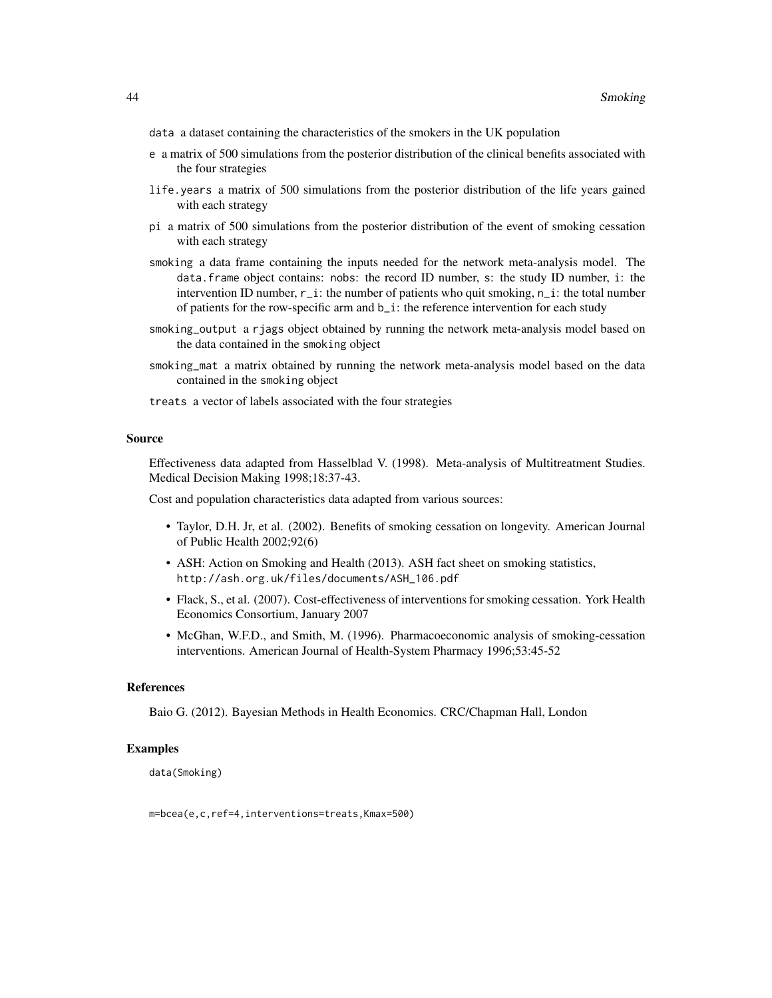- data a dataset containing the characteristics of the smokers in the UK population
- e a matrix of 500 simulations from the posterior distribution of the clinical benefits associated with the four strategies
- life.years a matrix of 500 simulations from the posterior distribution of the life years gained with each strategy
- pi a matrix of 500 simulations from the posterior distribution of the event of smoking cessation with each strategy
- smoking a data frame containing the inputs needed for the network meta-analysis model. The data.frame object contains: nobs: the record ID number, s: the study ID number, i: the intervention ID number,  $r_i$ : the number of patients who quit smoking,  $n_i$ : the total number of patients for the row-specific arm and b\_i: the reference intervention for each study
- smoking\_output a rjags object obtained by running the network meta-analysis model based on the data contained in the smoking object
- smoking\_mat a matrix obtained by running the network meta-analysis model based on the data contained in the smoking object
- treats a vector of labels associated with the four strategies

#### Source

Effectiveness data adapted from Hasselblad V. (1998). Meta-analysis of Multitreatment Studies. Medical Decision Making 1998;18:37-43.

Cost and population characteristics data adapted from various sources:

- Taylor, D.H. Jr, et al. (2002). Benefits of smoking cessation on longevity. American Journal of Public Health 2002;92(6)
- ASH: Action on Smoking and Health (2013). ASH fact sheet on smoking statistics, http://ash.org.uk/files/documents/ASH\_106.pdf
- Flack, S., et al. (2007). Cost-effectiveness of interventions for smoking cessation. York Health Economics Consortium, January 2007
- McGhan, W.F.D., and Smith, M. (1996). Pharmacoeconomic analysis of smoking-cessation interventions. American Journal of Health-System Pharmacy 1996;53:45-52

#### References

Baio G. (2012). Bayesian Methods in Health Economics. CRC/Chapman Hall, London

### Examples

data(Smoking)

m=bcea(e,c,ref=4,interventions=treats,Kmax=500)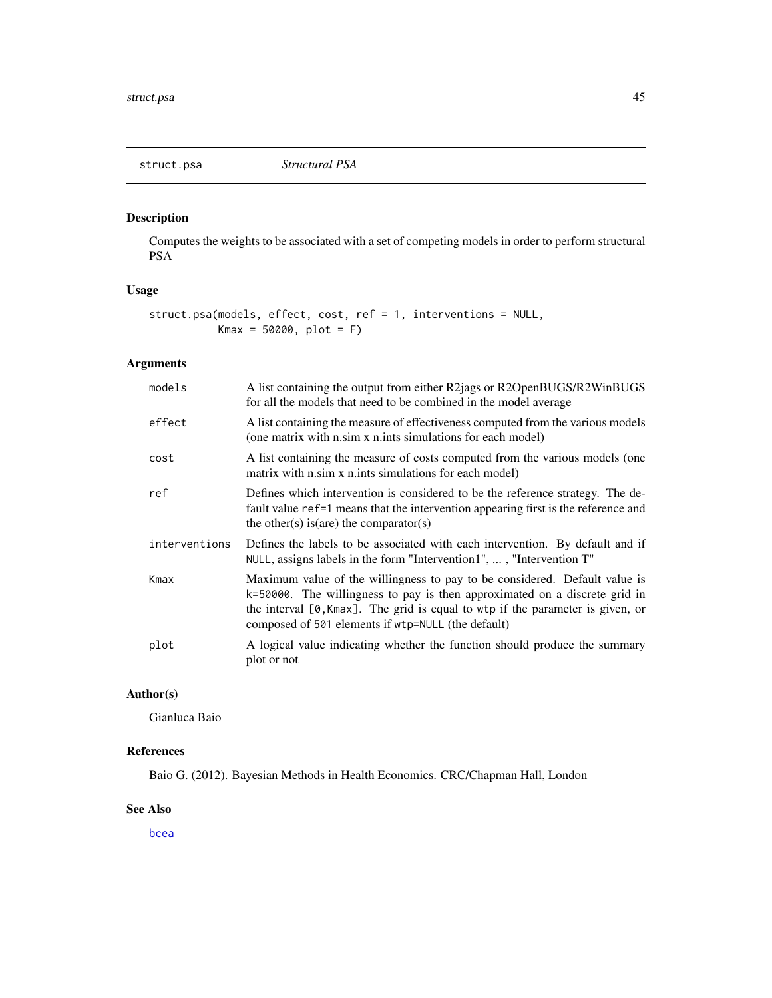<span id="page-44-0"></span>

## Description

Computes the weights to be associated with a set of competing models in order to perform structural PSA

## Usage

```
struct.psa(models, effect, cost, ref = 1, interventions = NULL,
          Kmax = 50000, plot = F)
```
## Arguments

| models        | A list containing the output from either R2jags or R2OpenBUGS/R2WinBUGS<br>for all the models that need to be combined in the model average                                                                                                                                                        |
|---------------|----------------------------------------------------------------------------------------------------------------------------------------------------------------------------------------------------------------------------------------------------------------------------------------------------|
| effect        | A list containing the measure of effectiveness computed from the various models<br>(one matrix with n.sim x n.ints simulations for each model)                                                                                                                                                     |
| cost          | A list containing the measure of costs computed from the various models (one<br>matrix with n sim x n ints simulations for each model)                                                                                                                                                             |
| ref           | Defines which intervention is considered to be the reference strategy. The de-<br>fault value ref=1 means that the intervention appearing first is the reference and<br>the other(s) is (are) the comparator(s)                                                                                    |
| interventions | Defines the labels to be associated with each intervention. By default and if<br>NULL, assigns labels in the form "Intervention1", , "Intervention T"                                                                                                                                              |
| Kmax          | Maximum value of the willingness to pay to be considered. Default value is<br>k=50000. The willingness to pay is then approximated on a discrete grid in<br>the interval $[0,$ Kmax]. The grid is equal to wtp if the parameter is given, or<br>composed of 501 elements if wtp=NULL (the default) |
| plot          | A logical value indicating whether the function should produce the summary<br>plot or not                                                                                                                                                                                                          |

## Author(s)

Gianluca Baio

## References

Baio G. (2012). Bayesian Methods in Health Economics. CRC/Chapman Hall, London

## See Also

[bcea](#page-2-1)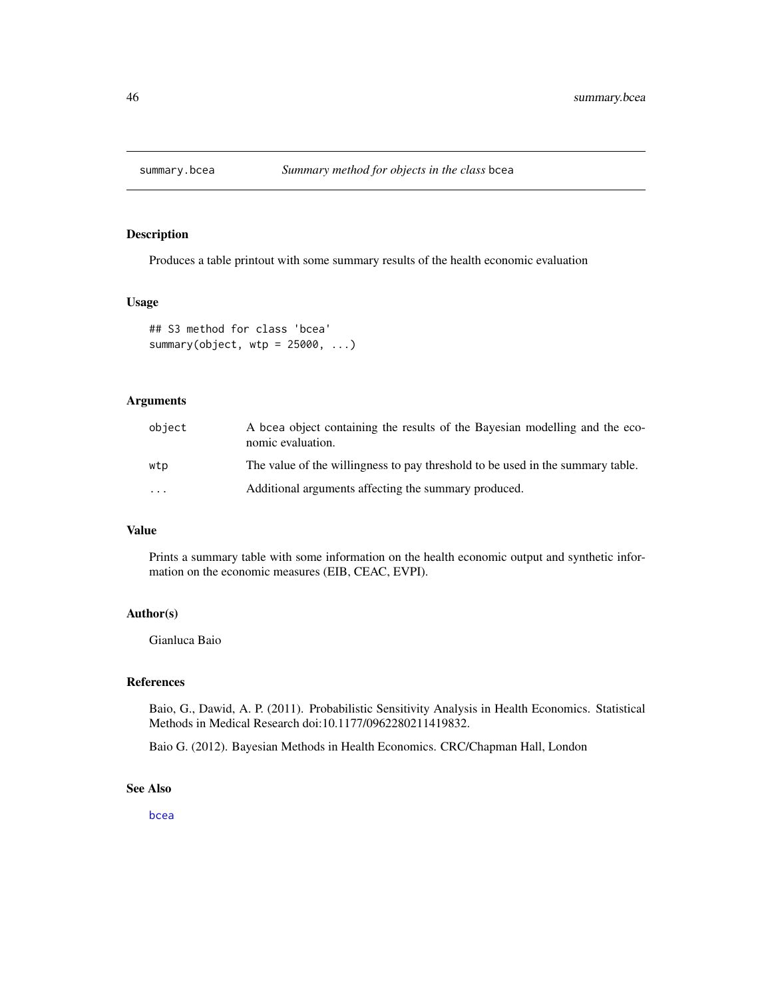<span id="page-45-0"></span>

## Description

Produces a table printout with some summary results of the health economic evaluation

#### Usage

```
## S3 method for class 'bcea'
summary(object, wtp = 25000, ...)
```
## Arguments

| object | A bcea object containing the results of the Bayesian modelling and the eco-<br>nomic evaluation. |
|--------|--------------------------------------------------------------------------------------------------|
| wtp    | The value of the willingness to pay threshold to be used in the summary table.                   |
| .      | Additional arguments affecting the summary produced.                                             |

## Value

Prints a summary table with some information on the health economic output and synthetic information on the economic measures (EIB, CEAC, EVPI).

## Author(s)

Gianluca Baio

#### References

Baio, G., Dawid, A. P. (2011). Probabilistic Sensitivity Analysis in Health Economics. Statistical Methods in Medical Research doi:10.1177/0962280211419832.

Baio G. (2012). Bayesian Methods in Health Economics. CRC/Chapman Hall, London

## See Also

[bcea](#page-2-1)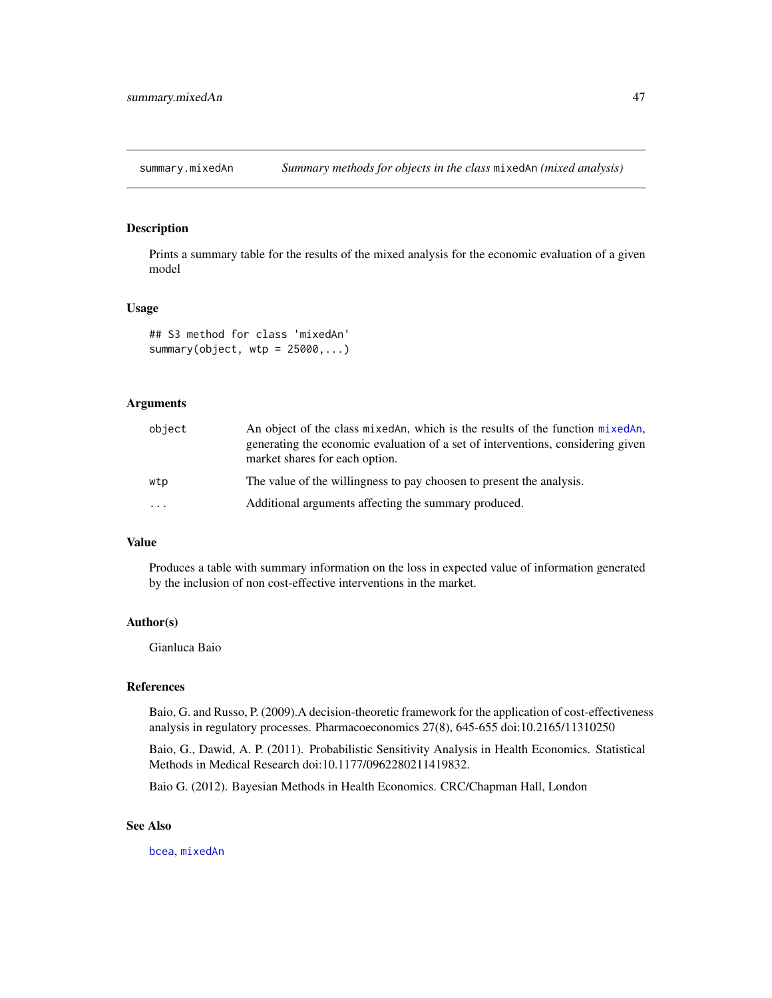<span id="page-46-0"></span>summary.mixedAn *Summary methods for objects in the class* mixedAn *(mixed analysis)*

## Description

Prints a summary table for the results of the mixed analysis for the economic evaluation of a given model

#### Usage

```
## S3 method for class 'mixedAn'
summary(object, wtp = 25000, ...)
```
## Arguments

| object  | An object of the class mixed An, which is the results of the function mixed An,<br>generating the economic evaluation of a set of interventions, considering given<br>market shares for each option. |
|---------|------------------------------------------------------------------------------------------------------------------------------------------------------------------------------------------------------|
| wtp     | The value of the willingness to pay choosen to present the analysis.                                                                                                                                 |
| $\cdot$ | Additional arguments affecting the summary produced.                                                                                                                                                 |

## Value

Produces a table with summary information on the loss in expected value of information generated by the inclusion of non cost-effective interventions in the market.

## Author(s)

Gianluca Baio

## References

Baio, G. and Russo, P. (2009).A decision-theoretic framework for the application of cost-effectiveness analysis in regulatory processes. Pharmacoeconomics 27(8), 645-655 doi:10.2165/11310250

Baio, G., Dawid, A. P. (2011). Probabilistic Sensitivity Analysis in Health Economics. Statistical Methods in Medical Research doi:10.1177/0962280211419832.

Baio G. (2012). Bayesian Methods in Health Economics. CRC/Chapman Hall, London

## See Also

[bcea](#page-2-1), [mixedAn](#page-30-1)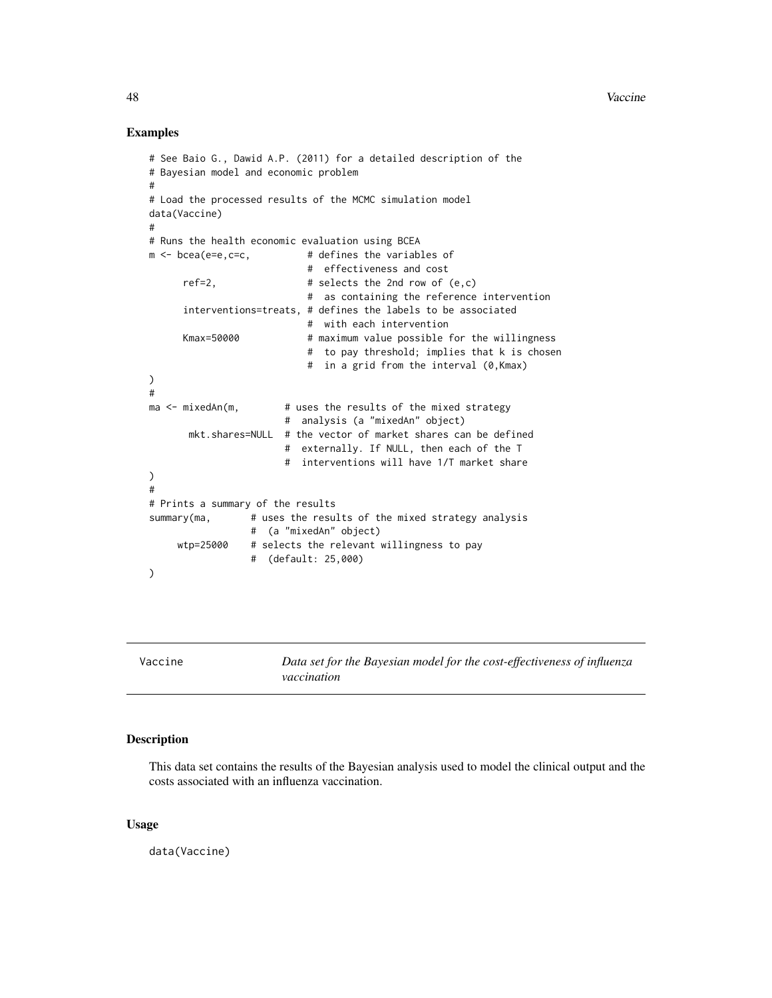#### Examples

```
# See Baio G., Dawid A.P. (2011) for a detailed description of the
# Bayesian model and economic problem
#
# Load the processed results of the MCMC simulation model
data(Vaccine)
#
# Runs the health economic evaluation using BCEA
m <- bcea(e=e,c=c, # defines the variables of
                           # effectiveness and cost
     ref=2, # selects the 2nd row of <math>(e, c)</math># as containing the reference intervention
      interventions=treats, # defines the labels to be associated
                           # with each intervention
     Kmax=50000 # maximum value possible for the willingness
                           # to pay threshold; implies that k is chosen
                           # in a grid from the interval (0,Kmax)
)
#
ma \leq mixedAn(m, \qquad # uses the results of the mixed strategy
                       # analysis (a "mixedAn" object)
      mkt.shares=NULL # the vector of market shares can be defined
                       # externally. If NULL, then each of the T
                       # interventions will have 1/T market share
)
#
# Prints a summary of the results
summary(ma, # uses the results of the mixed strategy analysis
                 # (a "mixedAn" object)
     wtp=25000 # selects the relevant willingness to pay
                 # (default: 25,000)
)
```
Vaccine *Data set for the Bayesian model for the cost-effectiveness of influenza vaccination*

#### Description

This data set contains the results of the Bayesian analysis used to model the clinical output and the costs associated with an influenza vaccination.

#### Usage

data(Vaccine)

<span id="page-47-0"></span>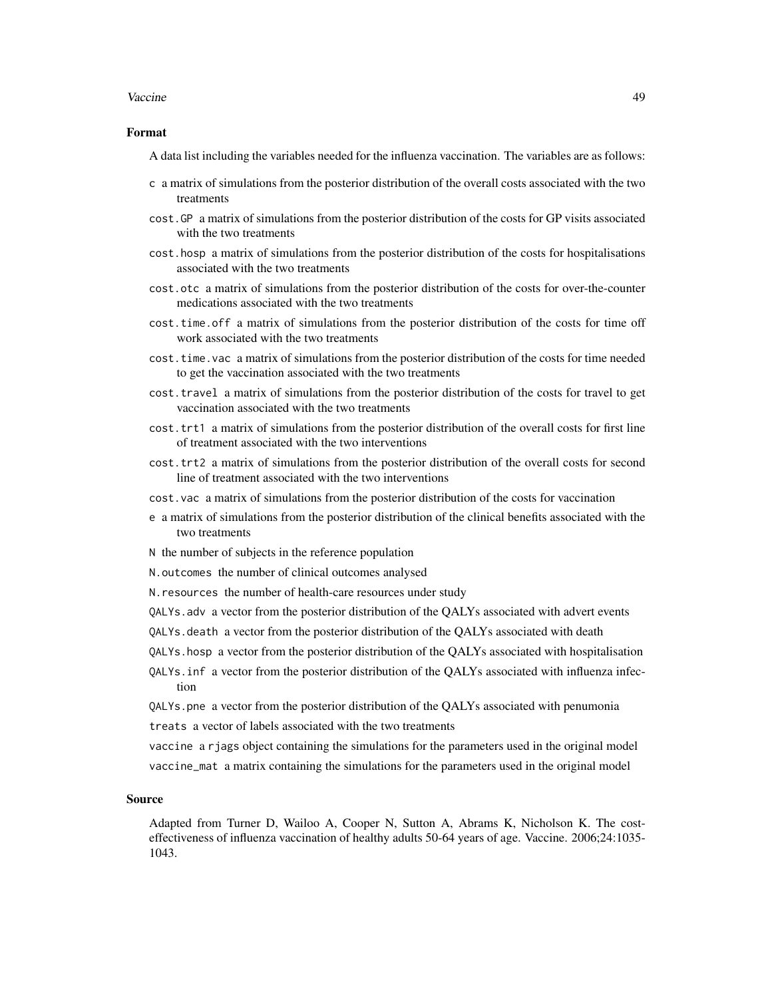#### Vaccine **49**

#### Format

A data list including the variables needed for the influenza vaccination. The variables are as follows:

- c a matrix of simulations from the posterior distribution of the overall costs associated with the two treatments
- cost.GP a matrix of simulations from the posterior distribution of the costs for GP visits associated with the two treatments
- cost.hosp a matrix of simulations from the posterior distribution of the costs for hospitalisations associated with the two treatments
- cost.otc a matrix of simulations from the posterior distribution of the costs for over-the-counter medications associated with the two treatments
- cost.time.off a matrix of simulations from the posterior distribution of the costs for time off work associated with the two treatments
- cost.time.vac a matrix of simulations from the posterior distribution of the costs for time needed to get the vaccination associated with the two treatments
- cost.travel a matrix of simulations from the posterior distribution of the costs for travel to get vaccination associated with the two treatments
- cost.trt1 a matrix of simulations from the posterior distribution of the overall costs for first line of treatment associated with the two interventions
- cost.trt2 a matrix of simulations from the posterior distribution of the overall costs for second line of treatment associated with the two interventions
- cost.vac a matrix of simulations from the posterior distribution of the costs for vaccination
- e a matrix of simulations from the posterior distribution of the clinical benefits associated with the two treatments
- N the number of subjects in the reference population
- N.outcomes the number of clinical outcomes analysed
- N.resources the number of health-care resources under study
- QALYs.adv a vector from the posterior distribution of the QALYs associated with advert events
- QALYs.death a vector from the posterior distribution of the QALYs associated with death
- QALYs.hosp a vector from the posterior distribution of the QALYs associated with hospitalisation
- QALYs.inf a vector from the posterior distribution of the QALYs associated with influenza infection
- QALYs.pne a vector from the posterior distribution of the QALYs associated with penumonia treats a vector of labels associated with the two treatments
- vaccine a rjags object containing the simulations for the parameters used in the original model
- vaccine\_mat a matrix containing the simulations for the parameters used in the original model

#### Source

Adapted from Turner D, Wailoo A, Cooper N, Sutton A, Abrams K, Nicholson K. The costeffectiveness of influenza vaccination of healthy adults 50-64 years of age. Vaccine. 2006;24:1035- 1043.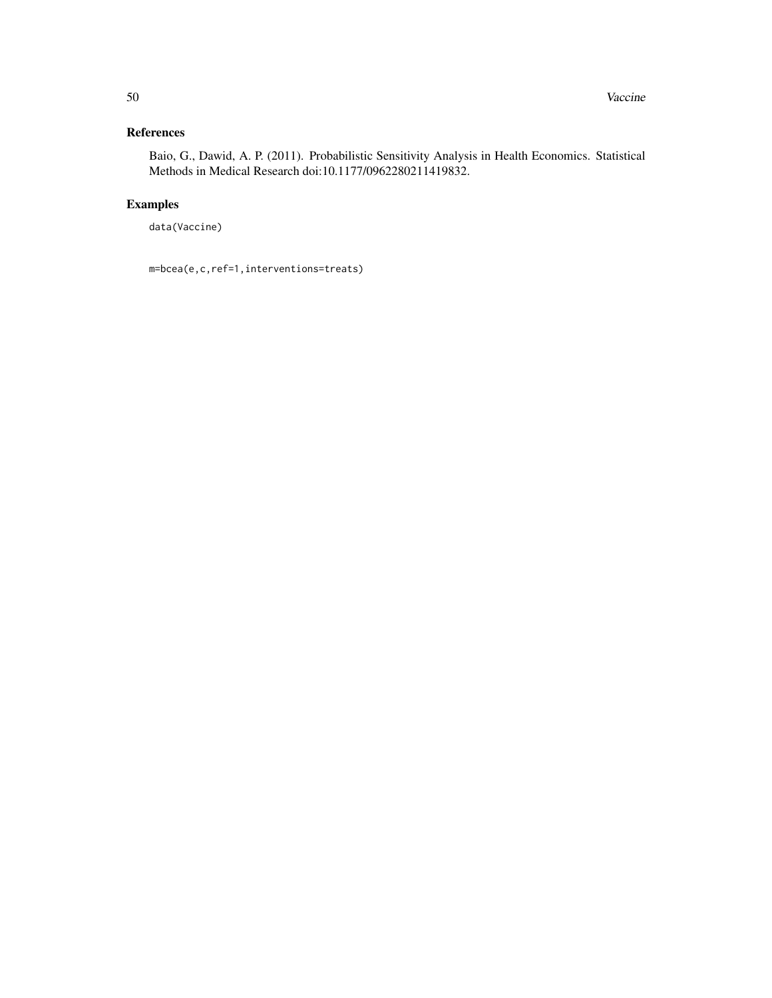## References

Baio, G., Dawid, A. P. (2011). Probabilistic Sensitivity Analysis in Health Economics. Statistical Methods in Medical Research doi:10.1177/0962280211419832.

## Examples

data(Vaccine)

m=bcea(e,c,ref=1,interventions=treats)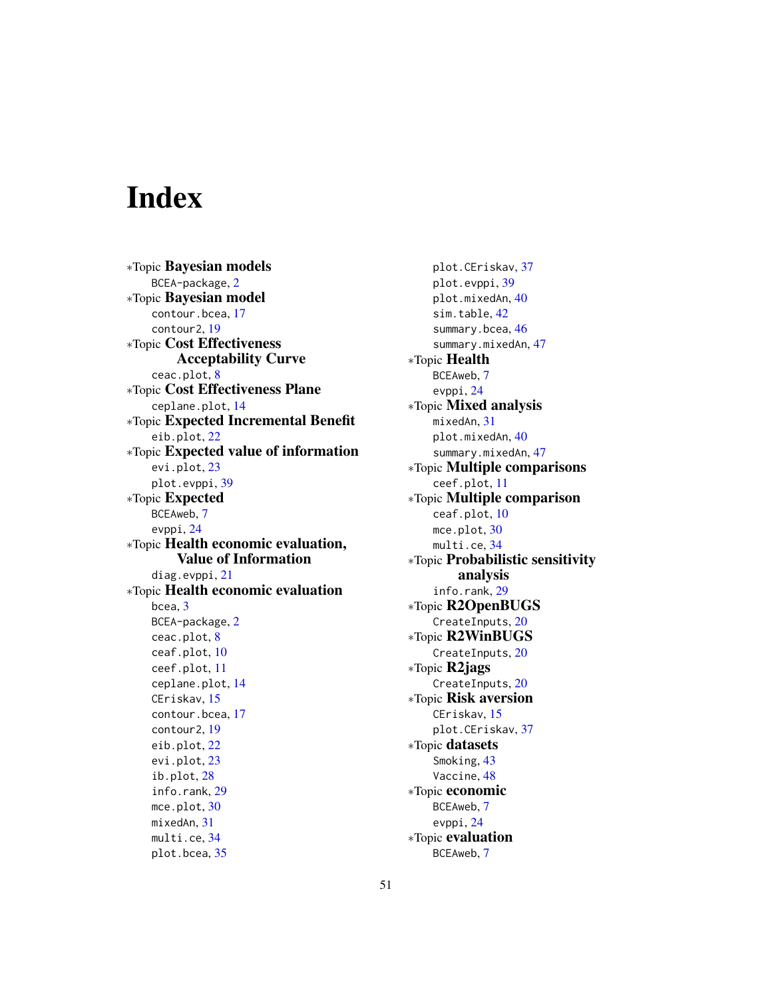# <span id="page-50-0"></span>Index

∗Topic Bayesian models BCEA-package, [2](#page-1-0) ∗Topic Bayesian model contour.bcea, [17](#page-16-0) contour2, [19](#page-18-0) ∗Topic Cost Effectiveness Acceptability Curve ceac.plot, [8](#page-7-0) ∗Topic Cost Effectiveness Plane ceplane.plot, [14](#page-13-0) ∗Topic Expected Incremental Benefit eib.plot, [22](#page-21-0) ∗Topic Expected value of information evi.plot, [23](#page-22-0) plot.evppi, [39](#page-38-0) ∗Topic Expected BCEAweb, [7](#page-6-0) evppi, [24](#page-23-0) ∗Topic Health economic evaluation, Value of Information diag.evppi, [21](#page-20-0) ∗Topic Health economic evaluation bcea, [3](#page-2-0) BCEA-package, [2](#page-1-0) ceac.plot, [8](#page-7-0) ceaf.plot, [10](#page-9-0) ceef.plot, [11](#page-10-0) ceplane.plot, [14](#page-13-0) CEriskav, [15](#page-14-0) contour.bcea, [17](#page-16-0) contour2, [19](#page-18-0) eib.plot, [22](#page-21-0) evi.plot, [23](#page-22-0) ib.plot, [28](#page-27-0) info.rank, [29](#page-28-0) mce.plot, [30](#page-29-0) mixedAn, [31](#page-30-0) multi.ce, [34](#page-33-0) plot.bcea, [35](#page-34-0)

plot.CEriskav, [37](#page-36-0) plot.evppi, [39](#page-38-0) plot.mixedAn, [40](#page-39-0) sim.table, [42](#page-41-0) summary.bcea, [46](#page-45-0) summary.mixedAn, [47](#page-46-0) ∗Topic Health BCEAweb, [7](#page-6-0) evppi, [24](#page-23-0) ∗Topic Mixed analysis mixedAn, [31](#page-30-0) plot.mixedAn, [40](#page-39-0) summary.mixedAn, [47](#page-46-0) ∗Topic Multiple comparisons ceef.plot, [11](#page-10-0) ∗Topic Multiple comparison ceaf.plot, [10](#page-9-0) mce.plot, [30](#page-29-0) multi.ce, [34](#page-33-0) ∗Topic Probabilistic sensitivity analysis info.rank, [29](#page-28-0) ∗Topic R2OpenBUGS CreateInputs, [20](#page-19-0) ∗Topic R2WinBUGS CreateInputs, [20](#page-19-0) ∗Topic R2jags CreateInputs, [20](#page-19-0) ∗Topic Risk aversion CEriskav, [15](#page-14-0) plot.CEriskav, [37](#page-36-0) ∗Topic datasets Smoking, [43](#page-42-0) Vaccine, [48](#page-47-0) ∗Topic economic BCEAweb, [7](#page-6-0) evppi, [24](#page-23-0) ∗Topic evaluation BCEAweb, [7](#page-6-0)